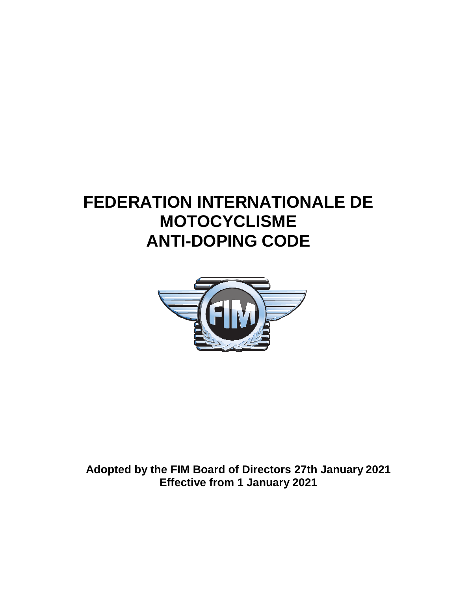# **FEDERATION INTERNATIONALE DE MOTOCYCLISME ANTI-DOPING CODE**



**Adopted by the FIM Board of Directors 27th January 2021 Effective from 1 January 2021**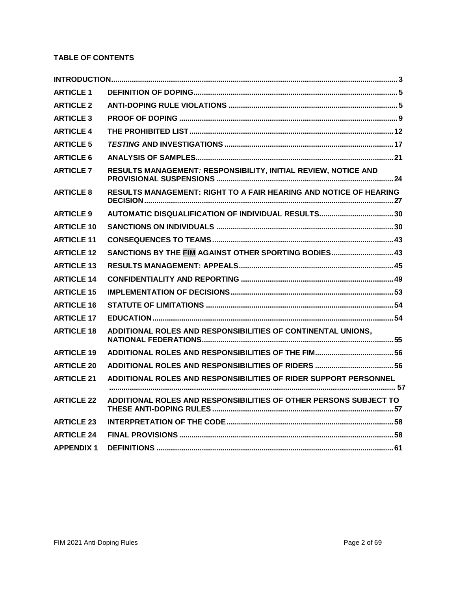# **TABLE OF CONTENTS**

| <b>ARTICLE 1</b>  |                                                                          |
|-------------------|--------------------------------------------------------------------------|
| <b>ARTICLE 2</b>  |                                                                          |
| <b>ARTICLE 3</b>  |                                                                          |
| <b>ARTICLE 4</b>  |                                                                          |
| <b>ARTICLE 5</b>  |                                                                          |
| <b>ARTICLE 6</b>  |                                                                          |
| <b>ARTICLE 7</b>  | RESULTS MANAGEMENT: RESPONSIBILITY, INITIAL REVIEW, NOTICE AND           |
| <b>ARTICLE 8</b>  | <b>RESULTS MANAGEMENT: RIGHT TO A FAIR HEARING AND NOTICE OF HEARING</b> |
| <b>ARTICLE 9</b>  |                                                                          |
| <b>ARTICLE 10</b> |                                                                          |
| <b>ARTICLE 11</b> |                                                                          |
| <b>ARTICLE 12</b> | SANCTIONS BY THE FIM AGAINST OTHER SPORTING BODIES 43                    |
| <b>ARTICLE 13</b> |                                                                          |
| <b>ARTICLE 14</b> |                                                                          |
| <b>ARTICLE 15</b> |                                                                          |
| <b>ARTICLE 16</b> |                                                                          |
| <b>ARTICLE 17</b> |                                                                          |
| <b>ARTICLE 18</b> | ADDITIONAL ROLES AND RESPONSIBILITIES OF CONTINENTAL UNIONS.             |
| <b>ARTICLE 19</b> |                                                                          |
| <b>ARTICLE 20</b> |                                                                          |
| <b>ARTICLE 21</b> | ADDITIONAL ROLES AND RESPONSIBILITIES OF RIDER SUPPORT PERSONNEL         |
|                   |                                                                          |
| <b>ARTICLE 22</b> | ADDITIONAL ROLES AND RESPONSIBILITIES OF OTHER PERSONS SUBJECT TO        |
| <b>ARTICLE 23</b> |                                                                          |
| <b>ARTICLE 24</b> |                                                                          |
| <b>APPENDIX 1</b> |                                                                          |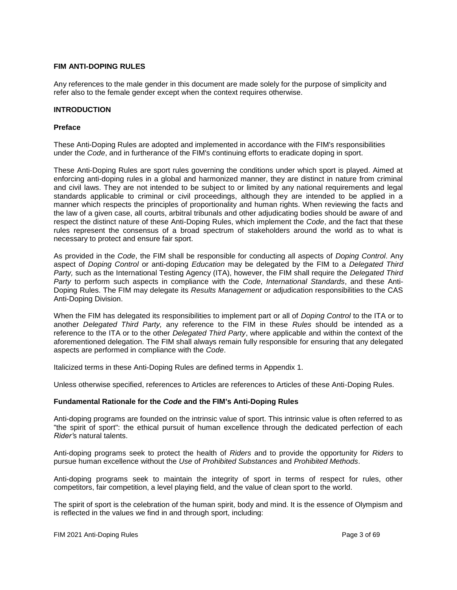## **FIM ANTI-DOPING RULES**

<span id="page-2-0"></span>Any references to the male gender in this document are made solely for the purpose of simplicity and refer also to the female gender except when the context requires otherwise.

#### **INTRODUCTION**

#### **Preface**

These Anti-Doping Rules are adopted and implemented in accordance with the FIM's responsibilities under the *Code*, and in furtherance of the FIM's continuing efforts to eradicate doping in sport.

These Anti-Doping Rules are sport rules governing the conditions under which sport is played. Aimed at enforcing anti-doping rules in a global and harmonized manner, they are distinct in nature from criminal and civil laws. They are not intended to be subject to or limited by any national requirements and legal standards applicable to criminal or civil proceedings, although they are intended to be applied in a manner which respects the principles of proportionality and human rights. When reviewing the facts and the law of a given case, all courts, arbitral tribunals and other adjudicating bodies should be aware of and respect the distinct nature of these Anti-Doping Rules, which implement the *Code*, and the fact that these rules represent the consensus of a broad spectrum of stakeholders around the world as to what is necessary to protect and ensure fair sport.

As provided in the *Code*, the FIM shall be responsible for conducting all aspects of *Doping Control*. Any aspect of *Doping Control* or anti-doping *Education* may be delegated by the FIM to a *Delegated Third Party,* such as the International Testing Agency (ITA), however, the FIM shall require the *Delegated Third Party* to perform such aspects in compliance with the *Code*, *International Standards*, and these Anti-Doping Rules. The FIM may delegate its *Results Management* or adjudication responsibilities to the CAS Anti-Doping Division.

When the FIM has delegated its responsibilities to implement part or all of *Doping Control* to the ITA or to another *Delegated Third Party,* any reference to the FIM in these *Rules* should be intended as a reference to the ITA or to the other *Delegated Third Party*, where applicable and within the context of the aforementioned delegation. The FIM shall always remain fully responsible for ensuring that any delegated aspects are performed in compliance with the *Code*.

Italicized terms in these Anti-Doping Rules are defined terms in Appendix 1.

Unless otherwise specified, references to Articles are references to Articles of these Anti-Doping Rules.

#### **Fundamental Rationale for the** *Code* **and the FIM's Anti-Doping Rules**

Anti-doping programs are founded on the intrinsic value of sport. This intrinsic value is often referred to as "the spirit of sport": the ethical pursuit of human excellence through the dedicated perfection of each *Rider'*s natural talents.

Anti-doping programs seek to protect the health of *Riders* and to provide the opportunity for *Riders* to pursue human excellence without the *Use* of *Prohibited Substances* and *Prohibited Methods*.

Anti-doping programs seek to maintain the integrity of sport in terms of respect for rules, other competitors, fair competition, a level playing field, and the value of clean sport to the world.

The spirit of sport is the celebration of the human spirit, body and mind. It is the essence of Olympism and is reflected in the values we find in and through sport, including: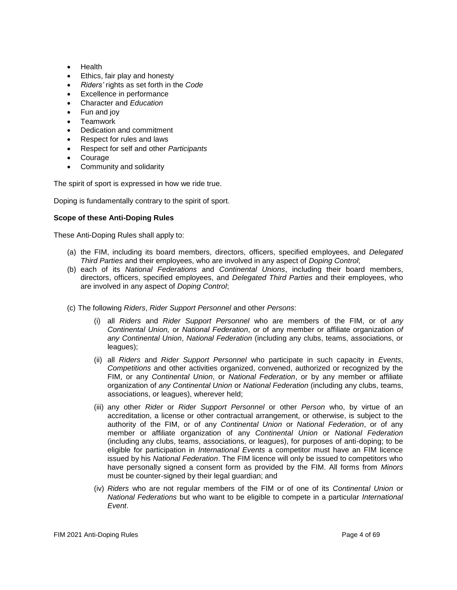- Health
- Ethics, fair play and honesty
- *Riders'* rights as set forth in the *Code*
- Excellence in performance
- Character and *Education*
- Fun and joy
- **Teamwork**
- Dedication and commitment
- Respect for rules and laws
- Respect for self and other *Participants*
- Courage
- Community and solidarity

The spirit of sport is expressed in how we ride true.

Doping is fundamentally contrary to the spirit of sport.

## **Scope of these Anti-Doping Rules**

These Anti-Doping Rules shall apply to:

- (a) the FIM, including its board members, directors, officers, specified employees, and *Delegated Third Parties* and their employees, who are involved in any aspect of *Doping Control*;
- (b) each of its *National Federations* and *Continental Unions*, including their board members, directors, officers, specified employees, and *Delegated Third Parties* and their employees, who are involved in any aspect of *Doping Control*;
- (c) The following *Riders*, *Rider Support Personnel* and other *Persons*:
	- (i) all *Riders* and *Rider Support Personnel* who are members of the FIM, or of *any Continental Union,* or *National Federation*, or of any member or affiliate organization *of any Continental Union*, *National Federation* (including any clubs, teams, associations, or leagues);
	- (ii) all *Riders* and *Rider Support Personnel* who participate in such capacity in *Events*, *Competitions* and other activities organized, convened, authorized or recognized by the FIM, or any *Continental Union*, or *National Federation*, or by any member or affiliate organization of *any Continental Union* or *National Federation* (including any clubs, teams, associations, or leagues), wherever held;
	- (iii) any other *Rider* or *Rider Support Personnel* or other *Person* who, by virtue of an accreditation, a license or other contractual arrangement, or otherwise, is subject to the authority of the FIM, or of any *Continental Union* or *National Federation*, or of any member or affiliate organization of any *Continental Union* or *National Federation*  (including any clubs, teams, associations, or leagues), for purposes of anti-doping; to be eligible for participation in *International Events* a competitor must have an FIM licence issued by his *National Federation*. The FIM licence will only be issued to competitors who have personally signed a consent form as provided by the FIM. All forms from *Minors*  must be counter-signed by their legal guardian; and
	- (iv) *Riders* who are not regular members of the FIM or of one of its *Continental Union* or *National Federations* but who want to be eligible to compete in a particular *International Event*.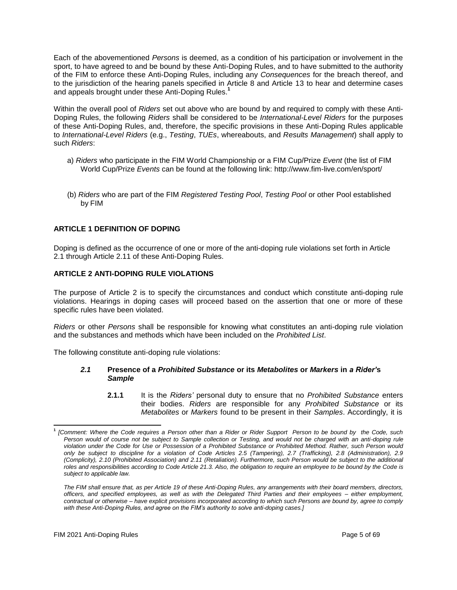Each of the abovementioned *Persons* is deemed, as a condition of his participation or involvement in the sport, to have agreed to and be bound by these Anti-Doping Rules, and to have submitted to the authority of the FIM to enforce these Anti-Doping Rules, including any *Consequences* for the breach thereof, and to the jurisdiction of the hearing panels specified in Article 8 and Article 13 to hear and determine cases and appeals brought under these Anti-Doping Rules.**<sup>1</sup>**

Within the overall pool of *Riders* set out above who are bound by and required to comply with these Anti-Doping Rules, the following *Riders* shall be considered to be *International-Level Riders* for the purposes of these Anti-Doping Rules, and, therefore, the specific provisions in these Anti-Doping Rules applicable to *International-Level Riders* (e.g., *Testing*, *TUEs*, whereabouts, and *Results Management*) shall apply to such *Riders*:

- a) *Riders* who participate in the FIM World Championship or a FIM Cup/Prize *Event* (the list of FIM World Cup/Prize *Events* can be found at the following link:<http://www.fim-live.com/en/sport/>
- (b) *Riders* who are part of the FIM *Registered Testing Pool*, *Testing Pool* or other Pool established by FIM

# <span id="page-4-0"></span>**ARTICLE 1 DEFINITION OF DOPING**

Doping is defined as the occurrence of one or more of the anti-doping rule violations set forth in Article 2.1 through Article 2.11 of these Anti-Doping Rules.

## <span id="page-4-1"></span>**ARTICLE 2 ANTI-DOPING RULE VIOLATIONS**

The purpose of Article 2 is to specify the circumstances and conduct which constitute anti-doping rule violations. Hearings in doping cases will proceed based on the assertion that one or more of these specific rules have been violated.

*Riders* or other *Persons* shall be responsible for knowing what constitutes an anti-doping rule violation and the substances and methods which have been included on the *Prohibited List*.

The following constitute anti-doping rule violations:

## *2.1* **Presence of a** *Prohibited Substance* **or its** *Metabolites* **or** *Markers* **in** *a Rider'***s**  *Sample*

**2.1.1** It is the *Riders'* personal duty to ensure that no *Prohibited Substance* enters their bodies. *Riders* are responsible for any *Prohibited Substance* or its *Metabolites* or *Markers* found to be present in their *Samples*. Accordingly, it is

**<sup>1</sup>** *[Comment: Where the Code requires a Person other than a Rider or Rider Support Person to be bound by the Code, such Person would of course not be subject to Sample collection or Testing, and would not be charged with an anti-doping rule violation under the Code for Use or Possession of a Prohibited Substance or Prohibited Method. Rather, such Person would only be subject to discipline for a violation of Code Articles 2.5 (Tampering), 2.7 (Trafficking), 2.8 (Administration), 2.9 (Complicity), 2.10 (Prohibited Association) and 2.11 (Retaliation). Furthermore, such Person would be subject to the additional roles and responsibilities according to Code Article 21.3. Also, the obligation to require an employee to be bound by the Code is subject to applicable law.*

*The FIM shall ensure that, as per Article 19 of these Anti-Doping Rules, any arrangements with their board members, directors, officers, and specified employees, as well as with the Delegated Third Parties and their employees – either employment, contractual or otherwise – have explicit provisions incorporated according to which such Persons are bound by, agree to comply with these Anti-Doping Rules, and agree on the FIM's authority to solve anti-doping cases.]*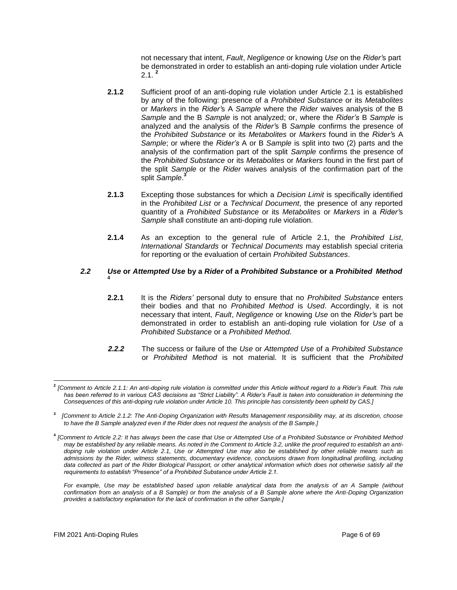not necessary that intent, *Fault*, *Negligence* or knowing *Use* on the *Rider'*s part be demonstrated in order to establish an anti-doping rule violation under Article 2.1. **<sup>2</sup>**

- **2.1.2** Sufficient proof of an anti-doping rule violation under Article 2.1 is established by any of the following: presence of a *Prohibited Substance* or its *Metabolites*  or *Markers* in the *Rider'*s A *Sample* where the *Rider* waives analysis of the B *Sample* and the B *Sample* is not analyzed; or, where the *Rider's* B *Sample* is analyzed and the analysis of the *Rider'*s B *Sample* confirms the presence of the *Prohibited Substance* or its *Metabolites* or *Markers* found in the *Rider'*s A *Sample*; or where the *Rider's* A or B *Sample* is split into two (2) parts and the analysis of the confirmation part of the split *Sample* confirms the presence of the *Prohibited Substance* or its *Metabolites* or *Markers* found in the first part of the split *Sample* or the *Rider* waives analysis of the confirmation part of the split *Sample*. **3**
- **2.1.3** Excepting those substances for which a *Decision Limit* is specifically identified in the *Prohibited List* or a *Technical Document*, the presence of any reported quantity of a *Prohibited Substance* or its *Metabolites* or *Markers* in a *Rider'*s *Sample* shall constitute an anti-doping rule violation.
- **2.1.4** As an exception to the general rule of Article 2.1, the *Prohibited List*, *International Standards* or *Technical Documents* may establish special criteria for reporting or the evaluation of certain *Prohibited Substances*.

#### *2.2 Use* **or** *Attempted Use* **by a** *Rider* **of a** *Prohibited Substance* **or a** *Prohibited Method* **4**

- **2.2.1** It is the *Riders'* personal duty to ensure that no *Prohibited Substance* enters their bodies and that no *Prohibited Method* is *Used*. Accordingly, it is not necessary that intent, *Fault*, *Negligence* or knowing *Use* on the *Rider'*s part be demonstrated in order to establish an anti-doping rule violation for *Use* of a *Prohibited Substance* or a *Prohibited Method*.
- *2.2.2* The success or failure of the *Use* or *Attempted Use* of a *Prohibited Substance* or *Prohibited Method* is not material. It is sufficient that the *Prohibited*

**<sup>2</sup>** *[Comment to Article 2.1.1: An anti-doping rule violation is committed under this Article without regard to a Rider's Fault. This rule has been referred to in various CAS decisions as "Strict Liability". A Rider's Fault is taken into consideration in determining the Consequences of this anti-doping rule violation under Article 10. This principle has consistently been upheld by CAS.]*

**<sup>3</sup>** *[Comment to Article 2.1.2: The Anti-Doping Organization with Results Management responsibility may, at its discretion, choose to have the B Sample analyzed even if the Rider does not request the analysis of the B Sample.]*

**<sup>4</sup>** *[Comment to Article 2.2: It has always been the case that Use or Attempted Use of a Prohibited Substance or Prohibited Method may be established by any reliable means. As noted in the Comment to Article 3.2, unlike the proof required to establish an antidoping rule violation under Article 2.1, Use or Attempted Use may also be established by other reliable means such as admissions by the Rider, witness statements, documentary evidence, conclusions drawn from longitudinal profiling, including data collected as part of the Rider Biological Passport, or other analytical information which does not otherwise satisfy all the requirements to establish "Presence" of a Prohibited Substance under Article 2.1.*

For example, Use may be established based upon reliable analytical data from the analysis of an A Sample (without *confirmation from an analysis of a B Sample) or from the analysis of a B Sample alone where the Anti-Doping Organization provides a satisfactory explanation for the lack of confirmation in the other Sample.]*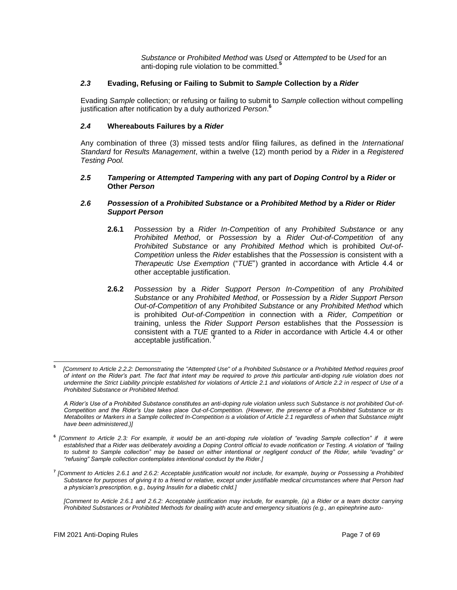*Substance* or *Prohibited Method* was *Used* or *Attempted* to be *Used* for an anti-doping rule violation to be committed.**<sup>5</sup>**

## *2.3* **Evading, Refusing or Failing to Submit to** *Sample* **Collection by a** *Rider*

Evading *Sample* collection; or refusing or failing to submit to *Sample* collection without compelling justification after notification by a duly authorized *Person*. **6**

## *2.4* **Whereabouts Failures by a** *Rider*

Any combination of three (3) missed tests and/or filing failures, as defined in the *International Standard* for *Results Management*, within a twelve (12) month period by a *Rider* in a *Registered Testing Pool.*

#### *2.5 Tampering* **or** *Attempted Tampering* **with any part of** *Doping Control* **by a** *Rider* **or Other** *Person*

#### *2.6 Possession* **of a** *Prohibited Substance* **or a** *Prohibited Method* **by a** *Rider* **or** *Rider Support Person*

- **2.6.1** *Possession* by a *Rider In-Competition* of any *Prohibited Substance* or any *Prohibited Method*, or *Possession* by a *Rider Out-of-Competition* of any *Prohibited Substance* or any *Prohibited Method* which is prohibited *Out-of-Competition* unless the *Rider* establishes that the *Possession* is consistent with a *Therapeutic Use Exemption* ("*TUE*") granted in accordance with Article 4.4 or other acceptable justification.
- **2.6.2** *Possession* by a *Rider Support Person In-Competition* of any *Prohibited Substance* or any *Prohibited Method*, or *Possession* by a *Rider Support Person Out-of-Competition* of any *Prohibited Substance* or any *Prohibited Method* which is prohibited *Out-of-Competition* in connection with a *Rider, Competition* or training, unless the *Rider Support Person* establishes that the *Possession* is consistent with a *TUE* granted to a *Rider* in accordance with Article 4.4 or other acceptable justification. **<sup>7</sup>**

**<sup>5</sup>** *[Comment to Article 2.2.2: Demonstrating the "Attempted Use" of a Prohibited Substance or a Prohibited Method requires proof of intent on the Rider's part. The fact that intent may be required to prove this particular anti-doping rule violation does not undermine the Strict Liability principle established for violations of Article 2.1 and violations of Article 2.2 in respect of Use of a Prohibited Substance or Prohibited Method.*

*A Rider's Use of a Prohibited Substance constitutes an anti-doping rule violation unless such Substance is not prohibited Out-of-Competition and the Rider's Use takes place Out-of-Competition. (However, the presence of a Prohibited Substance or its Metabolites or Markers in a Sample collected In-Competition is a violation of Article 2.1 regardless of when that Substance might have been administered.)]*

**<sup>6</sup>** *[Comment to Article 2.3: For example, it would be an anti-doping rule violation of "evading Sample collection" if it were established that a Rider was deliberately avoiding a Doping Control official to evade notification or Testing. A violation of "failing to submit to Sample collection" may be based on either intentional or negligent conduct of the Rider, while "evading" or "refusing" Sample collection contemplates intentional conduct by the Rider.]*

**<sup>7</sup>** *[Comment to Articles 2.6.1 and 2.6.2: Acceptable justification would not include, for example, buying or Possessing a Prohibited Substance for purposes of giving it to a friend or relative, except under justifiable medical circumstances where that Person had a physician's prescription, e.g., buying Insulin for a diabetic child.]*

*<sup>[</sup>Comment to Article 2.6.1 and 2.6.2: Acceptable justification may include, for example, (a) a Rider or a team doctor carrying Prohibited Substances or Prohibited Methods for dealing with acute and emergency situations (e.g., an epinephrine auto-*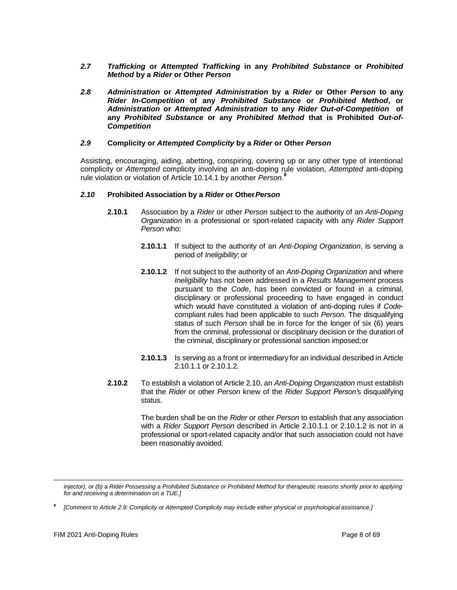- *2.7 Trafficking* **or** *Attempted Trafficking* **in any** *Prohibited Substance* **or** *Prohibited Method* **by a** *Rider* **or Other** *Person*
- *2.8 Administration* **or** *Attempted Administration* **by a** *Rider* **or Other** *Person* **to any**  *Rider In-Competition* **of any** *Prohibited Substance* **or** *Prohibited Method***, or**  *Administration* **or** *Attempted Administration* **to any** *Rider Out-of-Competition* **of any** *Prohibited Substance* **or any** *Prohibited Method* **that is Prohibited** *Out-of-Competition*

## *2.9* **Complicity or** *Attempted Complicity* **by a** *Rider* **or Other** *Person*

Assisting, encouraging, aiding, abetting, conspiring, covering up or any other type of intentional complicity or *Attempted* complicity involving an anti-doping rule violation, *Attempted* anti-doping rule violation or violation of Article 10.14.1 by another *Person*. **8**

## *2.10* **Prohibited Association by a** *Rider* **or Other***Person*

- **2.10.1** Association by a *Rider* or other *Person* subject to the authority of an *Anti-Doping Organization* in a professional or sport-related capacity with any *Rider Support Person* who:
	- **2.10.1.1** If subject to the authority of an *Anti-Doping Organization*, is serving a period of *Ineligibility*; or
	- **2.10.1.2** If not subject to the authority of an *Anti-Doping Organization* and where *Ineligibility* has not been addressed in a *Results Management* process pursuant to the *Code*, has been convicted or found in a criminal, disciplinary or professional proceeding to have engaged in conduct which would have constituted a violation of anti-doping rules if *Code*compliant rules had been applicable to such *Person.* The disqualifying status of such *Person* shall be in force for the longer of six (6) years from the criminal, professional or disciplinary decision or the duration of the criminal, disciplinary or professional sanction imposed;or
	- **2.10.1.3** Is serving as a front or intermediary for an individual described in Article 2.10.1.1 or 2.10.1.2.
- **2.10.2** To establish a violation of Article 2.10, an *Anti-Doping Organization* must establish that the *Rider* or other *Person* knew of the *Rider Support Person'*s disqualifying status.

The burden shall be on the *Rider* or other *Person* to establish that any association with a *Rider Support Person* described in Article 2.10.1.1 or 2.10.1.2 is not in a professional or sport-related capacity and/or that such association could not have been reasonably avoided.

*injector), or (b) a Rider Possessing a Prohibited Substance or Prohibited Method for therapeutic reasons shortly prior to applying for and receiving a determination on a TUE.]*

**<sup>8</sup>** *[Comment to Article 2.9: Complicity or Attempted Complicity may include either physical or psychological assistance.]*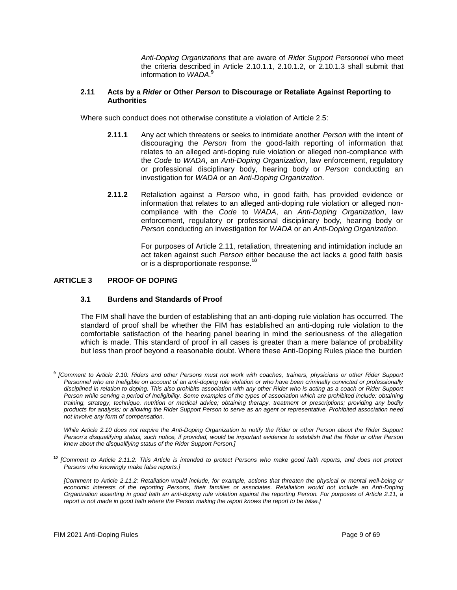*Anti-Doping Organizations* that are aware of *Rider Support Personnel* who meet the criteria described in Article 2.10.1.1, 2.10.1.2, or 2.10.1.3 shall submit that information to *WADA*. **9**

#### **2.11 Acts by a** *Rider* **or Other** *Person* **to Discourage or Retaliate Against Reporting to Authorities**

Where such conduct does not otherwise constitute a violation of Article 2.5:

- **2.11.1** Any act which threatens or seeks to intimidate another *Person* with the intent of discouraging the *Person* from the good-faith reporting of information that relates to an alleged anti-doping rule violation or alleged non-compliance with the *Code* to *WADA*, an *Anti-Doping Organization*, law enforcement, regulatory or professional disciplinary body, hearing body or *Person* conducting an investigation for *WADA* or an *Anti-Doping Organization*.
- **2.11.2** Retaliation against a *Person* who, in good faith, has provided evidence or information that relates to an alleged anti-doping rule violation or alleged noncompliance with the *Code* to *WADA*, an *Anti-Doping Organization*, law enforcement, regulatory or professional disciplinary body, hearing body or *Person* conducting an investigation for *WADA* or an *Anti-Doping Organization*.

For purposes of Article 2.11, retaliation, threatening and intimidation include an act taken against such *Person* either because the act lacks a good faith basis or is a disproportionate response.**<sup>10</sup>**

## <span id="page-8-0"></span>**ARTICLE 3 PROOF OF DOPING**

#### **3.1 Burdens and Standards of Proof**

The FIM shall have the burden of establishing that an anti-doping rule violation has occurred. The standard of proof shall be whether the FIM has established an anti-doping rule violation to the comfortable satisfaction of the hearing panel bearing in mind the seriousness of the allegation which is made. This standard of proof in all cases is greater than a mere balance of probability but less than proof beyond a reasonable doubt. Where these Anti-Doping Rules place the burden

**<sup>9</sup>** *[Comment to Article 2.10: Riders and other Persons must not work with coaches, trainers, physicians or other Rider Support Personnel who are Ineligible on account of an anti-doping rule violation or who have been criminally convicted or professionally disciplined in relation to doping. This also prohibits association with any other Rider who is acting as a coach or Rider Support Person while serving a period of Ineligibility. Some examples of the types of association which are prohibited include: obtaining training, strategy, technique, nutrition or medical advice; obtaining therapy, treatment or prescriptions; providing any bodily products for analysis; or allowing the Rider Support Person to serve as an agent or representative. Prohibited association need not involve any form of compensation.*

*While Article 2.10 does not require the Anti-Doping Organization to notify the Rider or other Person about the Rider Support Person's disqualifying status, such notice, if provided, would be important evidence to establish that the Rider or other Person knew about the disqualifying status of the Rider Support Person.]*

**<sup>10</sup>** *[Comment to Article 2.11.2: This Article is intended to protect Persons who make good faith reports, and does not protect Persons who knowingly make false reports.]*

*<sup>[</sup>Comment to Article 2.11.2: Retaliation would include, for example, actions that threaten the physical or mental well-being or economic interests of the reporting Persons, their families or associates. Retaliation would not include an Anti-Doping Organization asserting in good faith an anti-doping rule violation against the reporting Person. For purposes of Article 2.11, a report is not made in good faith where the Person making the report knows the report to be false.]*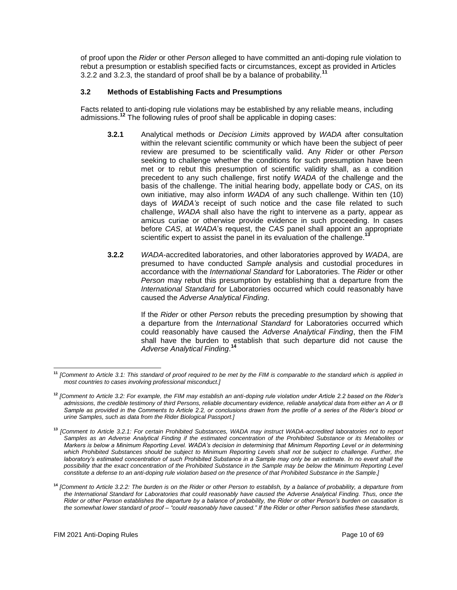of proof upon the *Rider* or other *Person* alleged to have committed an anti-doping rule violation to rebut a presumption or establish specified facts or circumstances, except as provided in Articles 3.2.2 and 3.2.3, the standard of proof shall be by a balance of probability.**<sup>11</sup>**

# **3.2 Methods of Establishing Facts and Presumptions**

Facts related to anti-doping rule violations may be established by any reliable means, including admissions.**<sup>12</sup>** The following rules of proof shall be applicable in doping cases:

- **3.2.1** Analytical methods or *Decision Limits* approved by *WADA* after consultation within the relevant scientific community or which have been the subject of peer review are presumed to be scientifically valid. Any *Rider* or other *Person*  seeking to challenge whether the conditions for such presumption have been met or to rebut this presumption of scientific validity shall, as a condition precedent to any such challenge, first notify *WADA* of the challenge and the basis of the challenge. The initial hearing body, appellate body or *CAS*, on its own initiative, may also inform *WADA* of any such challenge. Within ten (10) days of *WADA's* receipt of such notice and the case file related to such challenge, *WADA* shall also have the right to intervene as a party, appear as amicus curiae or otherwise provide evidence in such proceeding. In cases before *CAS*, at *WADA*'s request, the *CAS* panel shall appoint an appropriate scientific expert to assist the panel in its evaluation of the challenge.<sup>1</sup>
- **3.2.2** *WADA*-accredited laboratories, and other laboratories approved by *WADA*, are presumed to have conducted *Sample* analysis and custodial procedures in accordance with the *International Standard* for Laboratories. The *Rider* or other *Person* may rebut this presumption by establishing that a departure from the *International Standard* for Laboratories occurred which could reasonably have caused the *Adverse Analytical Finding*.

If the *Rider* or other *Person* rebuts the preceding presumption by showing that a departure from the *International Standard* for Laboratories occurred which could reasonably have caused the *Adverse Analytical Finding*, then the FIM shall have the burden to establish that such departure did not cause the *Adverse Analytical Finding*. **14**

**<sup>11</sup>** *[Comment to Article 3.1: This standard of proof required to be met by the FIM is comparable to the standard which is applied in most countries to cases involving professional misconduct.]*

**<sup>12</sup>** *[Comment to Article 3.2: For example, the FIM may establish an anti-doping rule violation under Article 2.2 based on the Rider's admissions, the credible testimony of third Persons, reliable documentary evidence, reliable analytical data from either an A or B Sample as provided in the Comments to Article 2.2, or conclusions drawn from the profile of a series of the Rider's blood or urine Samples, such as data from the Rider Biological Passport.]*

**<sup>13</sup>** *[Comment to Article 3.2.1: For certain Prohibited Substances, WADA may instruct WADA-accredited laboratories not to report*  Samples as an Adverse Analytical Finding if the estimated concentration of the Prohibited Substance or its Metabolites or *Markers is below a Minimum Reporting Level. WADA's decision in determining that Minimum Reporting Level or in determining which Prohibited Substances should be subject to Minimum Reporting Levels shall not be subject to challenge. Further, the laboratory's estimated concentration of such Prohibited Substance in a Sample may only be an estimate. In no event shall the possibility that the exact concentration of the Prohibited Substance in the Sample may be below the Minimum Reporting Level constitute a defense to an anti-doping rule violation based on the presence of that Prohibited Substance in the Sample.]*

**<sup>14</sup>** *[Comment to Article 3.2.2: The burden is on the Rider or other Person to establish, by a balance of probability, a departure from the International Standard for Laboratories that could reasonably have caused the Adverse Analytical Finding. Thus, once the Rider or other Person establishes the departure by a balance of probability, the Rider or other Person's burden on causation is the somewhat lower standard of proof – "could reasonably have caused." If the Rider or other Person satisfies these standards,*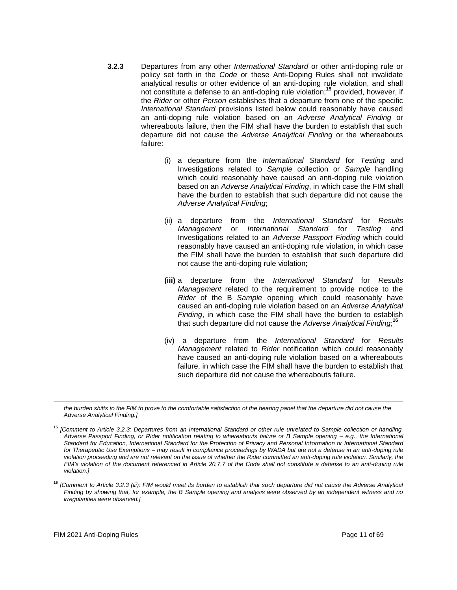- **3.2.3** Departures from any other *International Standard* or other anti-doping rule or policy set forth in the *Code* or these Anti-Doping Rules shall not invalidate analytical results or other evidence of an anti-doping rule violation, and shall not constitute a defense to an anti-doping rule violation;**<sup>15</sup>** provided, however, if the *Rider* or other *Person* establishes that a departure from one of the specific *International Standard* provisions listed below could reasonably have caused an anti-doping rule violation based on an *Adverse Analytical Finding* or whereabouts failure, then the FIM shall have the burden to establish that such departure did not cause the *Adverse Analytical Finding* or the whereabouts failure:
	- (i) a departure from the *International Standard* for *Testing* and Investigations related to *Sample* collection or *Sample* handling which could reasonably have caused an anti-doping rule violation based on an *Adverse Analytical Finding*, in which case the FIM shall have the burden to establish that such departure did not cause the *Adverse Analytical Finding*;
	- (ii) a departure from the *International Standard* for *Results Management* or *International Standard* for *Testing* and Investigations related to an *Adverse Passport Finding* which could reasonably have caused an anti-doping rule violation, in which case the FIM shall have the burden to establish that such departure did not cause the anti-doping rule violation;
	- **(iii)** a departure from the *International Standard* for *Results Management* related to the requirement to provide notice to the *Rider* of the B *Sample* opening which could reasonably have caused an anti-doping rule violation based on an *Adverse Analytical Finding*, in which case the FIM shall have the burden to establish that such departure did not cause the *Adverse Analytical Finding*; **16**
	- (iv) a departure from the *International Standard* for *Results Management* related to *Rider* notification which could reasonably have caused an anti-doping rule violation based on a whereabouts failure, in which case the FIM shall have the burden to establish that such departure did not cause the whereabouts failure.

the burden shifts to the FIM to prove to the comfortable satisfaction of the hearing panel that the departure did not cause the *Adverse Analytical Finding.]*

**<sup>15</sup>** *[Comment to Article 3.2.3: Departures from an International Standard or other rule unrelated to Sample collection or handling, Adverse Passport Finding, or Rider notification relating to whereabouts failure or B Sample opening – e.g., the International Standard for Education, International Standard for the Protection of Privacy and Personal Information or International Standard for Therapeutic Use Exemptions – may result in compliance proceedings by WADA but are not a defense in an anti-doping rule violation proceeding and are not relevant on the issue of whether the Rider committed an anti-doping rule violation. Similarly, the FIM's violation of the document referenced in Article 20.7.7 of the Code shall not constitute a defense to an anti-doping rule violation.]*

**<sup>16</sup>** *[Comment to Article 3.2.3 (iii): FIM would meet its burden to establish that such departure did not cause the Adverse Analytical Finding by showing that, for example, the B Sample opening and analysis were observed by an independent witness and no irregularities were observed.]*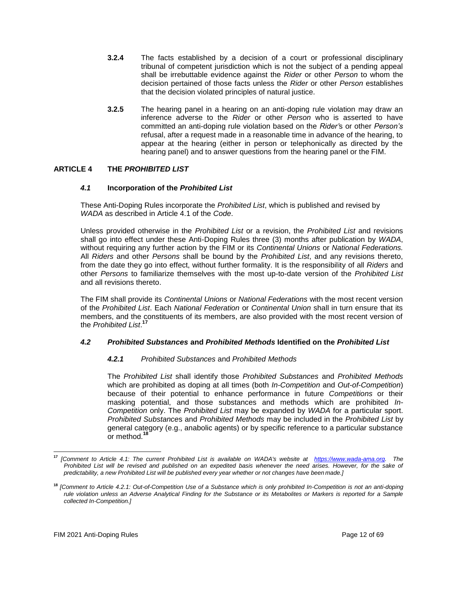- **3.2.4** The facts established by a decision of a court or professional disciplinary tribunal of competent jurisdiction which is not the subject of a pending appeal shall be irrebuttable evidence against the *Rider* or other *Person* to whom the decision pertained of those facts unless the *Rider* or other *Person* establishes that the decision violated principles of natural justice.
- **3.2.5** The hearing panel in a hearing on an anti-doping rule violation may draw an inference adverse to the *Rider* or other *Person* who is asserted to have committed an anti-doping rule violation based on the *Rider'*s or other *Person's*  refusal, after a request made in a reasonable time in advance of the hearing, to appear at the hearing (either in person or telephonically as directed by the hearing panel) and to answer questions from the hearing panel or the FIM.

# <span id="page-11-0"></span>**ARTICLE 4 THE** *PROHIBITED LIST*

# *4.1* **Incorporation of the** *Prohibited List*

These Anti-Doping Rules incorporate the *Prohibited List*, which is published and revised by *WADA* as described in Article 4.1 of the *Code*.

Unless provided otherwise in the *Prohibited List* or a revision, the *Prohibited List* and revisions shall go into effect under these Anti-Doping Rules three (3) months after publication by *WADA*, without requiring any further action by the FIM or its *Continental Unions* or *National Federations.*  All *Riders* and other *Persons* shall be bound by the *Prohibited List*, and any revisions thereto, from the date they go into effect, without further formality. It is the responsibility of all *Riders* and other *Persons* to familiarize themselves with the most up-to-date version of the *Prohibited List*  and all revisions thereto.

The FIM shall provide its *Continental Unions* or *National Federations* with the most recent version of the *Prohibited List*. Each *National Federation* or *Continental Union* shall in turn ensure that its members, and the constituents of its members, are also provided with the most recent version of the *Prohibited List*. **17**

# *4.2 Prohibited Substances* **and** *Prohibited Methods* **Identified on the** *Prohibited List*

# *4.2.1 Prohibited Substances* and *Prohibited Methods*

The *Prohibited List* shall identify those *Prohibited Substances* and *Prohibited Methods*  which are prohibited as doping at all times (both *In-Competition* and *Out-of-Competition*) because of their potential to enhance performance in future *Competitions* or their masking potential, and those substances and methods which are prohibited *In-Competition* only. The *Prohibited List* may be expanded by *WADA* for a particular sport. *Prohibited Substance*s and *Prohibited Methods* may be included in the *Prohibited List* by general category (e.g., anabolic agents) or by specific reference to a particular substance or method.**<sup>18</sup>**

**<sup>17</sup>** *[Comment to Article 4.1: The current Prohibited List is available on WADA's website at [https://www.wada-ama.org.](https://www.wada-ama.org/) The*  Prohibited List will be revised and published on an expedited basis whenever the need arises. However, for the sake of *predictability, a new Prohibited List will be published every year whether or not changes have been made.]*

**<sup>18</sup>** *[Comment to Article 4.2.1: Out-of-Competition Use of a Substance which is only prohibited In-Competition is not an anti-doping rule violation unless an Adverse Analytical Finding for the Substance or its Metabolites or Markers is reported for a Sample collected In-Competition.]*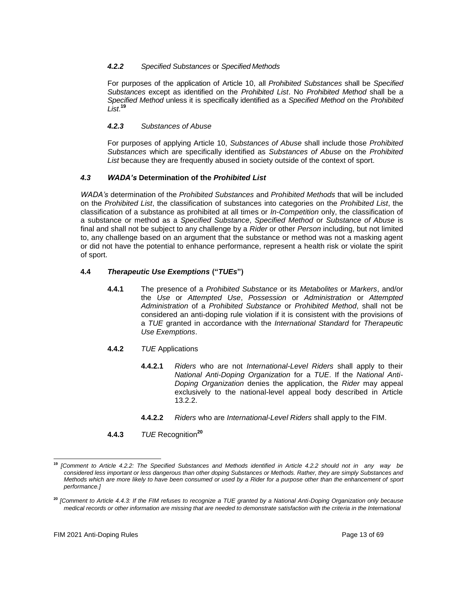# *4.2.2 Specified Substances* or *Specified Methods*

For purposes of the application of Article 10, all *Prohibited Substances* shall be *Specified Substances* except as identified on the *Prohibited List*. No *Prohibited Method* shall be a *Specified Method* unless it is specifically identified as a *Specified Method* on the *Prohibited List*. **19**

# *4.2.3 Substances of Abuse*

For purposes of applying Article 10, *Substances of Abuse* shall include those *Prohibited Substances* which are specifically identified as *Substances of Abuse* on the *Prohibited*  List because they are frequently abused in society outside of the context of sport.

# *4.3 WADA's* **Determination of the** *Prohibited List*

*WADA's* determination of the *Prohibited Substances* and *Prohibited Methods* that will be included on the *Prohibited List*, the classification of substances into categories on the *Prohibited List*, the classification of a substance as prohibited at all times or *In-Competition* only, the classification of a substance or method as a *Specified Substance*, *Specified Method* or *Substance of Abuse* is final and shall not be subject to any challenge by a *Rider* or other *Person* including, but not limited to, any challenge based on an argument that the substance or method was not a masking agent or did not have the potential to enhance performance, represent a health risk or violate the spirit of sport.

# **4.4** *Therapeutic Use Exemptions* **("***TUEs***")**

**4.4.1** The presence of a *Prohibited Substance* or its *Metabolites* or *Markers*, and/or the *Use* or *Attempted Use*, *Possession* or *Administration* or *Attempted Administration* of a *Prohibited Substance* or *Prohibited Method*, shall not be considered an anti-doping rule violation if it is consistent with the provisions of a *TUE* granted in accordance with the *International Standard* for *Therapeutic Use Exemptions*.

# **4.4.2** *TUE* Applications

- **4.4.2.1** *Riders* who are not *International-Level Riders* shall apply to their *National Anti-Doping Organization* for a *TUE*. If the *National Anti-Doping Organization* denies the application, the *Rider* may appeal exclusively to the national-level appeal body described in Article 13.2.2.
- **4.4.2.2** *Riders* who are *International-Level Riders* shall apply to the FIM.
- **4.4.3** *TUE* Recognition**<sup>20</sup>**

**<sup>19</sup>** *[Comment to Article 4.2.2: The Specified Substances and Methods identified in Article 4.2.2 should not in any way be considered less important or less dangerous than other doping Substances or Methods. Rather, they are simply Substances and Methods which are more likely to have been consumed or used by a Rider for a purpose other than the enhancement of sport performance.]*

**<sup>20</sup>** *[Comment to Article 4.4.3: If the FIM refuses to recognize a TUE granted by a National Anti-Doping Organization only because medical records or other information are missing that are needed to demonstrate satisfaction with the criteria in the International*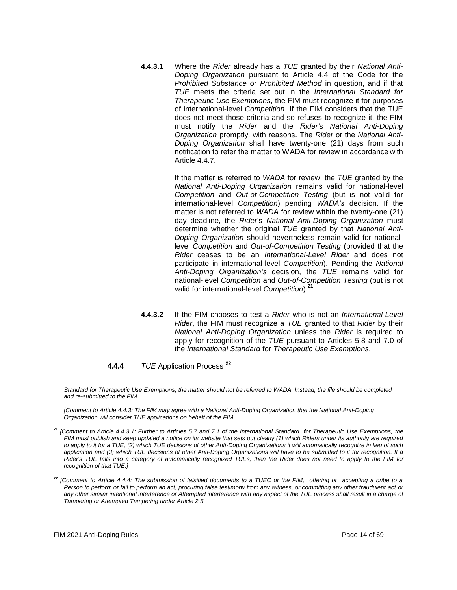**4.4.3.1** Where the *Rider* already has a *TUE* granted by their *National Anti-Doping Organization* pursuant to Article 4.4 of the Code for the *Prohibited Substance* or *Prohibited Method* in question, and if that *TUE* meets the criteria set out in the *International Standard for Therapeutic Use Exemptions*, the FIM must recognize it for purposes of international-level *Competition*. If the FIM considers that the TUE does not meet those criteria and so refuses to recognize it, the FIM must notify the *Rider* and the *Rider'*s *National Anti-Doping Organization* promptly, with reasons. The *Rider* or the *National Anti-Doping Organization* shall have twenty-one (21) days from such notification to refer the matter to WADA for review in accordance with Article 4.4.7.

> If the matter is referred to *WADA* for review, the *TUE* granted by the *National Anti-Doping Organization* remains valid for national-level *Competition* and *Out-of-Competition Testing* (but is not valid for international-level *Competition*) pending *WADA's* decision. If the matter is not referred to *WADA* for review within the twenty-one (21) day deadline, the *Rider*'s *National Anti-Doping Organization* must determine whether the original *TUE* granted by that *National Anti-Doping Organization* should nevertheless remain valid for nationallevel *Competition* and *Out-of-Competition Testing* (provided that the *Rider* ceases to be an *International-Level Rider* and does not participate in international-level *Competition*). Pending the *National Anti-Doping Organization's* decision, the *TUE* remains valid for national-level *Competition* and *Out-of-Competition Testing* (but is not valid for international-level *Competition*).**<sup>21</sup>**

- **4.4.3.2** If the FIM chooses to test a *Rider* who is not an *International-Level Rider*, the FIM must recognize a *TUE* granted to that *Rider* by their *National Anti-Doping Organization* unless the *Rider* is required to apply for recognition of the *TUE* pursuant to Articles 5.8 and 7.0 of the *International Standard* for *Therapeutic Use Exemptions*.
- **4.4.4** *TUE* Application Process **<sup>22</sup>**

Standard for Therapeutic Use Exemptions, the matter should not be referred to WADA. Instead, the file should be completed *and re-submitted to the FIM.*

*[Comment to Article 4.4.3: The FIM may agree with a National Anti-Doping Organization that the National Anti-Doping Organization will consider TUE applications on behalf of the FIM.*

**<sup>22</sup>** *[Comment to Article 4.4.4: The submission of falsified documents to a TUEC or the FIM, offering or accepting a bribe to a Person to perform or fail to perform an act, procuring false testimony from any witness, or committing any other fraudulent act or*  any other similar intentional interference or Attempted interference with any aspect of the TUE process shall result in a charge of *Tampering or Attempted Tampering under Article 2.5.*

**<sup>21</sup>** *[Comment to Article 4.4.3.1: Further to Articles 5.7 and 7.1 of the International Standard for Therapeutic Use Exemptions, the FIM must publish and keep updated a notice on its website that sets out clearly (1) which Riders under its authority are required to apply to it for a TUE, (2) which TUE decisions of other Anti-Doping Organizations it will automatically recognize in lieu of such application and (3) which TUE decisions of other Anti-Doping Organizations will have to be submitted to it for recognition. If a Rider's TUE falls into a category of automatically recognized TUEs, then the Rider does not need to apply to the FIM for recognition of that TUE.]*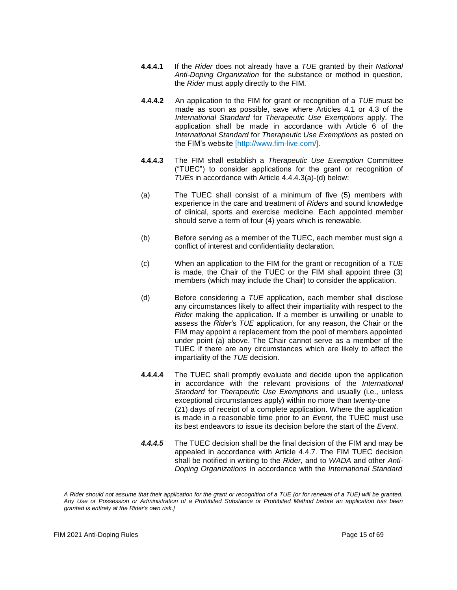- **4.4.4.1** If the *Rider* does not already have a *TUE* granted by their *National Anti-Doping Organization* for the substance or method in question, the *Rider* must apply directly to the FIM.
- **4.4.4.2** An application to the FIM for grant or recognition of a *TUE* must be made as soon as possible, save where Articles 4.1 or 4.3 of the *International Standard* for *Therapeutic Use Exemptions* apply. The application shall be made in accordance with Article 6 of the *International Standard* for *Therapeutic Use Exemptions* as posted on the FIM's website [\[http://www.fim-live.com/\].](http://www.fim-live.com/)
- **4.4.4.3** The FIM shall establish a *Therapeutic Use Exemption* Committee ("TUEC") to consider applications for the grant or recognition of *TUEs* in accordance with Article 4.4.4.3(a)-(d) below:
- (a) The TUEC shall consist of a minimum of five (5) members with experience in the care and treatment of *Riders* and sound knowledge of clinical, sports and exercise medicine. Each appointed member should serve a term of four (4) years which is renewable.
- (b) Before serving as a member of the TUEC, each member must sign a conflict of interest and confidentiality declaration.
- (c) When an application to the FIM for the grant or recognition of a *TUE*  is made, the Chair of the TUEC or the FIM shall appoint three (3) members (which may include the Chair) to consider the application.
- (d) Before considering a *TUE* application, each member shall disclose any circumstances likely to affect their impartiality with respect to the *Rider* making the application. If a member is unwilling or unable to assess the *Rider'*s *TUE* application, for any reason, the Chair or the FIM may appoint a replacement from the pool of members appointed under point (a) above. The Chair cannot serve as a member of the TUEC if there are any circumstances which are likely to affect the impartiality of the *TUE* decision.
- **4.4.4.4** The TUEC shall promptly evaluate and decide upon the application in accordance with the relevant provisions of the *International Standard* for *Therapeutic Use Exemptions* and usually (i.e., unless exceptional circumstances apply) within no more than twenty-one (21) days of receipt of a complete application. Where the application is made in a reasonable time prior to an *Event*, the TUEC must use its best endeavors to issue its decision before the start of the *Event*.
- *4.4.4.5* The TUEC decision shall be the final decision of the FIM and may be appealed in accordance with Article 4.4.7. The FIM TUEC decision shall be notified in writing to the *Rider,* and to *WADA* and other *Anti-Doping Organizations* in accordance with the *International Standard*

*A Rider should not assume that their application for the grant or recognition of a TUE (or for renewal of a TUE) will be granted. Any Use or Possession or Administration of a Prohibited Substance or Prohibited Method before an application has been granted is entirely at the Rider's own risk.]*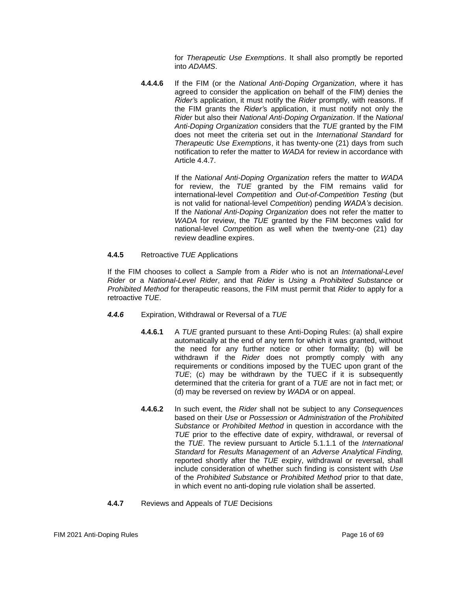for *Therapeutic Use Exemptions*. It shall also promptly be reported into *ADAMS*.

**4.4.4.6** If the FIM (or the *National Anti-Doping Organization*, where it has agreed to consider the application on behalf of the FIM) denies the *Rider'*s application, it must notify the *Rider* promptly, with reasons. If the FIM grants the *Rider'*s application, it must notify not only the *Rider* but also their *National Anti-Doping Organization*. If the *National Anti-Doping Organization* considers that the *TUE* granted by the FIM does not meet the criteria set out in the *International Standard* for *Therapeutic Use Exemptions*, it has twenty-one (21) days from such notification to refer the matter to *WADA* for review in accordance with Article 4.4.7.

> If the *National Anti-Doping Organization* refers the matter to *WADA*  for review, the *TUE* granted by the FIM remains valid for international-level *Competition* and *Out-of-Competition Testing* (but is not valid for national-level *Competition*) pending *WADA's* decision. If the *National Anti-Doping Organization* does not refer the matter to *WADA* for review, the *TUE* granted by the FIM becomes valid for national-level *Competitio*n as well when the twenty-one (21) day review deadline expires.

## **4.4.5** Retroactive *TUE* Applications

If the FIM chooses to collect a *Sample* from a *Rider* who is not an *International-Level Rider* or a *National-Level Rider*, and that *Rider* is *Using* a *Prohibited Substance* or *Prohibited Method* for therapeutic reasons, the FIM must permit that *Rider* to apply for a retroactive *TUE*.

- *4.4.6* Expiration, Withdrawal or Reversal of a *TUE*
	- **4.4.6.1** A *TUE* granted pursuant to these Anti-Doping Rules: (a) shall expire automatically at the end of any term for which it was granted, without the need for any further notice or other formality; (b) will be withdrawn if the *Rider* does not promptly comply with any requirements or conditions imposed by the TUEC upon grant of the *TUE*; (c) may be withdrawn by the TUEC if it is subsequently determined that the criteria for grant of a *TUE* are not in fact met; or (d) may be reversed on review by *WADA* or on appeal.
	- **4.4.6.2** In such event, the *Rider* shall not be subject to any *Consequences*  based on their *Use* or *Possession* or *Administration* of the *Prohibited Substance* or *Prohibited Method* in question in accordance with the *TUE* prior to the effective date of expiry, withdrawal, or reversal of the *TUE*. The review pursuant to Article 5.1.1.1 of the *International Standard* for *Results Management* of an *Adverse Analytical Finding,*  reported shortly after the *TUE* expiry, withdrawal or reversal, shall include consideration of whether such finding is consistent with *Use*  of the *Prohibited Substance* or *Prohibited Method* prior to that date, in which event no anti-doping rule violation shall be asserted.
- **4.4.7** Reviews and Appeals of *TUE* Decisions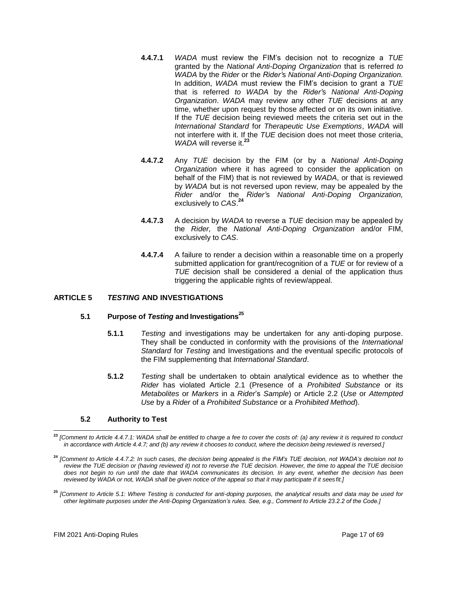- **4.4.7.1** *WADA* must review the FIM's decision not to recognize a *TUE*  granted by the *National Anti-Doping Organization* that is referred *to WADA* by the *Rider* or the *Rider'*s *National Anti-Doping Organization.*  In addition, *WADA* must review the FIM's decision to grant a *TUE*  that is referred *to WADA* by the *Rider'*s *National Anti-Doping Organization*. *WADA* may review any other *TUE* decisions at any time, whether upon request by those affected or on its own initiative. If the *TUE* decision being reviewed meets the criteria set out in the *International Standard* for *Therapeutic Use Exemptions*, *WADA* will not interfere with it. If the *TUE* decision does not meet those criteria, *WADA* will reverse it.**<sup>23</sup>**
- **4.4.7.2** Any *TUE* decision by the FIM (or by a *National Anti-Doping Organization* where it has agreed to consider the application on behalf of the FIM) that is not reviewed by *WADA*, or that is reviewed by *WADA* but is not reversed upon review, may be appealed by the *Rider* and/or the *Rider'*s *National Anti-Doping Organization,*  exclusively to *CAS*. **24**
- **4.4.7.3** A decision by *WADA* to reverse a *TUE* decision may be appealed by the *Rider,* the *National Anti-Doping Organization* and/or FIM, exclusively to *CAS*.
- **4.4.7.4** A failure to render a decision within a reasonable time on a properly submitted application for grant/recognition of a *TUE* or for review of a *TUE* decision shall be considered a denial of the application thus triggering the applicable rights of review/appeal.

# <span id="page-16-0"></span>**ARTICLE 5** *TESTING* **AND INVESTIGATIONS**

## **5.1 Purpose of** *Testing* **and Investigations<sup>25</sup>**

- **5.1.1** *Testing* and investigations may be undertaken for any anti-doping purpose. They shall be conducted in conformity with the provisions of the *International Standard* for *Testing* and Investigations and the eventual specific protocols of the FIM supplementing that *International Standard*.
- **5.1.2** *Testing* shall be undertaken to obtain analytical evidence as to whether the *Rider* has violated Article 2.1 (Presence of a *Prohibited Substance* or its *Metabolites* or *Markers* in a *Rider*'s *Sample*) or Article 2.2 (*Use* or *Attempted Use* by a *Rider* of a *Prohibited Substance* or a *Prohibited Method*).

#### **5.2 Authority to Test**

**<sup>23</sup>** *[Comment to Article 4.4.7.1: WADA shall be entitled to charge a fee to cover the costs of: (a) any review it is required to conduct*  in accordance with Article 4.4.7; and (b) any review it chooses to conduct, where the decision being reviewed is reversed.]

**<sup>24</sup>** *[Comment to Article 4.4.7.2: In such cases, the decision being appealed is the FIM's TUE decision, not WADA's decision not to review the TUE decision or (having reviewed it) not to reverse the TUE decision. However, the time to appeal the TUE decision does not begin to run until the date that WADA communicates its decision. In any event, whether the decision has been reviewed by WADA or not, WADA shall be given notice of the appeal so that it may participate if it sees fit.]*

**<sup>25</sup>** *[Comment to Article 5.1: Where Testing is conducted for anti-doping purposes, the analytical results and data may be used for other legitimate purposes under the Anti-Doping Organization's rules. See, e.g., Comment to Article 23.2.2 of the Code.]*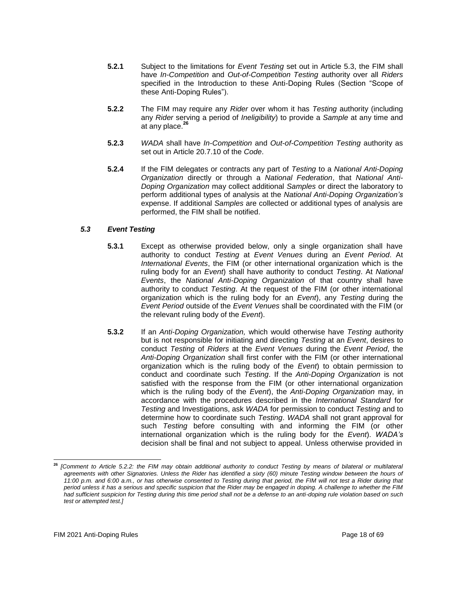- **5.2.1** Subject to the limitations for *Event Testing* set out in Article 5.3, the FIM shall have *In-Competition* and *Out-of-Competition Testing* authority over all *Riders*  specified in the Introduction to these Anti-Doping Rules (Section "Scope of these Anti-Doping Rules").
- **5.2.2** The FIM may require any *Rider* over whom it has *Testing* authority (including any *Rider* serving a period of *Ineligibility*) to provide a *Sample* at any time and at any place.**<sup>26</sup>**
- **5.2.3** *WADA* shall have *In-Competition* and *Out-of-Competition Testing* authority as set out in Article 20.7.10 of the *Code*.
- **5.2.4** If the FIM delegates or contracts any part of *Testing* to a *National Anti-Doping Organization* directly or through a *National Federation*, that *National Anti-Doping Organization* may collect additional *Samples* or direct the laboratory to perform additional types of analysis at the *National Anti-Doping Organization's*  expense. If additional *Samples* are collected or additional types of analysis are performed, the FIM shall be notified.

## *5.3 Event Testing*

- **5.3.1** Except as otherwise provided below, only a single organization shall have authority to conduct *Testing* at *Event Venues* during an *Event Period*. At *International Events*, the FIM (or other international organization which is the ruling body for an *Event*) shall have authority to conduct *Testing*. At *National Events*, the *National Anti-Doping Organization* of that country shall have authority to conduct *Testing*. At the request of the FIM (or other international organization which is the ruling body for an *Event*), any *Testing* during the *Event Period* outside of the *Event Venues* shall be coordinated with the FIM (or the relevant ruling body of the *Event*).
- **5.3.2** If an *Anti-Doping Organization,* which would otherwise have *Testing* authority but is not responsible for initiating and directing *Testing* at an *Event*, desires to conduct *Testing* of *Riders* at the *Event Venues* during the *Event Period*, the *Anti-Doping Organization* shall first confer with the FIM (or other international organization which is the ruling body of the *Event*) to obtain permission to conduct and coordinate such *Testing*. If the *Anti-Doping Organization* is not satisfied with the response from the FIM (or other international organization which is the ruling body of the *Event*), the *Anti-Doping Organization* may, in accordance with the procedures described in the *International Standard* for *Testing* and Investigations, ask *WADA* for permission to conduct *Testing* and to determine how to coordinate such *Testing*. *WADA* shall not grant approval for such *Testing* before consulting with and informing the FIM (or other international organization which is the ruling body for the *Event*). *WADA's*  decision shall be final and not subject to appeal. Unless otherwise provided in

**<sup>26</sup>** *[Comment to Article 5.2.2: the FIM may obtain additional authority to conduct Testing by means of bilateral or multilateral*  agreements with other Signatories. Unless the Rider has identified a sixty (60) minute Testing window between the hours of *11:00 p.m. and 6:00 a.m., or has otherwise consented to Testing during that period, the FIM will not test a Rider during that period unless it has a serious and specific suspicion that the Rider may be engaged in doping. A challenge to whether the FIM had sufficient suspicion for Testing during this time period shall not be a defense to an anti-doping rule violation based on such test or attempted test.]*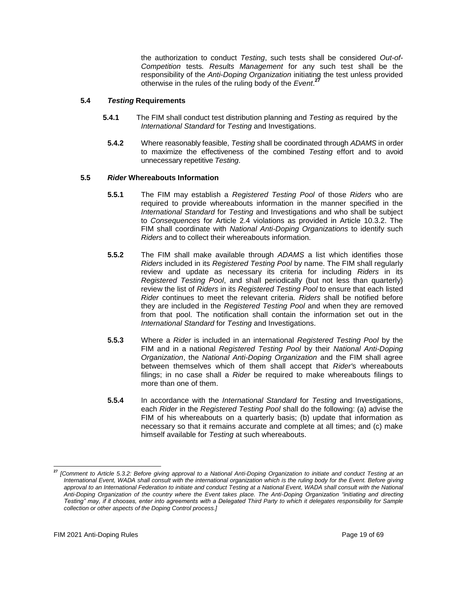the authorization to conduct *Testing*, such tests shall be considered *Out-of-Competition* tests*. Results Management* for any such test shall be the responsibility of the *Anti-Doping Organization* initiating the test unless provided otherwise in the rules of the ruling body of the *Event*. **27**

## **5.4** *Testing* **Requirements**

- **5.4.1** The FIM shall conduct test distribution planning and *Testing* as required by the *International Standard* for *Testing* and Investigations.
	- **5.4.2** Where reasonably feasible, *Testing* shall be coordinated through *ADAMS* in order to maximize the effectiveness of the combined *Testing* effort and to avoid unnecessary repetitive *Testing*.

## **5.5** *Rider* **Whereabouts Information**

- **5.5.1** The FIM may establish a *Registered Testing Pool* of those *Riders* who are required to provide whereabouts information in the manner specified in the *International Standard* for *Testing* and Investigations and who shall be subject to *Consequences* for Article 2.4 violations as provided in Article 10.3.2. The FIM shall coordinate with *National Anti-Doping Organizations* to identify such *Riders* and to collect their whereabouts information.
- **5.5.2** The FIM shall make available through *ADAMS* a list which identifies those *Riders* included in its *Registered Testing Pool* by name. The FIM shall regularly review and update as necessary its criteria for including *Riders* in its *Registered Testing Pool*, and shall periodically (but not less than quarterly) review the list of *Riders* in its *Registered Testing Pool* to ensure that each listed *Rider* continues to meet the relevant criteria. *Riders* shall be notified before they are included in the *Registered Testing Pool* and when they are removed from that pool. The notification shall contain the information set out in the *International Standard* for *Testing* and Investigations.
- **5.5.3** Where a *Rider* is included in an international *Registered Testing Pool* by the FIM and in a national *Registered Testing Pool* by their *National Anti-Doping Organization*, the *National Anti-Doping Organization* and the FIM shall agree between themselves which of them shall accept that *Rider'*s whereabouts filings; in no case shall a *Rider* be required to make whereabouts filings to more than one of them.
- **5.5.4** In accordance with the *International Standard* for *Testing* and Investigations, each *Rider* in the *Registered Testing Pool* shall do the following: (a) advise the FIM of his whereabouts on a quarterly basis; (b) update that information as necessary so that it remains accurate and complete at all times; and (c) make himself available for *Testing* at such whereabouts.

**<sup>27</sup>** *[Comment to Article 5.3.2: Before giving approval to a National Anti-Doping Organization to initiate and conduct Testing at an International Event, WADA shall consult with the international organization which is the ruling body for the Event. Before giving approval to an International Federation to initiate and conduct Testing at a National Event, WADA shall consult with the National Anti-Doping Organization of the country where the Event takes place. The Anti-Doping Organization "initiating and directing Testing" may, if it chooses, enter into agreements with a Delegated Third Party to which it delegates responsibility for Sample collection or other aspects of the Doping Control process.]*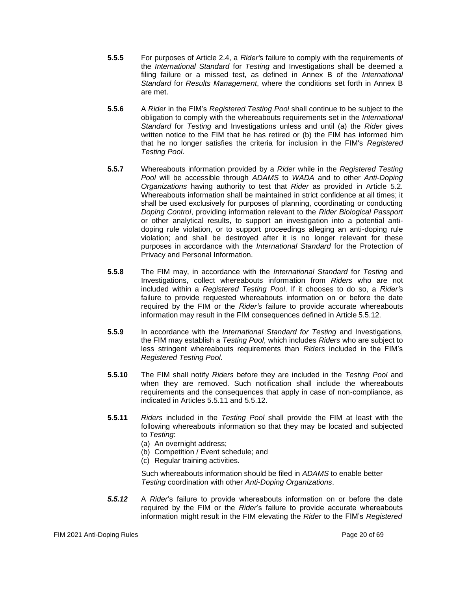- **5.5.5** For purposes of Article 2.4, a *Rider'*s failure to comply with the requirements of the *International Standard* for *Testing* and Investigations shall be deemed a filing failure or a missed test, as defined in Annex B of the *International Standard* for *Results Management*, where the conditions set forth in Annex B are met.
- **5.5.6** A *Rider* in the FIM's *Registered Testing Pool* shall continue to be subject to the obligation to comply with the whereabouts requirements set in the *International Standard* for *Testing* and Investigations unless and until (a) the *Rider* gives written notice to the FIM that he has retired or (b) the FIM has informed him that he no longer satisfies the criteria for inclusion in the FIM's *Registered Testing Pool*.
- **5.5.7** Whereabouts information provided by a *Rider* while in the *Registered Testing Pool* will be accessible through *ADAMS* to *WADA* and to other *Anti-Doping Organizations* having authority to test that *Rider* as provided in Article 5.2. Whereabouts information shall be maintained in strict confidence at all times; it shall be used exclusively for purposes of planning, coordinating or conducting *Doping Control*, providing information relevant to the *Rider Biological Passport*  or other analytical results, to support an investigation into a potential antidoping rule violation, or to support proceedings alleging an anti-doping rule violation; and shall be destroyed after it is no longer relevant for these purposes in accordance with the *International Standard* for the Protection of Privacy and Personal Information.
- **5.5.8** The FIM may, in accordance with the *International Standard* for *Testing* and Investigations, collect whereabouts information from *Riders* who are not included within a *Registered Testing Pool*. If it chooses to do so, a *Rider'*s failure to provide requested whereabouts information on or before the date required by the FIM or the *Rider'*s failure to provide accurate whereabouts information may result in the FIM consequences defined in Article 5.5.12.
- **5.5.9** In accordance with the *International Standard for Testing* and Investigations, the FIM may establish a *Testing Pool*, which includes *Riders* who are subject to less stringent whereabouts requirements than *Riders* included in the FIM's *Registered Testing Pool*.
- **5.5.10** The FIM shall notify *Riders* before they are included in the *Testing Pool* and when they are removed. Such notification shall include the whereabouts requirements and the consequences that apply in case of non-compliance, as indicated in Articles 5.5.11 and 5.5.12.
- **5.5.11** *Riders* included in the *Testing Pool* shall provide the FIM at least with the following whereabouts information so that they may be located and subjected to *Testing*:
	- (a) An overnight address;
	- (b) Competition / Event schedule; and
	- (c) Regular training activities.

Such whereabouts information should be filed in *ADAMS* to enable better *Testing* coordination with other *Anti-Doping Organizations*.

*5.5.12* A *Rider*'s failure to provide whereabouts information on or before the date required by the FIM or the *Rider*'s failure to provide accurate whereabouts information might result in the FIM elevating the *Rider* to the FIM's *Registered*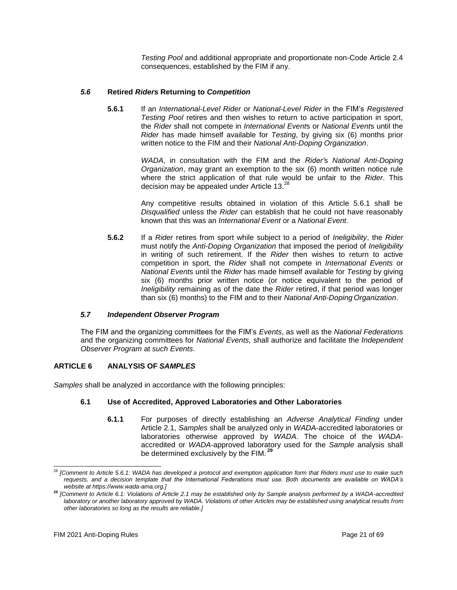*Testing Pool* and additional appropriate and proportionate non-Code Article 2.4 consequences, established by the FIM if any.

# *5.6* **Retired** *Riders* **Returning to** *Competition*

**5.6.1** If an *International-Level Rider* or *National-Level Rider* in the FIM's *Registered Testing Pool* retires and then wishes to return to active participation in sport, the *Rider* shall not compete in *International Event*s or *National Event*s until the *Rider* has made himself available for *Testing*, by giving six (6) months prior written notice to the FIM and their *National Anti-Doping Organization*.

> *WADA*, in consultation with the FIM and the *Rider'*s *National Anti-Doping Organization*, may grant an exemption to the six (6) month written notice rule where the strict application of that rule would be unfair to the *Rider*. This decision may be appealed under Article 13.<sup>28</sup>

> Any competitive results obtained in violation of this Article 5.6.1 shall be *Disqualified* unless the *Rider* can establish that he could not have reasonably known that this was an *International Event* or a *National Event*.

**5.6.2** If a *Rider* retires from sport while subject to a period of *Ineligibility*, the *Rider*  must notify the *Anti-Doping Organization* that imposed the period of *Ineligibility*  in writing of such retirement. If the *Rider* then wishes to return to active competition in sport, the *Rider* shall not compete in *International Events* or *National Events* until the *Rider* has made himself available for *Testing* by giving six (6) months prior written notice (or notice equivalent to the period of *Ineligibility* remaining as of the date the *Rider* retired, if that period was longer than six (6) months) to the FIM and to their *National Anti-Doping Organization*.

# *5.7 Independent Observer Program*

The FIM and the organizing committees for the FIM's *Events*, as well as the *National Federations*  and the organizing committees for *National Events,* shall authorize and facilitate the *Independent Observer Program* at *such Events*.

# <span id="page-20-0"></span>**ARTICLE 6 ANALYSIS OF** *SAMPLES*

*Samples* shall be analyzed in accordance with the following principles:

# **6.1 Use of Accredited, Approved Laboratories and Other Laboratories**

**6.1.1** For purposes of directly establishing an *Adverse Analytical Finding* under Article 2.1, *Samples* shall be analyzed only in *WADA*-accredited laboratories or laboratories otherwise approved by *WADA*. The choice of the *WADA*accredited or *WADA*-approved laboratory used for the *Sample* analysis shall be determined exclusively by the FIM. **<sup>29</sup>**

<sup>28</sup> *[Comment to Article 5.6.1: WADA has developed a [protocol and exemption application form t](https://www.wada-ama.org/en/resources/article-571-exemption-application-form-and-procedure-for-athletes)hat Riders must use to make such requests, and a [decision template t](https://www.wada-ama.org/en/resources/article-571-exemption-application-form-and-procedure-for-ado)hat the International Federations must use. Both documents are available on WADA's website at [https://www.wada-ama.org.\]](https://www.wada-ama.org/)*

**<sup>29</sup>** *[Comment to Article 6.1: Violations of Article 2.1 may be established only by Sample analysis performed by a WADA-accredited laboratory or another laboratory approved by WADA. Violations of other Articles may be established using analytical results from other laboratories so long as the results are reliable.]*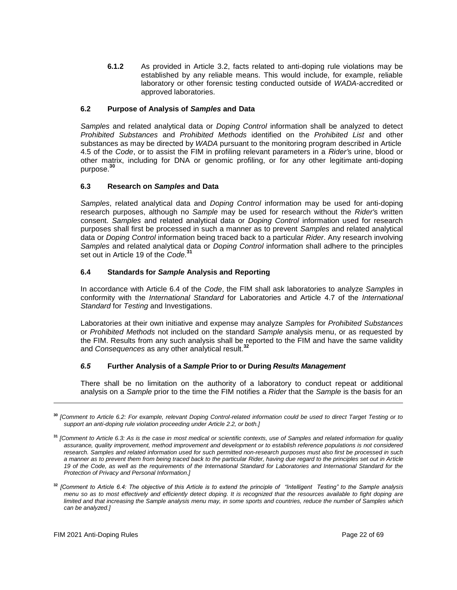**6.1.2** As provided in Article 3.2, facts related to anti-doping rule violations may be established by any reliable means. This would include, for example, reliable laboratory or other forensic testing conducted outside of *WADA*-accredited or approved laboratories.

## **6.2 Purpose of Analysis of** *Samples* **and Data**

*Samples* and related analytical data or *Doping Control* information shall be analyzed to detect *Prohibited Substances* and *Prohibited Methods* identified on the *Prohibited List* and other substances as may be directed by *WADA* pursuant to the monitoring program described in Article 4.5 of the *Code*, or to assist the FIM in profiling relevant parameters in a *Rider'*s urine, blood or other matrix, including for DNA or genomic profiling, or for any other legitimate anti-doping purpose.**<sup>30</sup>**

#### **6.3 Research on** *Samples* **and Data**

*Samples*, related analytical data and *Doping Control* information may be used for anti-doping research purposes, although no *Sample* may be used for research without the *Rider'*s written consent. *Samples* and related analytical data or *Doping Control* information used for research purposes shall first be processed in such a manner as to prevent *Samples* and related analytical data or *Doping Control* information being traced back to a particular *Rider*. Any research involving *Samples* and related analytical data or *Doping Control* information shall adhere to the principles set out in Article 19 of the *Code*. **31**

#### **6.4 Standards for** *Sample* **Analysis and Reporting**

In accordance with Article 6.4 of the *Code*, the FIM shall ask laboratories to analyze *Samples* in conformity with the *International Standard* for Laboratories and Article 4.7 of the *International Standard* for *Testing* and Investigations.

Laboratories at their own initiative and expense may analyze *Samples* for *Prohibited Substances*  or *Prohibited Methods* not included on the standard *Sample* analysis menu, or as requested by the FIM. Results from any such analysis shall be reported to the FIM and have the same validity and *Consequences* as any other analytical result.**<sup>32</sup>**

#### *6.5* **Further Analysis of a** *Sample* **Prior to or During** *Results Management*

There shall be no limitation on the authority of a laboratory to conduct repeat or additional analysis on a *Sample* prior to the time the FIM notifies a *Rider* that the *Sample* is the basis for an

**<sup>30</sup>** *[Comment to Article 6.2: For example, relevant Doping Control-related information could be used to direct Target Testing or to support an anti-doping rule violation proceeding under Article 2.2, or both.]*

**<sup>31</sup>** *[Comment to Article 6.3: As is the case in most medical or scientific contexts, use of Samples and related information for quality assurance, quality improvement, method improvement and development or to establish reference populations is not considered research. Samples and related information used for such permitted non-research purposes must also first be processed in such a manner as to prevent them from being traced back to the particular Rider, having due regard to the principles set out in Article 19 of the Code, as well as the requirements of the International Standard for Laboratories and International Standard for the Protection of Privacy and Personal Information.]*

**<sup>32</sup>** *[Comment to Article 6.4: The objective of this Article is to extend the principle of "Intelligent Testing" to the Sample analysis menu so as to most effectively and efficiently detect doping. It is recognized that the resources available to fight doping are limited and that increasing the Sample analysis menu may, in some sports and countries, reduce the number of Samples which can be analyzed.]*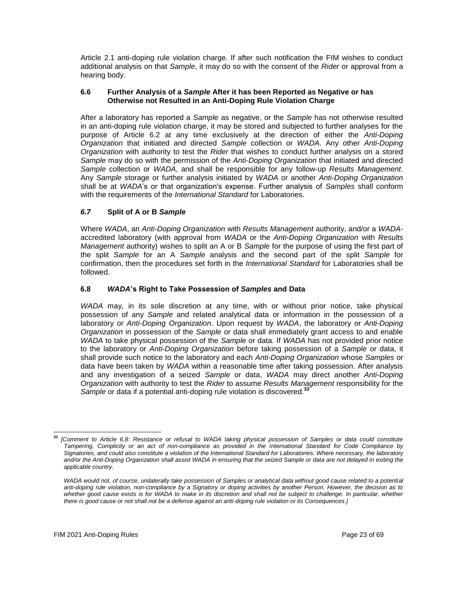Article 2.1 anti-doping rule violation charge. If after such notification the FIM wishes to conduct additional analysis on that *Sample*, it may do so with the consent of the *Rider* or approval from a hearing body.

## **6.6 Further Analysis of a** *Sample* **After it has been Reported as Negative or has Otherwise not Resulted in an Anti-Doping Rule Violation Charge**

After a laboratory has reported a *Sample* as negative, or the *Sample* has not otherwise resulted in an anti-doping rule violation charge, it may be stored and subjected to further analyses for the purpose of Article 6.2 at any time exclusively at the direction of either the *Anti-Doping Organization* that initiated and directed *Sample* collection or *WADA*. Any other *Anti-Doping Organization* with authority to test the *Rider* that wishes to conduct further analysis on a stored *Sample* may do so with the permission of the *Anti-Doping Organization* that initiated and directed *Sample* collection or *WADA*, and shall be responsible for any follow-up *Results Management*. Any *Sample* storage or further analysis initiated by *WADA* or another *Anti-Doping Organization*  shall be at *WADA*'s or that organization's expense. Further analysis of *Samples* shall conform with the requirements of the *International Standard* for Laboratories.

# *6.7* **Split of A or B** *Sample*

Where *WADA*, an *Anti-Doping Organization* with *Results Management* authority, and/or a *WADA*accredited laboratory (with approval from *WADA* or the *Anti-Doping Organization* with *Results Management* authority) wishes to split an A or B *Sample* for the purpose of using the first part of the split *Sample* for an A *Sample* analysis and the second part of the split *Sample* for confirmation, then the procedures set forth in the *International Standard* for Laboratories shall be followed.

# **6.8** *WADA***'s Right to Take Possession of** *Samples* **and Data**

*WADA* may, in its sole discretion at any time, with or without prior notice, take physical possession of any *Sample* and related analytical data or information in the possession of a laboratory or *Anti-Doping Organization*. Upon request by *WADA*, the laboratory or *Anti-Doping Organization* in possession of the *Sample* or data shall immediately grant access to and enable *WADA* to take physical possession of the *Sample* or data. If *WADA* has not provided prior notice to the laboratory or *Anti-Doping Organization* before taking possession of a *Sample* or data, it shall provide such notice to the laboratory and each *Anti-Doping Organization* whose *Samples* or data have been taken by *WADA* within a reasonable time after taking possession. After analysis and any investigation of a seized *Sample* or data, *WADA* may direct another *Anti-Doping Organization* with authority to test the *Rider* to assume *Results Management* responsibility for the *Sample* or data if a potential anti-doping rule violation is discovered.**<sup>33</sup>**

**<sup>33</sup>** *[Comment to Article 6.8: Resistance or refusal to WADA taking physical possession of Samples or data could constitute Tampering, Complicity or an act of non-compliance as provided in the International Standard for Code Compliance by Signatories, and could also constitute a violation of the International Standard for Laboratories. Where necessary, the laboratory*  and/or the Anti-Doping Organization shall assist WADA in ensuring that the seized Sample or data are not delayed in exiting the *applicable country.*

WADA would not, of course, unilaterally take possession of Samples or analytical data without good cause related to a potential *anti-doping rule violation, non-compliance by a Signatory or doping activities by another Person. However, the decision as to whether good cause exists is for WADA to make in its discretion and shall not be subject to challenge. In particular, whether there is good cause or not shall not be a defense against an anti-doping rule violation or its Consequences.]*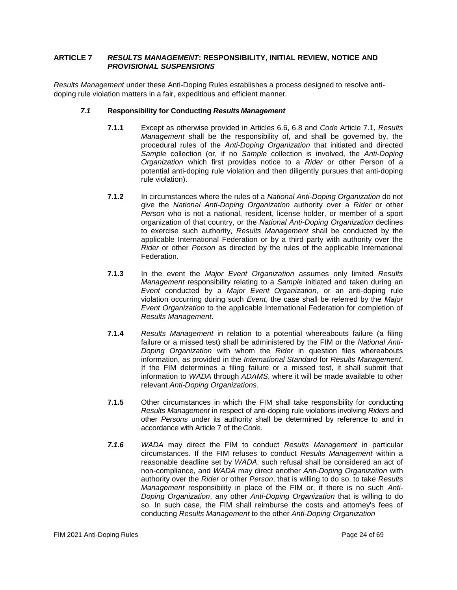## <span id="page-23-0"></span>**ARTICLE 7** *RESULTS MANAGEMENT***: RESPONSIBILITY, INITIAL REVIEW, NOTICE AND** *PROVISIONAL SUSPENSIONS*

*Results Management* under these Anti-Doping Rules establishes a process designed to resolve antidoping rule violation matters in a fair, expeditious and efficient manner.

## *7.1* **Responsibility for Conducting** *Results Management*

- **7.1.1** Except as otherwise provided in Articles 6.6, 6.8 and *Code* Article 7.1, *Results Management* shall be the responsibility of, and shall be governed by, the procedural rules of the *Anti-Doping Organization* that initiated and directed *Sample* collection (or, if no *Sample* collection is involved, the *Anti-Doping Organization* which first provides notice to a *Rider* or other Person of a potential anti-doping rule violation and then diligently pursues that anti-doping rule violation).
- **7.1.2** In circumstances where the rules of a *National Anti-Doping Organization* do not give the *National Anti-Doping Organization* authority over a *Rider* or other *Person* who is not a national, resident, license holder, or member of a sport organization of that country, or the *National Anti-Doping Organization* declines to exercise such authority, *Results Management* shall be conducted by the applicable International Federation or by a third party with authority over the *Rider* or other *Person* as directed by the rules of the applicable International Federation.
- **7.1.3** In the event the *Major Event Organization* assumes only limited *Results Management* responsibility relating to a *Sample* initiated and taken during an *Event* conducted by a *Major Event Organization*, or an anti-doping rule violation occurring during such *Event*, the case shall be referred by the *Major Event Organization* to the applicable International Federation for completion of *Results Management*.
- **7.1.4** *Results Management* in relation to a potential whereabouts failure (a filing failure or a missed test) shall be administered by the FIM or the *National Anti-Doping Organization* with whom the *Rider* in question files whereabouts information, as provided in the *International Standard* for *Results Management*. If the FIM determines a filing failure or a missed test, it shall submit that information to *WADA* through *ADAMS*, where it will be made available to other relevant *Anti-Doping Organizations*.
- **7.1.5** Other circumstances in which the FIM shall take responsibility for conducting *Results Management* in respect of anti-doping rule violations involving *Riders* and other *Persons* under its authority shall be determined by reference to and in accordance with Article 7 of the*Code*.
- *7.1.6 WADA* may direct the FIM to conduct *Results Management* in particular circumstances. If the FIM refuses to conduct *Results Management* within a reasonable deadline set by *WADA*, such refusal shall be considered an act of non-compliance, and *WADA* may direct another *Anti-Doping Organization* with authority over the *Rider* or other *Person*, that is willing to do so, to take *Results Management* responsibility in place of the FIM or, if there is no such *Anti-Doping Organization*, any other *Anti-Doping Organization* that is willing to do so. In such case, the FIM shall reimburse the costs and attorney's fees of conducting *Results Management* to the other *Anti-Doping Organization*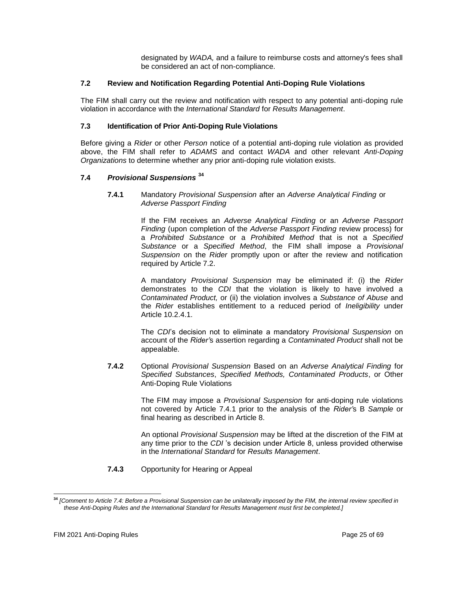designated by *WADA,* and a failure to reimburse costs and attorney's fees shall be considered an act of non-compliance.

## **7.2 Review and Notification Regarding Potential Anti-Doping Rule Violations**

The FIM shall carry out the review and notification with respect to any potential anti-doping rule violation in accordance with the *International Standard* for *Results Management*.

## **7.3 Identification of Prior Anti-Doping Rule Violations**

Before giving a *Rider* or other *Person* notice of a potential anti-doping rule violation as provided above, the FIM shall refer to *ADAMS* and contact *WADA* and other relevant *Anti-Doping Organizations* to determine whether any prior anti-doping rule violation exists.

## **7.4** *Provisional Suspensions* **<sup>34</sup>**

**7.4.1** Mandatory *Provisional Suspension* after an *Adverse Analytical Finding* or *Adverse Passport Finding*

> If the FIM receives an *Adverse Analytical Finding* or an *Adverse Passport Finding* (upon completion of the *Adverse Passport Finding* review process) for a *Prohibited Substance* or a *Prohibited Method* that is not a *Specified Substance* or a *Specified Method*, the FIM shall impose a *Provisional Suspension* on the *Rider* promptly upon or after the review and notification required by Article 7.2.

> A mandatory *Provisional Suspension* may be eliminated if: (i) the *Rider*  demonstrates to the *CDI* that the violation is likely to have involved a *Contaminated Product,* or (ii) the violation involves a *Substance of Abuse* and the *Rider* establishes entitlement to a reduced period of *Ineligibility* under Article 10.2.4.1.

> The *CDI*'s decision not to eliminate a mandatory *Provisional Suspension* on account of the *Rider'*s assertion regarding a *Contaminated Product* shall not be appealable.

**7.4.2** Optional *Provisional Suspension* Based on an *Adverse Analytical Finding* for *Specified Substances*, *Specified Methods, Contaminated Products*, or Other Anti-Doping Rule Violations

> The FIM may impose a *Provisional Suspension* for anti-doping rule violations not covered by Article 7.4.1 prior to the analysis of the *Rider'*s B *Sample* or final hearing as described in Article 8.

> An optional *Provisional Suspension* may be lifted at the discretion of the FIM at any time prior to the *CDI* 's decision under Article 8, unless provided otherwise in the *International Standard* for *Results Management*.

**7.4.3** Opportunity for Hearing or Appeal

**<sup>34</sup>** *[Comment to Article 7.4: Before a Provisional Suspension can be unilaterally imposed by the FIM, the internal review specified in these Anti-Doping Rules and the International Standard* for *Results Management must first be completed.]*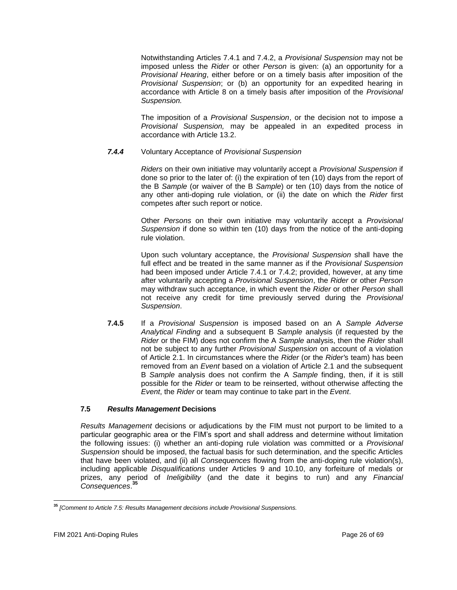Notwithstanding Articles 7.4.1 and 7.4.2, a *Provisional Suspension* may not be imposed unless the *Rider* or other *Person* is given: (a) an opportunity for a *Provisional Hearing*, either before or on a timely basis after imposition of the *Provisional Suspension*; or (b) an opportunity for an expedited hearing in accordance with Article 8 on a timely basis after imposition of the *Provisional Suspension.*

The imposition of a *Provisional Suspension*, or the decision not to impose a *Provisional Suspension,* may be appealed in an expedited process in accordance with Article 13.2.

## *7.4.4* Voluntary Acceptance of *Provisional Suspension*

*Riders* on their own initiative may voluntarily accept a *Provisional Suspension* if done so prior to the later of: (i) the expiration of ten (10) days from the report of the B *Sample* (or waiver of the B *Sample*) or ten (10) days from the notice of any other anti-doping rule violation, or (ii) the date on which the *Rider* first competes after such report or notice.

Other *Persons* on their own initiative may voluntarily accept a *Provisional Suspension* if done so within ten (10) days from the notice of the anti-doping rule violation.

Upon such voluntary acceptance, the *Provisional Suspension* shall have the full effect and be treated in the same manner as if the *Provisional Suspension*  had been imposed under Article 7.4.1 or 7.4.2; provided, however, at any time after voluntarily accepting a *Provisional Suspension*, the *Rider* or other *Person*  may withdraw such acceptance, in which event the *Rider* or other *Person* shall not receive any credit for time previously served during the *Provisional Suspension*.

**7.4.5** If a *Provisional Suspension* is imposed based on an A *Sample Adverse Analytical Finding* and a subsequent B *Sample* analysis (if requested by the *Rider* or the FIM) does not confirm the A *Sample* analysis, then the *Rider* shall not be subject to any further *Provisional Suspension* on account of a violation of Article 2.1. In circumstances where the *Rider* (or the *Rider'*s team) has been removed from an *Event* based on a violation of Article 2.1 and the subsequent B *Sample* analysis does not confirm the A *Sample* finding, then, if it is still possible for the *Rider* or team to be reinserted, without otherwise affecting the *Event*, the *Rider* or team may continue to take part in the *Event*.

## **7.5** *Results Management* **Decisions**

*Results Management* decisions or adjudications by the FIM must not purport to be limited to a particular geographic area or the FIM's sport and shall address and determine without limitation the following issues: (i) whether an anti-doping rule violation was committed or a *Provisional Suspension* should be imposed, the factual basis for such determination, and the specific Articles that have been violated, and (ii) all *Consequences* flowing from the anti-doping rule violation(s), including applicable *Disqualifications* under Articles 9 and 10.10, any forfeiture of medals or prizes, any period of *Ineligibility* (and the date it begins to run) and any *Financial Consequences*. **35**

**<sup>35</sup>** *[Comment to Article 7.5: Results Management decisions include Provisional Suspensions.*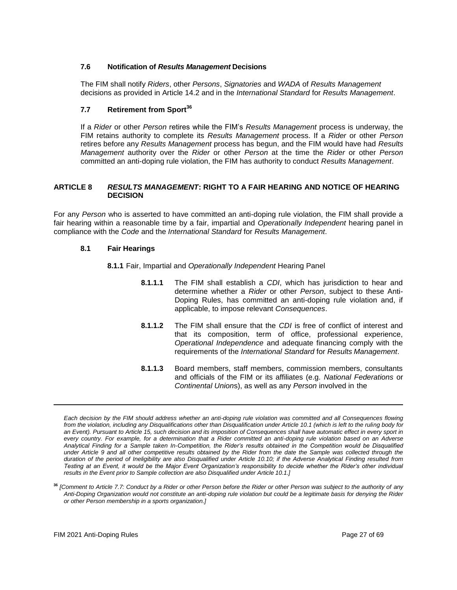## **7.6 Notification of** *Results Management* **Decisions**

The FIM shall notify *Riders*, other *Persons*, *Signatories* and *WADA* of *Results Management* decisions as provided in Article 14.2 and in the *International Standard* for *Results Management*.

# **7.7 Retirement from Sport<sup>36</sup>**

If a *Rider* or other *Person* retires while the FIM's *Results Management* process is underway, the FIM retains authority to complete its *Results Management* process. If a *Rider* or other *Person*  retires before any *Results Management* process has begun, and the FIM would have had *Results Management* authority over the *Rider* or other *Person* at the time the *Rider* or other *Person*  committed an anti-doping rule violation, the FIM has authority to conduct *Results Management*.

## <span id="page-26-0"></span>**ARTICLE 8** *RESULTS MANAGEMENT***: RIGHT TO A FAIR HEARING AND NOTICE OF HEARING DECISION**

For any *Person* who is asserted to have committed an anti-doping rule violation, the FIM shall provide a fair hearing within a reasonable time by a fair, impartial and *Operationally Independent* hearing panel in compliance with the *Code* and the *International Standard* for *Results Management*.

#### **8.1 Fair Hearings**

#### **8.1.1** Fair, Impartial and *Operationally Independent* Hearing Panel

- **8.1.1.1** The FIM shall establish a *CDI*, which has jurisdiction to hear and determine whether a *Rider* or other *Person*, subject to these Anti-Doping Rules, has committed an anti-doping rule violation and, if applicable, to impose relevant *Consequences*.
- **8.1.1.2** The FIM shall ensure that the *CDI* is free of conflict of interest and that its composition, term of office, professional experience, *Operational Independence* and adequate financing comply with the requirements of the *International Standard* for *Results Management*.
- **8.1.1.3** Board members, staff members, commission members, consultants and officials of the FIM or its affiliates (e.g. *National Federations* or *Continental Union*s), as well as any *Person* involved in the

*Each decision by the FIM should address whether an anti-doping rule violation was committed and all Consequences flowing from the violation, including any Disqualifications other than Disqualification under Article 10.1 (which is left to the ruling body for*  an Event). Pursuant to Article 15, such decision and its imposition of Consequences shall have automatic effect in every sport in *every country. For example, for a determination that a Rider committed an anti-doping rule violation based on an Adverse Analytical Finding for a Sample taken In-Competition, the Rider's results obtained in the Competition would be Disqualified under Article 9 and all other competitive results obtained by the Rider from the date the Sample was collected through the duration of the period of Ineligibility are also Disqualified under Article 10.10; if the Adverse Analytical Finding resulted from Testing at an Event, it would be the Major Event Organization's responsibility to decide whether the Rider's other individual results in the Event prior to Sample collection are also Disqualified under Article 10.1.]*

**<sup>36</sup>** *[Comment to Article 7.7: Conduct by a Rider or other Person before the Rider or other Person was subject to the authority of any Anti-Doping Organization would not constitute an anti-doping rule violation but could be a legitimate basis for denying the Rider or other Person membership in a sports organization.]*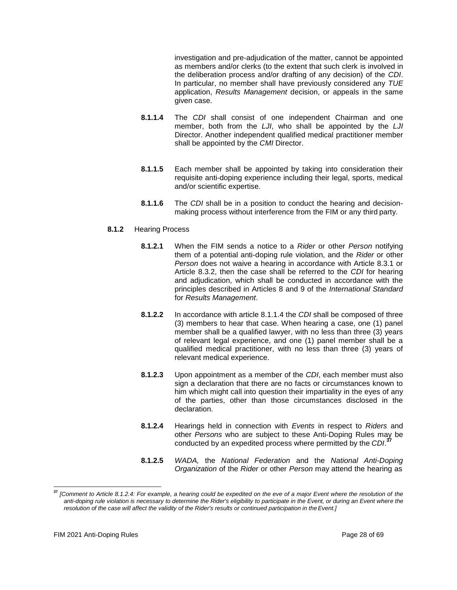investigation and pre-adjudication of the matter, cannot be appointed as members and/or clerks (to the extent that such clerk is involved in the deliberation process and/or drafting of any decision) of the *CDI*. In particular, no member shall have previously considered any *TUE*  application, *Results Management* decision, or appeals in the same given case.

- **8.1.1.4** The *CDI* shall consist of one independent Chairman and one member, both from the *LJI*, who shall be appointed by the *LJI*  Director. Another independent qualified medical practitioner member shall be appointed by the *CMI* Director.
- **8.1.1.5** Each member shall be appointed by taking into consideration their requisite anti-doping experience including their legal, sports, medical and/or scientific expertise.
- **8.1.1.6** The *CDI* shall be in a position to conduct the hearing and decisionmaking process without interference from the FIM or any third party.

## **8.1.2** Hearing Process

- **8.1.2.1** When the FIM sends a notice to a *Rider* or other *Person* notifying them of a potential anti-doping rule violation, and the *Rider* or other *Person* does not waive a hearing in accordance with Article 8.3.1 or Article 8.3.2, then the case shall be referred to the *CDI* for hearing and adjudication, which shall be conducted in accordance with the principles described in Articles 8 and 9 of the *International Standard*  for *Results Management*.
- **8.1.2.2** In accordance with article 8.1.1.4 the *CDI* shall be composed of three (3) members to hear that case. When hearing a case, one (1) panel member shall be a qualified lawyer, with no less than three (3) years of relevant legal experience, and one (1) panel member shall be a qualified medical practitioner, with no less than three (3) years of relevant medical experience.
- **8.1.2.3** Upon appointment as a member of the *CDI*, each member must also sign a declaration that there are no facts or circumstances known to him which might call into question their impartiality in the eyes of any of the parties, other than those circumstances disclosed in the declaration.
- **8.1.2.4** Hearings held in connection with *Events* in respect to *Riders* and other *Persons* who are subject to these Anti-Doping Rules may be conducted by an expedited process where permitted by the *CDI*. **37**
- **8.1.2.5** *WADA,* the *National Federation* and the *National Anti-Doping Organization* of the *Rider* or other *Person* may attend the hearing as

**<sup>37</sup>** *[Comment to Article 8.1.2.4: For example, a hearing could be expedited on the eve of a major Event where the resolution of the anti-doping rule violation is necessary to determine the Rider's eligibility to participate in the Event, or during an Event where the resolution of the case will affect the validity of the Rider's results or continued participation in theEvent.]*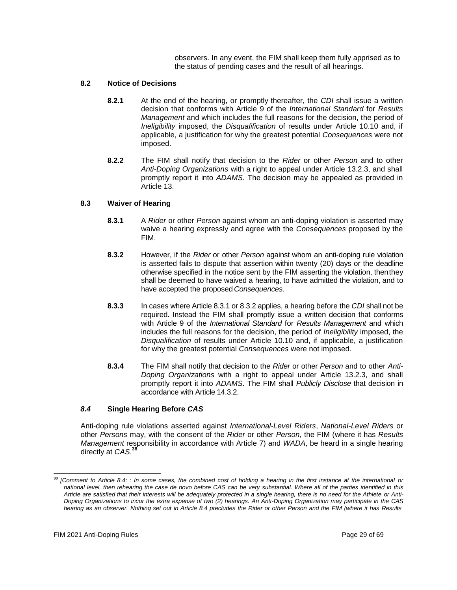observers. In any event, the FIM shall keep them fully apprised as to the status of pending cases and the result of all hearings.

## **8.2 Notice of Decisions**

- **8.2.1** At the end of the hearing, or promptly thereafter, the *CDI* shall issue a written decision that conforms with Article 9 of the *International Standard* for *Results Management* and which includes the full reasons for the decision, the period of *Ineligibility* imposed, the *Disqualification* of results under Article 10.10 and, if applicable, a justification for why the greatest potential *Consequences* were not imposed.
- **8.2.2** The FIM shall notify that decision to the *Rider* or other *Person* and to other *Anti-Doping Organizations* with a right to appeal under Article 13.2.3, and shall promptly report it into *ADAMS*. The decision may be appealed as provided in Article 13.

## **8.3 Waiver of Hearing**

- **8.3.1** A *Rider* or other *Person* against whom an anti-doping violation is asserted may waive a hearing expressly and agree with the *Consequences* proposed by the FIM.
- **8.3.2** However, if the *Rider* or other *Person* against whom an anti-doping rule violation is asserted fails to dispute that assertion within twenty (20) days or the deadline otherwise specified in the notice sent by the FIM asserting the violation, thenthey shall be deemed to have waived a hearing, to have admitted the violation, and to have accepted the proposed *Consequences*.
- **8.3.3** In cases where Article 8.3.1 or 8.3.2 applies, a hearing before the *CDI* shall not be required. Instead the FIM shall promptly issue a written decision that conforms with Article 9 of the *International Standard* for *Results Management* and which includes the full reasons for the decision, the period of *Ineligibility* imposed, the *Disqualification* of results under Article 10.10 and, if applicable, a justification for why the greatest potential *Consequences* were not imposed.
- **8.3.4** The FIM shall notify that decision to the *Rider* or other *Person* and to other *Anti-Doping Organizations* with a right to appeal under Article 13.2.3, and shall promptly report it into *ADAMS*. The FIM shall *Publicly Disclose* that decision in accordance with Article 14.3.2.

# *8.4* **Single Hearing Before** *CAS*

Anti-doping rule violations asserted against *International-Level Riders*, *National-Level Riders* or other *Persons* may, with the consent of the *Rider* or other *Person*, the FIM (where it has *Results Management* responsibility in accordance with Article 7) and *WADA*, be heard in a single hearing directly at *CAS*. **38**

**<sup>38</sup>** *[Comment to Article 8.4: : In some cases, the combined cost of holding a hearing in the first instance at the international or national level, then rehearing the case de novo before CAS can be very substantial. Where all of the parties identified in this Article are satisfied that their interests will be adequately protected in a single hearing, there is no need for the Athlete or Anti-Doping Organizations to incur the extra expense of two (2) hearings. An Anti-Doping Organization may participate in the CAS*  hearing as an observer. Nothing set out in Article 8.4 precludes the Rider or other Person and the FIM (where it has Results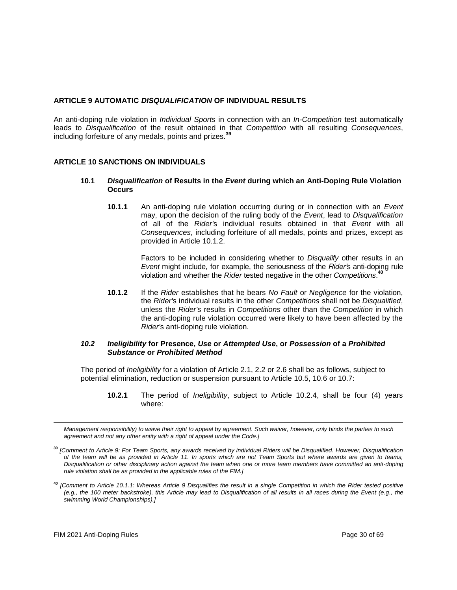## <span id="page-29-0"></span>**ARTICLE 9 AUTOMATIC** *DISQUALIFICATION* **OF INDIVIDUAL RESULTS**

An anti-doping rule violation in *Individual Sports* in connection with an *In-Competition* test automatically leads to *Disqualification* of the result obtained in that *Competition* with all resulting *Consequences*, including forfeiture of any medals, points and prizes.**<sup>39</sup>**

## <span id="page-29-1"></span>**ARTICLE 10 SANCTIONS ON INDIVIDUALS**

#### **10.1** *Disqualification* **of Results in the** *Event* **during which an Anti-Doping Rule Violation Occurs**

**10.1.1** An anti-doping rule violation occurring during or in connection with an *Event*  may, upon the decision of the ruling body of the *Event*, lead to *Disqualification*  of all of the *Rider'*s individual results obtained in that *Event* with all *Consequences*, including forfeiture of all medals, points and prizes, except as provided in Article 10.1.2.

> Factors to be included in considering whether to *Disqualify* other results in an *Event* might include, for example, the seriousness of the *Rider'*s anti-doping rule violation and whether the *Rider* tested negative in the other *Competitions*. **40**

**10.1.2** If the *Rider* establishes that he bears *No Fault* or *Negligence* for the violation, the *Rider'*s individual results in the other *Competitions* shall not be *Disqualified*, unless the *Rider'*s results in *Competitions* other than the *Competition* in which the anti-doping rule violation occurred were likely to have been affected by the *Rider'*s anti-doping rule violation.

#### *10.2 Ineligibility* **for Presence,** *Use* **or** *Attempted Use***, or** *Possession* **of a** *Prohibited Substance* **or** *Prohibited Method*

The period of *Ineligibility* for a violation of Article 2.1, 2.2 or 2.6 shall be as follows, subject to potential elimination, reduction or suspension pursuant to Article 10.5, 10.6 or 10.7:

**10.2.1** The period of *Ineligibility*, subject to Article 10.2.4, shall be four (4) years where:

*Management responsibility) to waive their right to appeal by agreement. Such waiver, however, only binds the parties to such agreement and not any other entity with a right of appeal under the Code.]*

**<sup>39</sup>** *[Comment to Article 9: For Team Sports, any awards received by individual Riders will be Disqualified. However, Disqualification of the team will be as provided in Article 11. In sports which are not Team Sports but where awards are given to teams, Disqualification or other disciplinary action against the team when one or more team members have committed an anti-doping rule violation shall be as provided in the applicable rules of the FIM.]*

**<sup>40</sup>** *[Comment to Article 10.1.1: Whereas Article 9 Disqualifies the result in a single Competition in which the Rider tested positive (e.g., the 100 meter backstroke), this Article may lead to Disqualification of all results in all races during the Event (e.g., the swimming World Championships).]*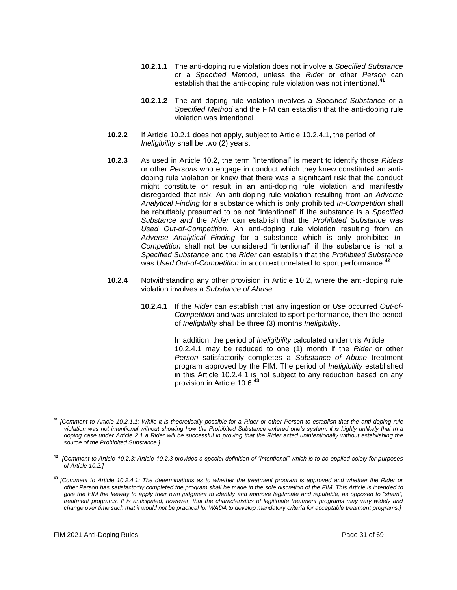- **10.2.1.1** The anti-doping rule violation does not involve a *Specified Substance*  or a *Specified Method*, unless the *Rider* or other *Person* can establish that the anti-doping rule violation was not intentional.<sup>4</sup>
- **10.2.1.2** The anti-doping rule violation involves a *Specified Substance* or a *Specified Method* and the FIM can establish that the anti-doping rule violation was intentional.
- **10.2.2** If Article 10.2.1 does not apply, subject to Article 10.2.4.1, the period of *Ineligibility* shall be two (2) years.
- **10.2.3** As used in Article 10.2, the term "intentional" is meant to identify those *Riders*  or other *Persons* who engage in conduct which they knew constituted an antidoping rule violation or knew that there was a significant risk that the conduct might constitute or result in an anti-doping rule violation and manifestly disregarded that risk. An anti-doping rule violation resulting from an *Adverse Analytical Finding* for a substance which is only prohibited *In-Competition* shall be rebuttably presumed to be not "intentional" if the substance is a *Specified Substance and* the *Rider* can establish that the *Prohibited Substance* was *Used Out-of-Competition*. An anti-doping rule violation resulting from an *Adverse Analytical Finding* for a substance which is only prohibited *In-Competition* shall not be considered "intentional" if the substance is not a *Specified Substance* and the *Rider* can establish that the *Prohibited Substance*  was *Used Out-of-Competition* in a context unrelated to sport performance.**<sup>42</sup>**
- **10.2.4** Notwithstanding any other provision in Article 10.2, where the anti-doping rule violation involves a *Substance of Abuse*:
	- **10.2.4.1** If the *Rider* can establish that any ingestion or *Use* occurred *Out-of-Competition* and was unrelated to sport performance, then the period of *Ineligibility* shall be three (3) months *Ineligibility*.

In addition, the period of *Ineligibility* calculated under this Article 10.2.4.1 may be reduced to one (1) month if the *Rider* or other *Person* satisfactorily completes a *Substance of Abuse* treatment program approved by the FIM. The period of *Ineligibility* established in this Article 10.2.4.1 is not subject to any reduction based on any provision in Article 10.6.**<sup>43</sup>**

**<sup>41</sup>** *[Comment to Article 10.2.1.1: While it is theoretically possible for a Rider or other Person to establish that the anti-doping rule violation was not intentional without showing how the Prohibited Substance entered one's system, it is highly unlikely that in a doping case under Article 2.1 a Rider will be successful in proving that the Rider acted unintentionally without establishing the source of the Prohibited Substance.]*

**<sup>42</sup>** *[Comment to Article 10.2.3: Article 10.2.3 provides a special definition of "intentional" which is to be applied solely for purposes of Article 10.2.]*

**<sup>43</sup>** *[Comment to Article 10.2.4.1: The determinations as to whether the treatment program is approved and whether the Rider or other Person has satisfactorily completed the program shall be made in the sole discretion of the FIM. This Article is intended to give the FIM the leeway to apply their own judgment to identify and approve legitimate and reputable, as opposed to "sham", treatment programs. It is anticipated, however, that the characteristics of legitimate treatment programs may vary widely and* change over time such that it would not be practical for WADA to develop mandatory criteria for acceptable treatment programs.]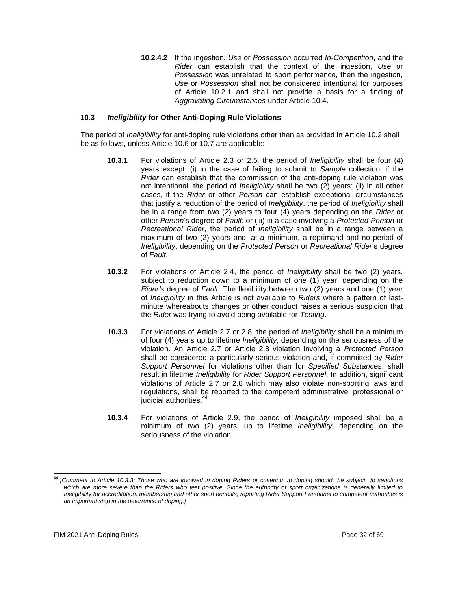**10.2.4.2** If the ingestion, *Use* or *Possession* occurred *In-Competition*, and the *Rider* can establish that the context of the ingestion, *Use* or *Possession* was unrelated to sport performance, then the ingestion, *Use* or *Possession* shall not be considered intentional for purposes of Article 10.2.1 and shall not provide a basis for a finding of *Aggravating Circumstances* under Article 10.4.

## **10.3** *Ineligibility* **for Other Anti-Doping Rule Violations**

The period of *Ineligibility* for anti-doping rule violations other than as provided in Article 10.2 shall be as follows, unless Article 10.6 or 10.7 are applicable:

- **10.3.1** For violations of Article 2.3 or 2.5, the period of *Ineligibility* shall be four (4) years except: (i) in the case of failing to submit to *Sample* collection, if the *Rider* can establish that the commission of the anti-doping rule violation was not intentional, the period of *Ineligibility* shall be two (2) years; (ii) in all other cases, if the *Rider* or other *Person* can establish exceptional circumstances that justify a reduction of the period of *Ineligibility*, the period of *Ineligibility* shall be in a range from two (2) years to four (4) years depending on the *Rider* or other *Person*'s degree of *Fault*; or (iii) in a case involving a *Protected Person* or *Recreational Rider*, the period of *Ineligibility* shall be in a range between a maximum of two (2) years and, at a minimum, a reprimand and no period of *Ineligibility*, depending on the *Protected Person* or *Recreational Rider*'s degree of *Fault*.
- **10.3.2** For violations of Article 2.4, the period of *Ineligibility* shall be two (2) years, subject to reduction down to a minimum of one (1) year, depending on the *Rider'*s degree of *Fault*. The flexibility between two (2) years and one (1) year of *Ineligibility* in this Article is not available to *Riders* where a pattern of lastminute whereabouts changes or other conduct raises a serious suspicion that the *Rider* was trying to avoid being available for *Testing*.
- **10.3.3** For violations of Article 2.7 or 2.8, the period of *Ineligibility* shall be a minimum of four (4) years up to lifetime *Ineligibility*, depending on the seriousness of the violation. An Article 2.7 or Article 2.8 violation involving a *Protected Person*  shall be considered a particularly serious violation and, if committed by *Rider Support Personnel* for violations other than for *Specified Substances*, shall result in lifetime *Ineligibility* for *Rider Support Personnel*. In addition, significant violations of Article 2.7 or 2.8 which may also violate non-sporting laws and regulations, shall be reported to the competent administrative, professional or judicial authorities.**<sup>44</sup>**
- **10.3.4** For violations of Article 2.9, the period of *Ineligibility* imposed shall be a minimum of two (2) years, up to lifetime *Ineligibility*, depending on the seriousness of the violation.

**<sup>44</sup>** *[Comment to Article 10.3.3: Those who are involved in doping Riders or covering up doping should be subject to sanctions which are more severe than the Riders who test positive. Since the authority of sport organizations is generally limited to Ineligibility for accreditation, membership and other sport benefits, reporting Rider Support Personnel to competent authorities is an important step in the deterrence of doping.]*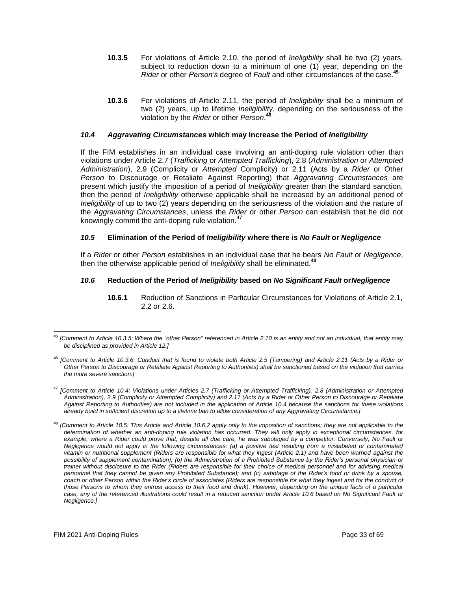- **10.3.5** For violations of Article 2.10, the period of *Ineligibility* shall be two (2) years, subject to reduction down to a minimum of one (1) year, depending on the *Rider* or other *Person's* degree of *Fault* and other circumstances of the case.**<sup>45</sup>**
- **10.3.6** For violations of Article 2.11, the period of *Ineligibility* shall be a minimum of two (2) years, up to lifetime *Ineligibility*, depending on the seriousness of the violation by the *Rider* or other *Person*. **46**

## *10.4 Aggravating Circumstances* **which may Increase the Period of** *Ineligibility*

If the FIM establishes in an individual case involving an anti-doping rule violation other than violations under Article 2.7 (*Trafficking* or *Attempted Trafficking*), 2.8 (*Administration* or *Attempted Administration*), 2.9 (Complicity or *Attempted* Complicity) or 2.11 (Acts by a *Rider* or Other *Person* to Discourage or Retaliate Against Reporting) that *Aggravating Circumstances* are present which justify the imposition of a period of *Ineligibility* greater than the standard sanction, then the period of *Ineligibility* otherwise applicable shall be increased by an additional period of *Ineligibility* of up to two (2) years depending on the seriousness of the violation and the nature of the *Aggravating Circumstances*, unless the *Rider* or other *Person* can establish that he did not knowingly commit the anti-doping rule violation.<sup>47</sup>

## *10.5* **Elimination of the Period of** *Ineligibility* **where there is** *No Fault* **or** *Negligence*

If a *Rider* or other *Person* establishes in an individual case that he bears *No Fault* or *Negligence*, then the otherwise applicable period of *Ineligibility* shall be eliminated.**<sup>48</sup>**

## *10.6* **Reduction of the Period of** *Ineligibility* **based on** *No Significant Fault* **or***Negligence*

**10.6.1** Reduction of Sanctions in Particular Circumstances for Violations of Article 2.1, 2.2 or 2.6.

**<sup>45</sup>** *[Comment to Article 10.3.5: Where the "other Person" referenced in Article 2.10 is an entity and not an individual, that entity may be disciplined as provided in Article 12.]*

**<sup>46</sup>** *[Comment to Article 10.3.6: Conduct that is found to violate both Article 2.5 (Tampering) and Article 2.11 (Acts by a Rider or Other Person to Discourage or Retaliate Against Reporting to Authorities) shall be sanctioned based on the violation that carries the more severe sanction.]*

<sup>47</sup> *[Comment to Article 10.4: Violations under Articles 2.7 (Trafficking or Attempted Trafficking), 2.8 (Administration or Attempted Administration), 2.9 (Complicity or Attempted Complicity) and 2.11 (Acts by a Rider or Other Person to Discourage or Retaliate Against Reporting to Authorities) are not included in the application of Article 10.4 because the sanctions for these violations already build in sufficient discretion up to a lifetime ban to allow consideration of any Aggravating Circumstance.]*

**<sup>48</sup>** *[Comment to Article 10.5: This Article and Article 10.6.2 apply only to the imposition of sanctions; they are not applicable to the determination of whether an anti-doping rule violation has occurred. They will only apply in exceptional circumstances, for example, where a Rider could prove that, despite all due care, he was sabotaged by a competitor. Conversely, No Fault or Negligence would not apply in the following circumstances: (a) a positive test resulting from a mislabeled or contaminated vitamin or nutritional supplement (Riders are responsible for what they ingest (Article 2.1) and have been warned against the possibility of supplement contamination); (b) the Administration of a Prohibited Substance by the Rider's personal physician or trainer without disclosure to the Rider (Riders are responsible for their choice of medical personnel and for advising medical personnel that they cannot be given any Prohibited Substance); and (c) sabotage of the Rider's food or drink by a spouse, coach or other Person within the Rider's circle of associates (Riders are responsible for what they ingest and for the conduct of those Persons to whom they entrust access to their food and drink). However, depending on the unique facts of a particular case, any of the referenced illustrations could result in a reduced sanction under Article 10.6 based on No Significant Fault or Negligence.]*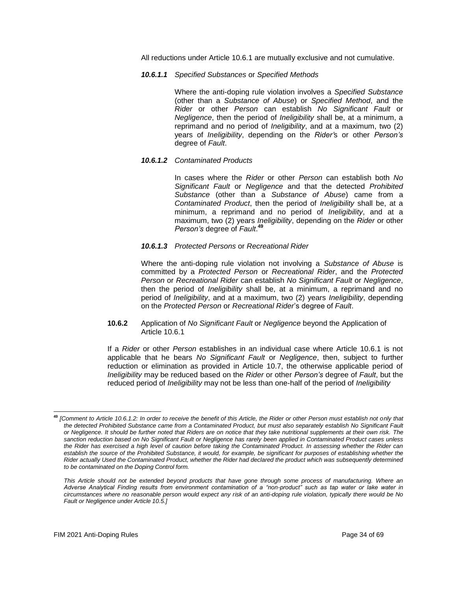All reductions under Article 10.6.1 are mutually exclusive and not cumulative.

*10.6.1.1 Specified Substances* or *Specified Methods*

Where the anti-doping rule violation involves a *Specified Substance*  (other than a *Substance of Abuse*) or *Specified Method*, and the *Rider* or other *Person* can establish *No Significant Fault* or *Negligence*, then the period of *Ineligibility* shall be, at a minimum, a reprimand and no period of *Ineligibility*, and at a maximum, two (2) years of *Ineligibility*, depending on the *Rider'*s or other *Person's*  degree of *Fault*.

#### *10.6.1.2 Contaminated Products*

In cases where the *Rider* or other *Person* can establish both *No Significant Fault* or *Negligence* and that the detected *Prohibited Substance* (other than a *Substance of Abuse*) came from a *Contaminated Product*, then the period of *Ineligibility* shall be, at a minimum, a reprimand and no period of *Ineligibility*, and at a maximum, two (2) years *Ineligibility*, depending on the *Rider* or other *Person's* degree of *Fault*. **49**

#### *10.6.1.3 Protected Persons* or *Recreational Rider*

Where the anti-doping rule violation not involving a *Substance of Abuse* is committed by a *Protected Person* or *Recreational Rider*, and the *Protected Person* or *Recreational Rider* can establish *No Significant Fault* or *Negligence*, then the period of *Ineligibility* shall be, at a minimum, a reprimand and no period of *Ineligibility*, and at a maximum, two (2) years *Ineligibility*, depending on the *Protected Person* or *Recreational Rider*'s degree of *Fault*.

**10.6.2** Application of *No Significant Fault* or *Negligence* beyond the Application of Article 10.6.1

If a *Rider* or other *Person* establishes in an individual case where Article 10.6.1 is not applicable that he bears *No Significant Fault* or *Negligence*, then, subject to further reduction or elimination as provided in Article 10.7, the otherwise applicable period of *Ineligibility* may be reduced based on the *Rider* or other *Person's* degree of *Fault*, but the reduced period of *Ineligibility* may not be less than one-half of the period of *Ineligibility*

**<sup>49</sup>** *[Comment to Article 10.6.1.2: In order to receive the benefit of this Article, the Rider or other Person must establish not only that the detected Prohibited Substance came from a Contaminated Product, but must also separately establish No Significant Fault or Negligence. It should be further noted that Riders are on notice that they take nutritional supplements at their own risk. The sanction reduction based on No Significant Fault or Negligence has rarely been applied in Contaminated Product cases unless the Rider has exercised a high level of caution before taking the Contaminated Product. In assessing whether the Rider can*  establish the source of the Prohibited Substance, it would, for example, be significant for purposes of establishing whether the *Rider actually Used the Contaminated Product, whether the Rider had declared the product which was subsequently determined to be contaminated on the Doping Control form.*

*This Article should not be extended beyond products that have gone through some process of manufacturing. Where an Adverse Analytical Finding results from environment contamination of a "non-product" such as tap water or lake water in circumstances where no reasonable person would expect any risk of an anti-doping rule violation, typically there would be No Fault or Negligence under Article 10.5.]*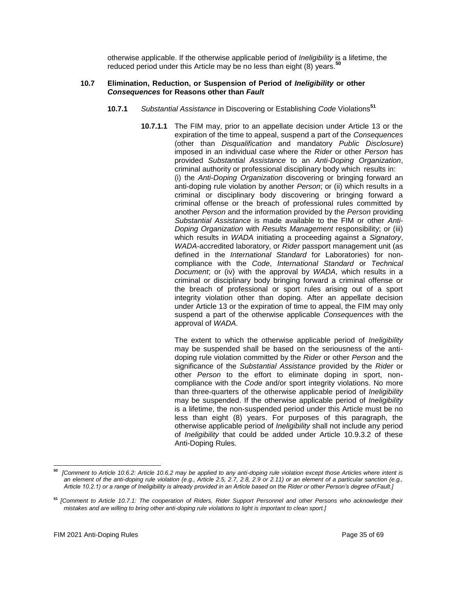otherwise applicable. If the otherwise applicable period of *Ineligibility* is a lifetime, the reduced period under this Article may be no less than eight (8) years.**<sup>50</sup>**

#### **10.7 Elimination, Reduction, or Suspension of Period of** *Ineligibility* **or other** *Consequences* **for Reasons other than** *Fault*

- **10.7.1** *Substantial Assistance* in Discovering or Establishing *Code* Violations**<sup>51</sup>**
	- **10.7.1.1** The FIM may, prior to an appellate decision under Article 13 or the expiration of the time to appeal, suspend a part of the *Consequences*  (other than *Disqualification* and mandatory *Public Disclosure*) imposed in an individual case where the *Rider* or other *Person* has provided *Substantial Assistance* to an *Anti-Doping Organization*, criminal authority or professional disciplinary body which results in: (i) the *Anti-Doping Organization* discovering or bringing forward an anti-doping rule violation by another *Person*; or (ii) which results in a criminal or disciplinary body discovering or bringing forward a criminal offense or the breach of professional rules committed by another *Person* and the information provided by the *Person* providing *Substantial Assistance* is made available to the FIM or other *Anti-Doping Organization* with *Results Management* responsibility; or (iii) which results in *WADA* initiating a proceeding against a *Signatory*, *WADA*-accredited laboratory, or *Rider* passport management unit (as defined in the *International Standard* for Laboratories) for noncompliance with the *Code*, *International Standard* or *Technical Document*; or (iv) with the approval by *WADA*, which results in a criminal or disciplinary body bringing forward a criminal offense or the breach of professional or sport rules arising out of a sport integrity violation other than doping. After an appellate decision under Article 13 or the expiration of time to appeal, the FIM may only suspend a part of the otherwise applicable *Consequences* with the approval of *WADA*.

The extent to which the otherwise applicable period of *Ineligibility*  may be suspended shall be based on the seriousness of the antidoping rule violation committed by the *Rider* or other *Person* and the significance of the *Substantial Assistance* provided by the *Rider* or other *Person* to the effort to eliminate doping in sport, noncompliance with the *Code* and/or sport integrity violations. No more than three-quarters of the otherwise applicable period of *Ineligibility*  may be suspended. If the otherwise applicable period of *Ineligibility*  is a lifetime, the non-suspended period under this Article must be no less than eight (8) years. For purposes of this paragraph, the otherwise applicable period of *Ineligibility* shall not include any period of *Ineligibility* that could be added under Article 10.9.3.2 of these Anti-Doping Rules.

**<sup>50</sup>** *[Comment to Article 10.6.2: Article 10.6.2 may be applied to any anti-doping rule violation except those Articles where intent is an element of the anti-doping rule violation (e.g., Article 2.5, 2.7, 2.8, 2.9 or 2.11) or an element of a particular sanction (e.g., Article 10.2.1) or a range of Ineligibility is already provided in an Article based on the Rider or other Person's degree ofFault.]*

**<sup>51</sup>** *[Comment to Article 10.7.1: The cooperation of Riders, Rider Support Personnel and other Persons who acknowledge their mistakes and are willing to bring other anti-doping rule violations to light is important to clean sport.]*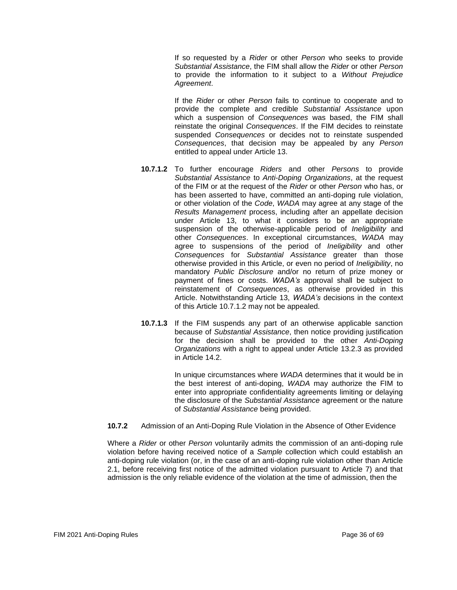If so requested by a *Rider* or other *Person* who seeks to provide *Substantial Assistance*, the FIM shall allow the *Rider* or other *Person*  to provide the information to it subject to a *Without Prejudice Agreement*.

If the *Rider* or other *Person* fails to continue to cooperate and to provide the complete and credible *Substantial Assistance* upon which a suspension of *Consequences* was based, the FIM shall reinstate the original *Consequences*. If the FIM decides to reinstate suspended *Consequences* or decides not to reinstate suspended *Consequences*, that decision may be appealed by any *Person*  entitled to appeal under Article 13.

- **10.7.1.2** To further encourage *Riders* and other *Persons* to provide *Substantial Assistance* to *Anti-Doping Organizations*, at the request of the FIM or at the request of the *Rider* or other *Person* who has, or has been asserted to have, committed an anti-doping rule violation, or other violation of the *Code*, *WADA* may agree at any stage of the *Results Management* process, including after an appellate decision under Article 13, to what it considers to be an appropriate suspension of the otherwise-applicable period of *Ineligibility* and other *Consequences*. In exceptional circumstances, *WADA* may agree to suspensions of the period of *Ineligibility* and other *Consequences* for *Substantial Assistance* greater than those otherwise provided in this Article, or even no period of *Ineligibility*, no mandatory *Public Disclosure* and/or no return of prize money or payment of fines or costs. *WADA's* approval shall be subject to reinstatement of *Consequences*, as otherwise provided in this Article. Notwithstanding Article 13, *WADA's* decisions in the context of this Article 10.7.1.2 may not be appealed.
- **10.7.1.3** If the FIM suspends any part of an otherwise applicable sanction because of *Substantial Assistance*, then notice providing justification for the decision shall be provided to the other *Anti-Doping Organizations* with a right to appeal under Article 13.2.3 as provided in Article 14.2.

In unique circumstances where *WADA* determines that it would be in the best interest of anti-doping, *WADA* may authorize the FIM to enter into appropriate confidentiality agreements limiting or delaying the disclosure of the *Substantial Assistance* agreement or the nature of *Substantial Assistance* being provided.

**10.7.2** Admission of an Anti-Doping Rule Violation in the Absence of Other Evidence

Where a *Rider* or other *Person* voluntarily admits the commission of an anti-doping rule violation before having received notice of a *Sample* collection which could establish an anti-doping rule violation (or, in the case of an anti-doping rule violation other than Article 2.1, before receiving first notice of the admitted violation pursuant to Article 7) and that admission is the only reliable evidence of the violation at the time of admission, then the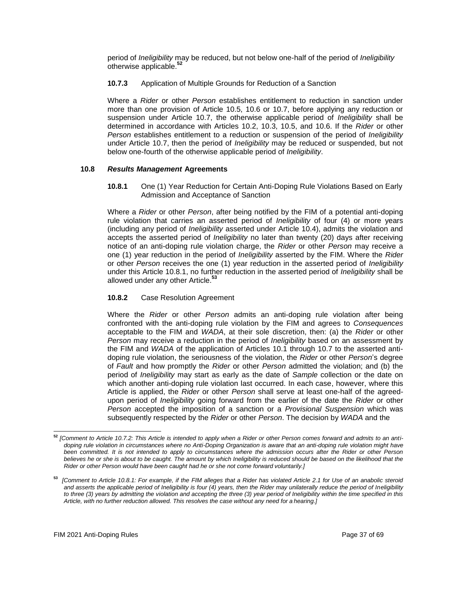period of *Ineligibility* may be reduced, but not below one-half of the period of *Ineligibility* otherwise applicable.**<sup>52</sup>**

**10.7.3** Application of Multiple Grounds for Reduction of a Sanction

Where a *Rider* or other *Person* establishes entitlement to reduction in sanction under more than one provision of Article 10.5, 10.6 or 10.7, before applying any reduction or suspension under Article 10.7, the otherwise applicable period of *Ineligibility* shall be determined in accordance with Articles 10.2, 10.3, 10.5, and 10.6. If the *Rider* or other *Person* establishes entitlement to a reduction or suspension of the period of *Ineligibility*  under Article 10.7, then the period of *Ineligibility* may be reduced or suspended, but not below one-fourth of the otherwise applicable period of *Ineligibility*.

## **10.8** *Results Management* **Agreements**

**10.8.1** One (1) Year Reduction for Certain Anti-Doping Rule Violations Based on Early Admission and Acceptance of Sanction

Where a *Rider* or other *Person*, after being notified by the FIM of a potential anti-doping rule violation that carries an asserted period of *Ineligibility* of four (4) or more years (including any period of *Ineligibility* asserted under Article 10.4), admits the violation and accepts the asserted period of *Ineligibility* no later than twenty (20) days after receiving notice of an anti-doping rule violation charge, the *Rider* or other *Person* may receive a one (1) year reduction in the period of *Ineligibility* asserted by the FIM. Where the *Rider*  or other *Person* receives the one (1) year reduction in the asserted period of *Ineligibility*  under this Article 10.8.1, no further reduction in the asserted period of *Ineligibility* shall be allowed under any other Article.**<sup>53</sup>**

## **10.8.2** Case Resolution Agreement

Where the *Rider* or other *Person* admits an anti-doping rule violation after being confronted with the anti-doping rule violation by the FIM and agrees to *Consequences*  acceptable to the FIM and *WADA*, at their sole discretion, then: (a) the *Rider* or other *Person* may receive a reduction in the period of *Ineligibility* based on an assessment by the FIM and *WADA* of the application of Articles 10.1 through 10.7 to the asserted antidoping rule violation, the seriousness of the violation, the *Rider* or other *Person*'s degree of *Fault* and how promptly the *Rider* or other *Person* admitted the violation; and (b) the period of *Ineligibility* may start as early as the date of *Sample* collection or the date on which another anti-doping rule violation last occurred. In each case, however, where this Article is applied, the *Rider* or other *Person* shall serve at least one-half of the agreedupon period of *Ineligibility* going forward from the earlier of the date the *Rider* or other *Person* accepted the imposition of a sanction or a *Provisional Suspension* which was subsequently respected by the *Rider* or other *Person*. The decision by *WADA* and the

**<sup>52</sup>** *[Comment to Article 10.7.2: This Article is intended to apply when a Rider or other Person comes forward and admits to an antidoping rule violation in circumstances where no Anti-Doping Organization is aware that an anti-doping rule violation might have been committed. It is not intended to apply to circumstances where the admission occurs after the Rider or other Person believes he or she is about to be caught. The amount by which Ineligibility is reduced should be based on the likelihood that the Rider or other Person would have been caught had he or she not come forward voluntarily.]*

**<sup>53</sup>** *[Comment to Article 10.8.1: For example, if the FIM alleges that a Rider has violated Article 2.1 for Use of an anabolic steroid*  and asserts the applicable period of Ineligibility is four (4) years, then the Rider may unilaterally reduce the period of Ineligibility *to three (3) years by admitting the violation and accepting the three (3) year period of Ineligibility within the time specified in this Article, with no further reduction allowed. This resolves the case without any need for a hearing.]*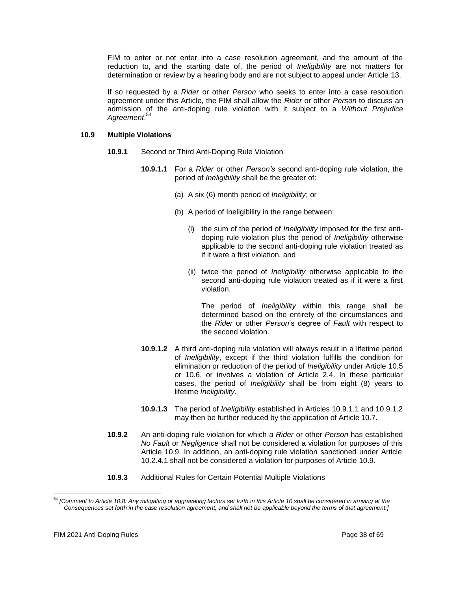FIM to enter or not enter into a case resolution agreement, and the amount of the reduction to, and the starting date of, the period of *Ineligibility* are not matters for determination or review by a hearing body and are not subject to appeal under Article 13.

If so requested by a *Rider* or other *Person* who seeks to enter into a case resolution agreement under this Article, the FIM shall allow the *Rider* or other *Person* to discuss an admission of the anti-doping rule violation with it subject to a *Without Prejudice Agreement*. 54

## **10.9 Multiple Violations**

- **10.9.1** Second or Third Anti-Doping Rule Violation
	- **10.9.1.1** For a *Rider* or other *Person's* second anti-doping rule violation, the period of *Ineligibility* shall be the greater of:
		- (a) A six (6) month period of *Ineligibility*; or
		- (b) A period of Ineligibility in the range between:
			- (i) the sum of the period of *Ineligibility* imposed for the first antidoping rule violation plus the period of *Ineligibility* otherwise applicable to the second anti-doping rule violation treated as if it were a first violation, and
			- (ii) twice the period of *Ineligibility* otherwise applicable to the second anti-doping rule violation treated as if it were a first violation.

The period of *Ineligibility* within this range shall be determined based on the entirety of the circumstances and the *Rider* or other *Person*'s degree of *Fault* with respect to the second violation.

- **10.9.1.2** A third anti-doping rule violation will always result in a lifetime period of *Ineligibility*, except if the third violation fulfills the condition for elimination or reduction of the period of *Ineligibility* under Article 10.5 or 10.6, or involves a violation of Article 2.4. In these particular cases, the period of *Ineligibility* shall be from eight (8) years to lifetime *Ineligibility*.
- **10.9.1.3** The period of *Ineligibility* established in Articles 10.9.1.1 and 10.9.1.2 may then be further reduced by the application of Article 10.7.
- **10.9.2** An anti-doping rule violation for which *a Rider* or other *Person* has established *No Fault* or *Negligence* shall not be considered a violation for purposes of this Article 10.9. In addition, an anti-doping rule violation sanctioned under Article 10.2.4.1 shall not be considered a violation for purposes of Article 10.9.
- **10.9.3** Additional Rules for Certain Potential Multiple Violations

<sup>54</sup> *[Comment to Article 10.8: Any mitigating or aggravating factors set forth in this Article 10 shall be considered in arriving at the Consequences set forth in the case resolution agreement, and shall not be applicable beyond the terms of that agreement.]*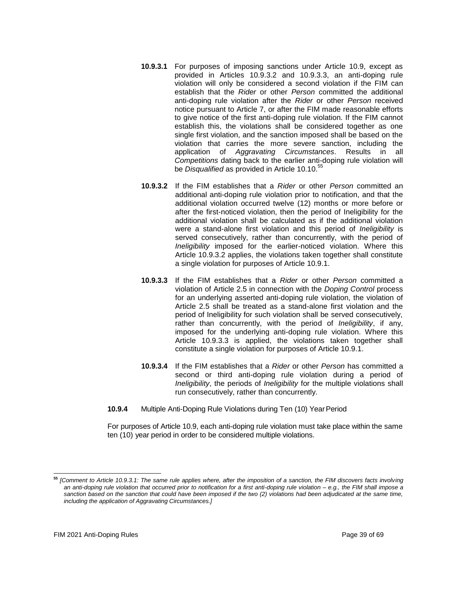- **10.9.3.1** For purposes of imposing sanctions under Article 10.9, except as provided in Articles 10.9.3.2 and 10.9.3.3, an anti-doping rule violation will only be considered a second violation if the FIM can establish that the *Rider* or other *Person* committed the additional anti-doping rule violation after the *Rider* or other *Person* received notice pursuant to Article 7, or after the FIM made reasonable efforts to give notice of the first anti-doping rule violation. If the FIM cannot establish this, the violations shall be considered together as one single first violation, and the sanction imposed shall be based on the violation that carries the more severe sanction, including the application of *Aggravating Circumstances*. Results in all *Competitions* dating back to the earlier anti-doping rule violation will be *Disqualified* as provided in Article 10.10.<sup>55</sup>
- **10.9.3.2** If the FIM establishes that a *Rider* or other *Person* committed an additional anti-doping rule violation prior to notification, and that the additional violation occurred twelve (12) months or more before or after the first-noticed violation, then the period of Ineligibility for the additional violation shall be calculated as if the additional violation were a stand-alone first violation and this period of *Ineligibility* is served consecutively, rather than concurrently, with the period of *Ineligibility* imposed for the earlier-noticed violation. Where this Article 10.9.3.2 applies, the violations taken together shall constitute a single violation for purposes of Article 10.9.1.
- **10.9.3.3** If the FIM establishes that a *Rider* or other *Person* committed a violation of Article 2.5 in connection with the *Doping Control* process for an underlying asserted anti-doping rule violation, the violation of Article 2.5 shall be treated as a stand-alone first violation and the period of Ineligibility for such violation shall be served consecutively, rather than concurrently, with the period of *Ineligibility*, if any, imposed for the underlying anti-doping rule violation. Where this Article 10.9.3.3 is applied, the violations taken together shall constitute a single violation for purposes of Article 10.9.1.
- **10.9.3.4** If the FIM establishes that a *Rider* or other *Person* has committed a second or third anti-doping rule violation during a period of *Ineligibility*, the periods of *Ineligibility* for the multiple violations shall run consecutively, rather than concurrently.
- **10.9.4** Multiple Anti-Doping Rule Violations during Ten (10) Year Period

For purposes of Article 10.9, each anti-doping rule violation must take place within the same ten (10) year period in order to be considered multiple violations.

**<sup>55</sup>** *[Comment to Article 10.9.3.1: The same rule applies where, after the imposition of a sanction, the FIM discovers facts involving an anti-doping rule violation that occurred prior to notification for a first anti-doping rule violation – e.g., the FIM shall impose a sanction based on the sanction that could have been imposed if the two (2) violations had been adjudicated at the same time, including the application of Aggravating Circumstances.]*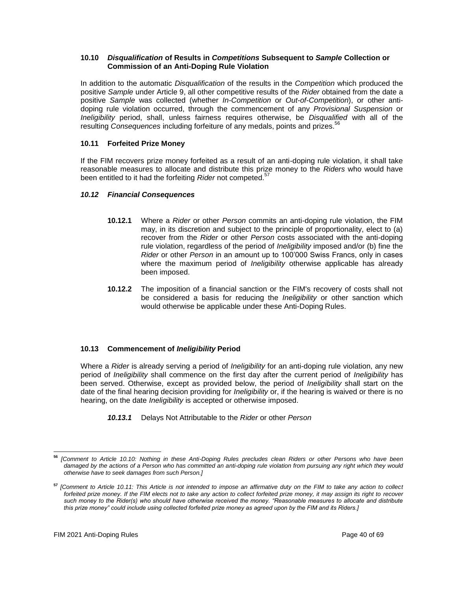## **10.10** *Disqualification* **of Results in** *Competitions* **Subsequent to** *Sample* **Collection or Commission of an Anti-Doping Rule Violation**

In addition to the automatic *Disqualification* of the results in the *Competition* which produced the positive *Sample* under Article 9, all other competitive results of the *Rider* obtained from the date a positive *Sample* was collected (whether *In-Competition* or *Out-of-Competition*), or other antidoping rule violation occurred, through the commencement of any *Provisional Suspension* or *Ineligibility* period, shall, unless fairness requires otherwise, be *Disqualified* with all of the resulting *Consequences* including forfeiture of any medals, points and prizes.<sup>56</sup>

# **10.11 Forfeited Prize Money**

If the FIM recovers prize money forfeited as a result of an anti-doping rule violation, it shall take reasonable measures to allocate and distribute this prize money to the *Riders* who would have been entitled to it had the forfeiting *Rider* not competed.<sup>57</sup>

# *10.12 Financial Consequences*

- **10.12.1** Where a *Rider* or other *Person* commits an anti-doping rule violation, the FIM may, in its discretion and subject to the principle of proportionality, elect to (a) recover from the *Rider* or other *Person* costs associated with the anti-doping rule violation, regardless of the period of *Ineligibility* imposed and/or (b) fine the *Rider* or other *Person* in an amount up to 100'000 Swiss Francs, only in cases where the maximum period of *Ineligibility* otherwise applicable has already been imposed.
- **10.12.2** The imposition of a financial sanction or the FIM's recovery of costs shall not be considered a basis for reducing the *Ineligibility* or other sanction which would otherwise be applicable under these Anti-Doping Rules.

# **10.13 Commencement of** *Ineligibility* **Period**

Where a *Rider* is already serving a period of *Ineligibility* for an anti-doping rule violation, any new period of *Ineligibility* shall commence on the first day after the current period of *Ineligibility* has been served. Otherwise, except as provided below, the period of *Ineligibility* shall start on the date of the final hearing decision providing for *Ineligibility* or, if the hearing is waived or there is no hearing, on the date *Ineligibility* is accepted or otherwise imposed.

*10.13.1* Delays Not Attributable to the *Rider* or other *Person*

**<sup>56</sup>** *[Comment to Article 10.10: Nothing in these Anti-Doping Rules precludes clean Riders or other Persons who have been*  damaged by the actions of a Person who has committed an anti-doping rule violation from pursuing any right which they would *otherwise have to seek damages from such Person.]*

**<sup>57</sup>** *[Comment to Article 10.11: This Article is not intended to impose an affirmative duty on the FIM to take any action to collect forfeited prize money. If the FIM elects not to take any action to collect forfeited prize money, it may assign its right to recover such money to the Rider(s) who should have otherwise received the money. "Reasonable measures to allocate and distribute this prize money" could include using collected forfeited prize money as agreed upon by the FIM and its Riders.]*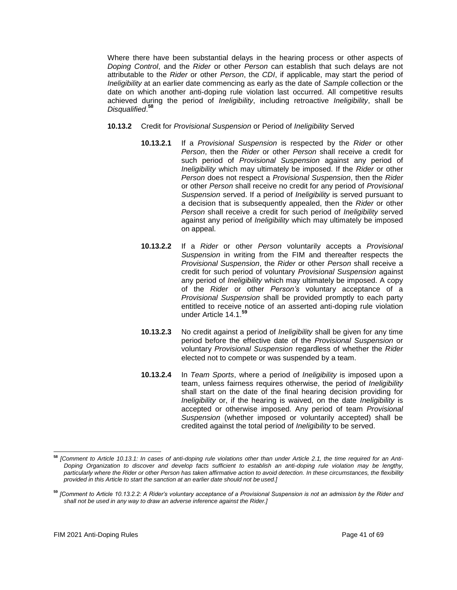Where there have been substantial delays in the hearing process or other aspects of *Doping Control*, and the *Rider* or other *Person* can establish that such delays are not attributable to the *Rider* or other *Person*, the *CDI*, if applicable, may start the period of *Ineligibility* at an earlier date commencing as early as the date of *Sample* collection or the date on which another anti-doping rule violation last occurred. All competitive results achieved during the period of *Ineligibility*, including retroactive *Ineligibility*, shall be *Disqualified*. **58**

- **10.13.2** Credit for *Provisional Suspension* or Period of *Ineligibility* Served
	- **10.13.2.1** If a *Provisional Suspension* is respected by the *Rider* or other *Person*, then the *Rider* or other *Person* shall receive a credit for such period of *Provisional Suspension* against any period of *Ineligibility* which may ultimately be imposed. If the *Rider* or other *Person* does not respect a *Provisional Suspension*, then the *Rider*  or other *Person* shall receive no credit for any period of *Provisional Suspension* served. If a period of *Ineligibility* is served pursuant to a decision that is subsequently appealed, then the *Rider* or other *Person* shall receive a credit for such period of *Ineligibility* served against any period of *Ineligibility* which may ultimately be imposed on appeal.
	- **10.13.2.2** If a *Rider* or other *Person* voluntarily accepts a *Provisional Suspension* in writing from the FIM and thereafter respects the *Provisional Suspension*, the *Rider* or other *Person* shall receive a credit for such period of voluntary *Provisional Suspension* against any period of *Ineligibility* which may ultimately be imposed. A copy of the *Rider* or other *Person's* voluntary acceptance of a *Provisional Suspension* shall be provided promptly to each party entitled to receive notice of an asserted anti-doping rule violation under Article 14.1.**<sup>59</sup>**
	- **10.13.2.3** No credit against a period of *Ineligibility* shall be given for any time period before the effective date of the *Provisional Suspension* or voluntary *Provisional Suspension* regardless of whether the *Rider*  elected not to compete or was suspended by a team.
	- **10.13.2.4** In *Team Sports*, where a period of *Ineligibility* is imposed upon a team, unless fairness requires otherwise, the period of *Ineligibility*  shall start on the date of the final hearing decision providing for *Ineligibility* or, if the hearing is waived, on the date *Ineligibility* is accepted or otherwise imposed. Any period of team *Provisional Suspension* (whether imposed or voluntarily accepted) shall be credited against the total period of *Ineligibility* to be served.

**<sup>58</sup>** *[Comment to Article 10.13.1: In cases of anti-doping rule violations other than under Article 2.1, the time required for an Anti-Doping Organization to discover and develop facts sufficient to establish an anti-doping rule violation may be lengthy, particularly where the Rider or other Person has taken affirmative action to avoid detection. In these circumstances, the flexibility provided in this Article to start the sanction at an earlier date should not be used.]* 

**<sup>59</sup>** *[Comment to Article 10.13.2.2: A Rider's voluntary acceptance of a Provisional Suspension is not an admission by the Rider and shall not be used in any way to draw an adverse inference against the Rider.]*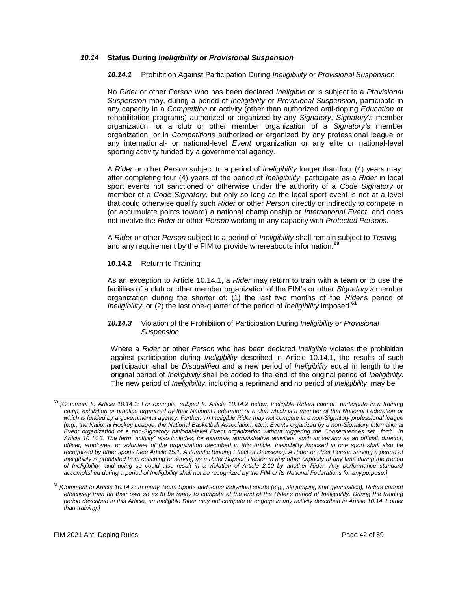## *10.14* **Status During** *Ineligibility* **or** *Provisional Suspension*

## *10.14.1* Prohibition Against Participation During *Ineligibility* or *Provisional Suspension*

No *Rider* or other *Person* who has been declared *Ineligible* or is subject to a *Provisional Suspension* may, during a period of *Ineligibility* or *Provisional Suspension*, participate in any capacity in a *Competition* or activity (other than authorized anti-doping *Education* or rehabilitation programs) authorized or organized by any *Signatory*, *Signatory's* member organization, or a club or other member organization of a *Signatory's* member organization, or in *Competitions* authorized or organized by any professional league or any international- or national-level *Event* organization or any elite or national-level sporting activity funded by a governmental agency.

A *Rider* or other *Person* subject to a period of *Ineligibility* longer than four (4) years may, after completing four (4) years of the period of *Ineligibility*, participate as a *Rider* in local sport events not sanctioned or otherwise under the authority of a *Code Signatory* or member of a *Code Signatory*, but only so long as the local sport event is not at a level that could otherwise qualify such *Rider* or other *Person* directly or indirectly to compete in (or accumulate points toward) a national championship or *International Event*, and does not involve the *Rider* or other *Person* working in any capacity with *Protected Persons*.

A *Rider* or other *Person* subject to a period of *Ineligibility* shall remain subject to *Testing* and any requirement by the FIM to provide whereabouts information.**<sup>60</sup>**

#### **10.14.2** Return to Training

As an exception to Article 10.14.1, a *Rider* may return to train with a team or to use the facilities of a club or other member organization of the FIM's or other *Signatory's* member organization during the shorter of: (1) the last two months of the *Rider'*s period of *Ineligibility*, or (2) the last one-quarter of the period of *Ineligibility* imposed.**<sup>61</sup>**

## *10.14.3* Violation of the Prohibition of Participation During *Ineligibility* or *Provisional Suspension*

Where a *Rider* or other *Person* who has been declared *Ineligible* violates the prohibition against participation during *Ineligibility* described in Article 10.14.1, the results of such participation shall be *Disqualified* and a new period of *Ineligibility* equal in length to the original period of *Ineligibility* shall be added to the end of the original period of *Ineligibility*. The new period of *Ineligibility*, including a reprimand and no period of *Ineligibility*, may be

**<sup>60</sup>** *[Comment to Article 10.14.1: For example, subject to Article 10.14.2 below, Ineligible Riders cannot participate in a training camp, exhibition or practice organized by their National Federation or a club which is a member of that National Federation or which is funded by a governmental agency. Further, an Ineligible Rider may not compete in a non-Signatory professional league (e.g., the National Hockey League, the National Basketball Association, etc.), Events organized by a non-Signatory International Event organization or a non-Signatory national-level Event organization without triggering the Consequences set forth in Article 10.14.3. The term "activity" also includes, for example, administrative activities, such as serving as an official, director, officer, employee, or volunteer of the organization described in this Article. Ineligibility imposed in one sport shall also be*  recognized by other sports (see Article 15.1, Automatic Binding Effect of Decisions). A Rider or other Person serving a period of *Ineligibility is prohibited from coaching or serving as a Rider Support Person in any other capacity at any time during the period of Ineligibility, and doing so could also result in a violation of Article 2.10 by another Rider. Any performance standard accomplished during a period of Ineligibility shall not be recognized by the FIM or its National Federations for any purpose.]*

**<sup>61</sup>** *[Comment to Article 10.14.2: In many Team Sports and some individual sports (e.g., ski jumping and gymnastics), Riders cannot effectively train on their own so as to be ready to compete at the end of the Rider's period of Ineligibility. During the training period described in this Article, an Ineligible Rider may not compete or engage in any activity described in Article 10.14.1 other than training.]*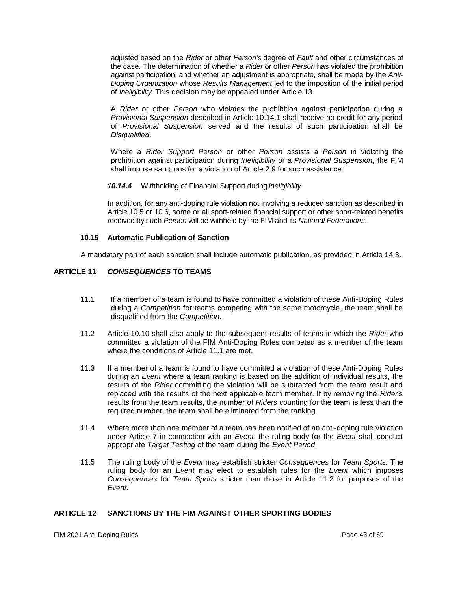adjusted based on the *Rider* or other *Person's* degree of *Fault* and other circumstances of the case. The determination of whether a *Rider* or other *Person* has violated the prohibition against participation, and whether an adjustment is appropriate, shall be made by the *Anti-Doping Organization* whose *Results Management* led to the imposition of the initial period of *Ineligibility*. This decision may be appealed under Article 13.

A *Rider* or other *Person* who violates the prohibition against participation during a *Provisional Suspension* described in Article 10.14.1 shall receive no credit for any period of *Provisional Suspension* served and the results of such participation shall be *Disqualified*.

Where a *Rider Support Person* or other *Person* assists a *Person* in violating the prohibition against participation during *Ineligibility* or a *Provisional Suspension*, the FIM shall impose sanctions for a violation of Article 2.9 for such assistance.

*10.14.4* Withholding of Financial Support during *Ineligibility*

In addition, for any anti-doping rule violation not involving a reduced sanction as described in Article 10.5 or 10.6, some or all sport-related financial support or other sport-related benefits received by such *Person* will be withheld by the FIM and its *National Federations*.

#### **10.15 Automatic Publication of Sanction**

A mandatory part of each sanction shall include automatic publication, as provided in Article 14.3.

## <span id="page-42-0"></span>**ARTICLE 11** *CONSEQUENCES* **TO TEAMS**

- 11.1 If a member of a team is found to have committed a violation of these Anti-Doping Rules during a *Competition* for teams competing with the same motorcycle, the team shall be disqualified from the *Competition*.
- 11.2 Article 10.10 shall also apply to the subsequent results of teams in which the *Rider* who committed a violation of the FIM Anti-Doping Rules competed as a member of the team where the conditions of Article 11.1 are met.
- 11.3 If a member of a team is found to have committed a violation of these Anti-Doping Rules during an *Event* where a team ranking is based on the addition of individual results, the results of the *Rider* committing the violation will be subtracted from the team result and replaced with the results of the next applicable team member. If by removing the *Rider'*s results from the team results, the number of *Riders* counting for the team is less than the required number, the team shall be eliminated from the ranking.
- 11.4 Where more than one member of a team has been notified of an anti-doping rule violation under Article 7 in connection with an *Event*, the ruling body for the *Event* shall conduct appropriate *Target Testing* of the team during the *Event Period*.
- 11.5 The ruling body of the *Event* may establish stricter *Consequences* for *Team Sports*. The ruling body for an *Event* may elect to establish rules for the *Event* which imposes *Consequences* for *Team Sports* stricter than those in Article 11.2 for purposes of the *Event*.

#### <span id="page-42-1"></span>**ARTICLE 12 SANCTIONS BY THE FIM AGAINST OTHER SPORTING BODIES**

FIM 2021 Anti-Doping Rules Page 43 of 69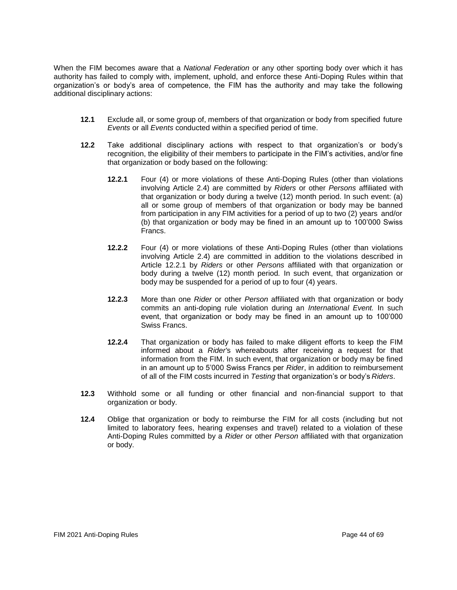When the FIM becomes aware that a *National Federation* or any other sporting body over which it has authority has failed to comply with, implement, uphold, and enforce these Anti-Doping Rules within that organization's or body's area of competence, the FIM has the authority and may take the following additional disciplinary actions:

- **12.1** Exclude all, or some group of, members of that organization or body from specified future *Events* or all *Events* conducted within a specified period of time.
- **12.2** Take additional disciplinary actions with respect to that organization's or body's recognition, the eligibility of their members to participate in the FIM's activities, and/or fine that organization or body based on the following:
	- **12.2.1** Four (4) or more violations of these Anti-Doping Rules (other than violations involving Article 2.4) are committed by *Riders* or other *Persons* affiliated with that organization or body during a twelve (12) month period. In such event: (a) all or some group of members of that organization or body may be banned from participation in any FIM activities for a period of up to two (2) years and/or (b) that organization or body may be fined in an amount up to 100'000 Swiss Francs.
	- **12.2.2** Four (4) or more violations of these Anti-Doping Rules (other than violations involving Article 2.4) are committed in addition to the violations described in Article 12.2.1 by *Riders* or other *Persons* affiliated with that organization or body during a twelve (12) month period*.* In such event, that organization or body may be suspended for a period of up to four (4) years.
	- **12.2.3** More than one *Rider* or other *Person* affiliated with that organization or body commits an anti-doping rule violation during an *International Event.* In such event, that organization or body may be fined in an amount up to 100'000 Swiss Francs.
	- **12.2.4** That organization or body has failed to make diligent efforts to keep the FIM informed about a *Rider'*s whereabouts after receiving a request for that information from the FIM. In such event, that organization or body may be fined in an amount up to 5'000 Swiss Francs per *Rider*, in addition to reimbursement of all of the FIM costs incurred in *Testing* that organization's or body's *Riders*.
- **12.3** Withhold some or all funding or other financial and non-financial support to that organization or body.
- **12.4** Oblige that organization or body to reimburse the FIM for all costs (including but not limited to laboratory fees, hearing expenses and travel) related to a violation of these Anti-Doping Rules committed by a *Rider* or other *Person* affiliated with that organization or body.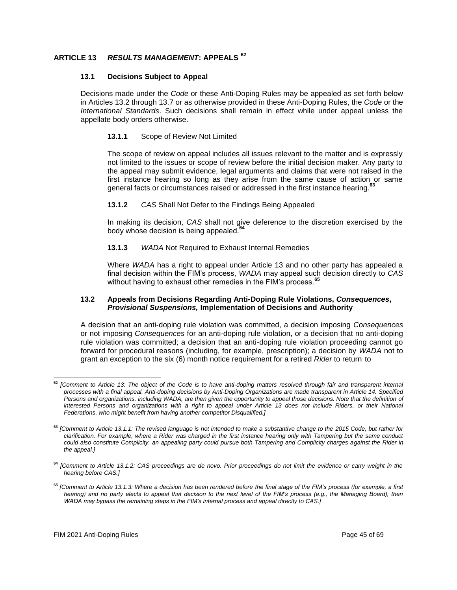# <span id="page-44-0"></span>**ARTICLE 13** *RESULTS MANAGEMENT***: APPEALS <sup>62</sup>**

#### **13.1 Decisions Subject to Appeal**

Decisions made under the *Code* or these Anti-Doping Rules may be appealed as set forth below in Articles 13.2 through 13.7 or as otherwise provided in these Anti-Doping Rules, the *Code* or the *International Standards*. Such decisions shall remain in effect while under appeal unless the appellate body orders otherwise.

#### **13.1.1** Scope of Review Not Limited

The scope of review on appeal includes all issues relevant to the matter and is expressly not limited to the issues or scope of review before the initial decision maker. Any party to the appeal may submit evidence, legal arguments and claims that were not raised in the first instance hearing so long as they arise from the same cause of action or same general facts or circumstances raised or addressed in the first instance hearing.**<sup>63</sup>**

#### **13.1.2** *CAS* Shall Not Defer to the Findings Being Appealed

In making its decision, *CAS* shall not give deference to the discretion exercised by the body whose decision is being appealed.**<sup>64</sup>**

#### **13.1.3** *WADA* Not Required to Exhaust Internal Remedies

Where *WADA* has a right to appeal under Article 13 and no other party has appealed a final decision within the FIM's process, *WADA* may appeal such decision directly to *CAS*  without having to exhaust other remedies in the FIM's process.**<sup>65</sup>**

#### **13.2 Appeals from Decisions Regarding Anti-Doping Rule Violations,** *Consequences***,**  *Provisional Suspensions,* **Implementation of Decisions and Authority**

A decision that an anti-doping rule violation was committed, a decision imposing *Consequences*  or not imposing *Consequences* for an anti-doping rule violation, or a decision that no anti-doping rule violation was committed; a decision that an anti-doping rule violation proceeding cannot go forward for procedural reasons (including, for example, prescription); a decision by *WADA* not to grant an exception to the six (6) month notice requirement for a retired *Rider* to return to

**<sup>62</sup>** *[Comment to Article 13: The object of the Code is to have anti-doping matters resolved through fair and transparent internal processes with a final appeal. Anti-doping decisions by Anti-Doping Organizations are made transparent in Article 14. Specified Persons and organizations, including WADA, are then given the opportunity to appeal those decisions. Note that the definition of interested Persons and organizations with a right to appeal under Article 13 does not include Riders, or their National Federations, who might benefit from having another competitor Disqualified.]*

**<sup>63</sup>** *[Comment to Article 13.1.1: The revised language is not intended to make a substantive change to the 2015 Code, but rather for clarification. For example, where a Rider was charged in the first instance hearing only with Tampering but the same conduct could also constitute Complicity, an appealing party could pursue both Tampering and Complicity charges against the Rider in the appeal.]*

**<sup>64</sup>** *[Comment to Article 13.1.2: CAS proceedings are de novo. Prior proceedings do not limit the evidence or carry weight in the hearing before CAS.]*

**<sup>65</sup>** *[Comment to Article 13.1.3: Where a decision has been rendered before the final stage of the FIM's process (for example, a first hearing) and no party elects to appeal that decision to the next level of the FIM's process (e.g., the Managing Board), then WADA may bypass the remaining steps in the FIM's internal process and appeal directly to CAS.]*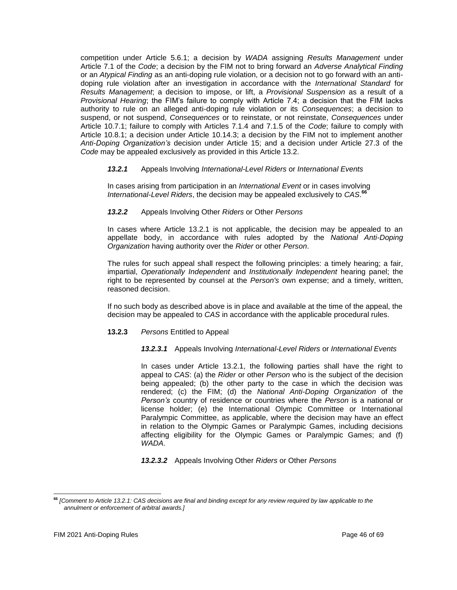competition under Article 5.6.1; a decision by *WADA* assigning *Results Management* under Article 7.1 of the *Code*; a decision by the FIM not to bring forward an *Adverse Analytical Finding*  or an *Atypical Finding* as an anti-doping rule violation, or a decision not to go forward with an antidoping rule violation after an investigation in accordance with the *International Standard* for *Results Management*; a decision to impose, or lift, a *Provisional Suspension* as a result of a *Provisional Hearing*; the FIM's failure to comply with Article 7.4; a decision that the FIM lacks authority to rule on an alleged anti-doping rule violation or its *Consequences*; a decision to suspend, or not suspend, *Consequences* or to reinstate, or not reinstate, *Consequences* under Article 10.7.1; failure to comply with Articles 7.1.4 and 7.1.5 of the *Code*; failure to comply with Article 10.8.1; a decision under Article 10.14.3; a decision by the FIM not to implement another *Anti-Doping Organization's* decision under Article 15; and a decision under Article 27.3 of the *Code* may be appealed exclusively as provided in this Article 13.2.

## *13.2.1* Appeals Involving *International-Level Riders* or *International Events*

In cases arising from participation in an *International Event* or in cases involving *International-Level Riders*, the decision may be appealed exclusively to *CAS*. **66**

*13.2.2* Appeals Involving Other *Riders* or Other *Persons*

In cases where Article 13.2.1 is not applicable, the decision may be appealed to an appellate body, in accordance with rules adopted by the *National Anti-Doping Organization* having authority over the *Rider* or other *Person*.

The rules for such appeal shall respect the following principles: a timely hearing; a fair, impartial, *Operationally Independent* and *Institutionally Independent* hearing panel; the right to be represented by counsel at the *Person's* own expense; and a timely, written, reasoned decision.

If no such body as described above is in place and available at the time of the appeal, the decision may be appealed to *CAS* in accordance with the applicable procedural rules.

#### **13.2.3** *Persons* Entitled to Appeal

*13.2.3.1* Appeals Involving *International-Level Riders* or *International Events*

In cases under Article 13.2.1, the following parties shall have the right to appeal to *CAS*: (a) the *Rider* or other *Person* who is the subject of the decision being appealed; (b) the other party to the case in which the decision was rendered; (c) the FIM; (d) the *National Anti-Doping Organization* of the *Person's* country of residence or countries where the *Person* is a national or license holder; (e) the International Olympic Committee or International Paralympic Committee, as applicable, where the decision may have an effect in relation to the Olympic Games or Paralympic Games, including decisions affecting eligibility for the Olympic Games or Paralympic Games; and (f) *WADA*.

*13.2.3.2* Appeals Involving Other *Riders* or Other *Persons*

**<sup>66</sup>** *[Comment to Article 13.2.1: CAS decisions are final and binding except for any review required by law applicable to the annulment or enforcement of arbitral awards.]*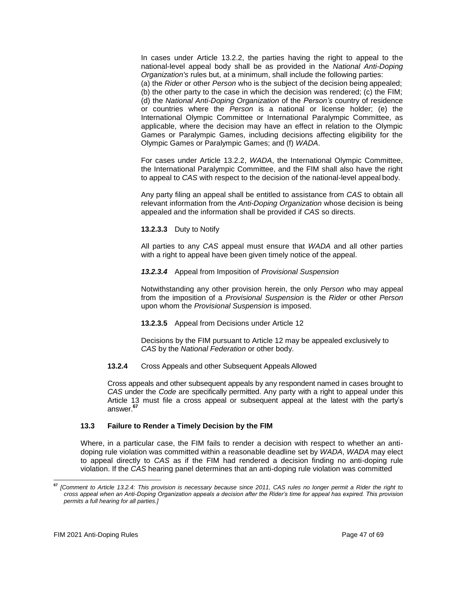In cases under Article 13.2.2, the parties having the right to appeal to the national-level appeal body shall be as provided in the *National Anti-Doping Organization's* rules but, at a minimum, shall include the following parties:

(a) the *Rider* or other *Person* who is the subject of the decision being appealed; (b) the other party to the case in which the decision was rendered; (c) the FIM; (d) the *National Anti-Doping Organization* of the *Person's* country of residence or countries where the *Person* is a national or license holder; (e) the International Olympic Committee or International Paralympic Committee, as applicable, where the decision may have an effect in relation to the Olympic Games or Paralympic Games, including decisions affecting eligibility for the Olympic Games or Paralympic Games; and (f) *WADA*.

For cases under Article 13.2.2, *WADA*, the International Olympic Committee, the International Paralympic Committee, and the FIM shall also have the right to appeal to *CAS* with respect to the decision of the national-level appeal body.

Any party filing an appeal shall be entitled to assistance from *CAS* to obtain all relevant information from the *Anti-Doping Organization* whose decision is being appealed and the information shall be provided if *CAS* so directs.

**13.2.3.3** Duty to Notify

All parties to any *CAS* appeal must ensure that *WADA* and all other parties with a right to appeal have been given timely notice of the appeal.

#### *13.2.3.4* Appeal from Imposition of *Provisional Suspension*

Notwithstanding any other provision herein, the only *Person* who may appeal from the imposition of a *Provisional Suspension* is the *Rider* or other *Person*  upon whom the *Provisional Suspension* is imposed.

**13.2.3.5** Appeal from Decisions under Article 12

Decisions by the FIM pursuant to Article 12 may be appealed exclusively to *CAS* by the *National Federation* or other body.

#### **13.2.4** Cross Appeals and other Subsequent Appeals Allowed

Cross appeals and other subsequent appeals by any respondent named in cases brought to *CAS* under the *Code* are specifically permitted. Any party with a right to appeal under this Article 13 must file a cross appeal or subsequent appeal at the latest with the party's answer.**<sup>67</sup>**

#### **13.3 Failure to Render a Timely Decision by the FIM**

Where, in a particular case, the FIM fails to render a decision with respect to whether an antidoping rule violation was committed within a reasonable deadline set by *WADA*, *WADA* may elect to appeal directly to *CAS* as if the FIM had rendered a decision finding no anti-doping rule violation. If the *CAS* hearing panel determines that an anti-doping rule violation was committed

**<sup>67</sup>** *[Comment to Article 13.2.4: This provision is necessary because since 2011, CAS rules no longer permit a Rider the right to cross appeal when an Anti-Doping Organization appeals a decision after the Rider's time for appeal has expired. This provision permits a full hearing for all parties.]*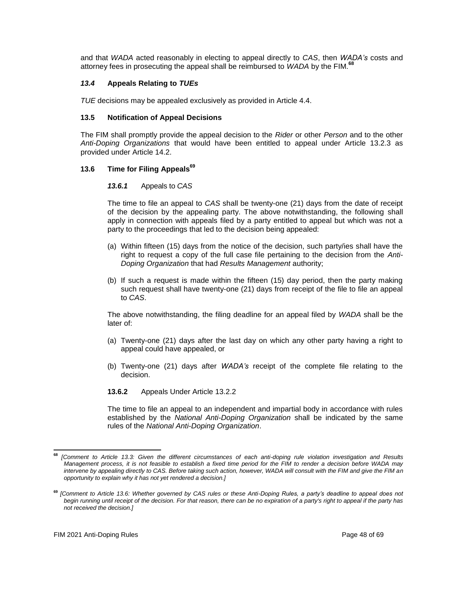and that *WADA* acted reasonably in electing to appeal directly to *CAS*, then *WADA's* costs and attorney fees in prosecuting the appeal shall be reimbursed to *WADA* by the FIM.**<sup>68</sup>**

## *13.4* **Appeals Relating to** *TUEs*

*TUE* decisions may be appealed exclusively as provided in Article 4.4.

#### **13.5 Notification of Appeal Decisions**

The FIM shall promptly provide the appeal decision to the *Rider* or other *Person* and to the other *Anti-Doping Organizations* that would have been entitled to appeal under Article 13.2.3 as provided under Article 14.2.

#### **13.6 Time for Filing Appeals<sup>69</sup>**

#### *13.6.1* Appeals to *CAS*

The time to file an appeal to *CAS* shall be twenty-one (21) days from the date of receipt of the decision by the appealing party. The above notwithstanding, the following shall apply in connection with appeals filed by a party entitled to appeal but which was not a party to the proceedings that led to the decision being appealed:

- (a) Within fifteen (15) days from the notice of the decision, such party/ies shall have the right to request a copy of the full case file pertaining to the decision from the *Anti-Doping Organization* that had *Results Management* authority;
- (b) If such a request is made within the fifteen (15) day period, then the party making such request shall have twenty-one (21) days from receipt of the file to file an appeal to *CAS*.

The above notwithstanding, the filing deadline for an appeal filed by *WADA* shall be the later of:

- (a) Twenty-one (21) days after the last day on which any other party having a right to appeal could have appealed, or
- (b) Twenty-one (21) days after *WADA's* receipt of the complete file relating to the decision.
- **13.6.2** Appeals Under Article 13.2.2

The time to file an appeal to an independent and impartial body in accordance with rules established by the *National Anti-Doping Organization* shall be indicated by the same rules of the *National Anti-Doping Organization*.

**<sup>68</sup>** *[Comment to Article 13.3: Given the different circumstances of each anti-doping rule violation investigation and Results Management process, it is not feasible to establish a fixed time period for the FIM to render a decision before WADA may intervene by appealing directly to CAS. Before taking such action, however, WADA will consult with the FIM and give the FIM an opportunity to explain why it has not yet rendered a decision.]*

**<sup>69</sup>** *[Comment to Article 13.6: Whether governed by CAS rules or these Anti-Doping Rules, a party's deadline to appeal does not begin running until receipt of the decision. For that reason, there can be no expiration of a party's right to appeal if the party has not received the decision.]*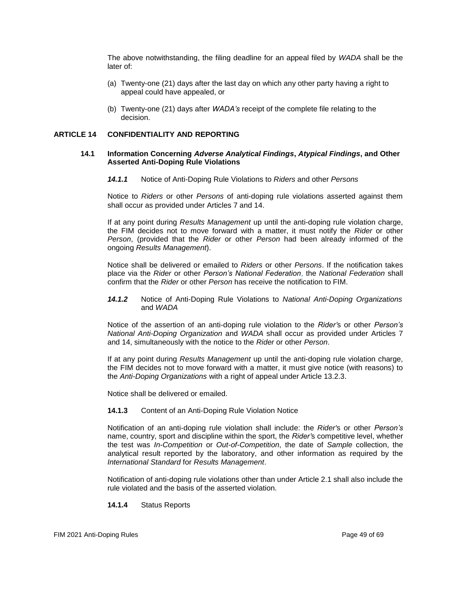The above notwithstanding, the filing deadline for an appeal filed by *WADA* shall be the later of:

- (a) Twenty-one (21) days after the last day on which any other party having a right to appeal could have appealed, or
- (b) Twenty-one (21) days after *WADA's* receipt of the complete file relating to the decision.

## <span id="page-48-0"></span>**ARTICLE 14 CONFIDENTIALITY AND REPORTING**

#### **14.1 Information Concerning** *Adverse Analytical Findings***,** *Atypical Findings***, and Other Asserted Anti-Doping Rule Violations**

*14.1.1* Notice of Anti-Doping Rule Violations to *Riders* and other *Persons*

Notice to *Riders* or other *Persons* of anti-doping rule violations asserted against them shall occur as provided under Articles 7 and 14.

If at any point during *Results Management* up until the anti-doping rule violation charge, the FIM decides not to move forward with a matter, it must notify the *Rider* or other *Person*, (provided that the *Rider* or other *Person* had been already informed of the ongoing *Results Management*).

Notice shall be delivered or emailed to *Riders* or other *Persons*. If the notification takes place via the *Rider* or other *Person's National Federation*, the *National Federation* shall confirm that the *Rider* or other *Person* has receive the notification to FIM.

*14.1.2* Notice of Anti-Doping Rule Violations to *National Anti-Doping Organizations* and *WADA*

Notice of the assertion of an anti-doping rule violation to the *Rider'*s or other *Person's National Anti-Doping Organization* and *WADA* shall occur as provided under Articles 7 and 14, simultaneously with the notice to the *Rider* or other *Person*.

If at any point during *Results Management* up until the anti-doping rule violation charge, the FIM decides not to move forward with a matter, it must give notice (with reasons) to the *Anti-Doping Organizations* with a right of appeal under Article 13.2.3.

Notice shall be delivered or emailed.

#### **14.1.3** Content of an Anti-Doping Rule Violation Notice

Notification of an anti-doping rule violation shall include: the *Rider'*s or other *Person's*  name, country, sport and discipline within the sport, the *Rider'*s competitive level, whether the test was *In-Competition* or *Out-of-Competition*, the date of *Sample* collection, the analytical result reported by the laboratory, and other information as required by the *International Standard* for *Results Management*.

Notification of anti-doping rule violations other than under Article 2.1 shall also include the rule violated and the basis of the asserted violation.

#### **14.1.4** Status Reports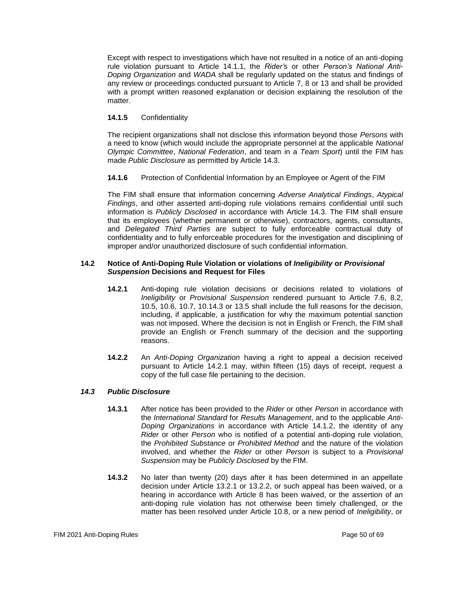Except with respect to investigations which have not resulted in a notice of an anti-doping rule violation pursuant to Article 14.1.1, the *Rider'*s or other *Person's National Anti-Doping Organization* and *WADA* shall be regularly updated on the status and findings of any review or proceedings conducted pursuant to Article 7, 8 or 13 and shall be provided with a prompt written reasoned explanation or decision explaining the resolution of the matter.

# **14.1.5** Confidentiality

The recipient organizations shall not disclose this information beyond those *Persons* with a need to know (which would include the appropriate personnel at the applicable *National Olympic Committee*, *National Federation*, and team in a *Team Sport*) until the FIM has made *Public Disclosure* as permitted by Article 14.3.

**14.1.6** Protection of Confidential Information by an Employee or Agent of the FIM

The FIM shall ensure that information concerning *Adverse Analytical Findings*, *Atypical Findings*, and other asserted anti-doping rule violations remains confidential until such information is *Publicly Disclosed* in accordance with Article 14.3. The FIM shall ensure that its employees (whether permanent or otherwise), contractors, agents, consultants, and *Delegated Third Parties* are subject to fully enforceable contractual duty of confidentiality and to fully enforceable procedures for the investigation and disciplining of improper and/or unauthorized disclosure of such confidential information.

## **14.2 Notice of Anti-Doping Rule Violation or violations of** *Ineligibility* **or** *Provisional Suspension* **Decisions and Request for Files**

- **14.2.1** Anti-doping rule violation decisions or decisions related to violations of *Ineligibility* or *Provisional Suspension* rendered pursuant to Article 7.6, 8.2, 10.5, 10.6, 10.7, 10.14.3 or 13.5 shall include the full reasons for the decision, including, if applicable, a justification for why the maximum potential sanction was not imposed. Where the decision is not in English or French, the FIM shall provide an English or French summary of the decision and the supporting reasons.
- **14.2.2** An *Anti-Doping Organization* having a right to appeal a decision received pursuant to Article 14.2.1 may, within fifteen (15) days of receipt, request a copy of the full case file pertaining to the decision.

# *14.3 Public Disclosure*

- **14.3.1** After notice has been provided to the *Rider* or other *Person* in accordance with the *International Standard* for *Results Management*, and to the applicable *Anti-Doping Organizations* in accordance with Article 14.1.2, the identity of any *Rider* or other *Person* who is notified of a potential anti-doping rule violation, the *Prohibited Substance* or *Prohibited Method* and the nature of the violation involved, and whether the *Rider* or other *Person* is subject to a *Provisional Suspension* may be *Publicly Disclosed* by the FIM.
- **14.3.2** No later than twenty (20) days after it has been determined in an appellate decision under Article 13.2.1 or 13.2.2, or such appeal has been waived, or a hearing in accordance with Article 8 has been waived, or the assertion of an anti-doping rule violation has not otherwise been timely challenged, or the matter has been resolved under Article 10.8, or a new period of *Ineligibility*, or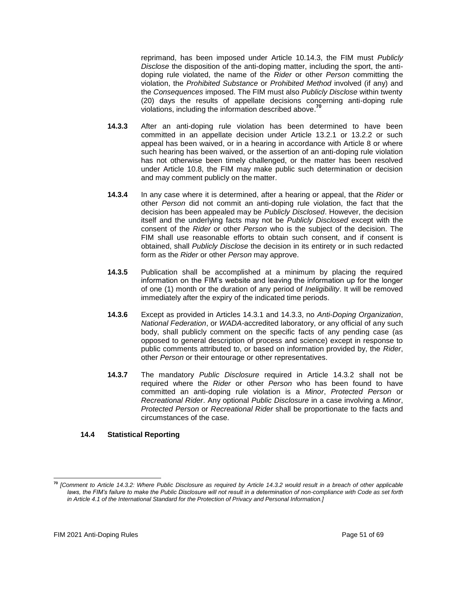reprimand, has been imposed under Article 10.14.3, the FIM must *Publicly Disclose* the disposition of the anti-doping matter, including the sport, the antidoping rule violated, the name of the *Rider* or other *Person* committing the violation, the *Prohibited Substance* or *Prohibited Method* involved (if any) and the *Consequences* imposed. The FIM must also *Publicly Disclose* within twenty (20) days the results of appellate decisions concerning anti-doping rule violations, including the information described above. **70**

- **14.3.3** After an anti-doping rule violation has been determined to have been committed in an appellate decision under Article 13.2.1 or 13.2.2 or such appeal has been waived, or in a hearing in accordance with Article 8 or where such hearing has been waived, or the assertion of an anti-doping rule violation has not otherwise been timely challenged, or the matter has been resolved under Article 10.8, the FIM may make public such determination or decision and may comment publicly on the matter.
- **14.3.4** In any case where it is determined, after a hearing or appeal, that the *Rider* or other *Person* did not commit an anti-doping rule violation, the fact that the decision has been appealed may be *Publicly Disclosed*. However, the decision itself and the underlying facts may not be *Publicly Disclosed* except with the consent of the *Rider* or other *Person* who is the subject of the decision. The FIM shall use reasonable efforts to obtain such consent, and if consent is obtained, shall *Publicly Disclose* the decision in its entirety or in such redacted form as the *Rider* or other *Person* may approve.
- **14.3.5** Publication shall be accomplished at a minimum by placing the required information on the FIM's website and leaving the information up for the longer of one (1) month or the duration of any period of *Ineligibility*. It will be removed immediately after the expiry of the indicated time periods.
- **14.3.6** Except as provided in Articles 14.3.1 and 14.3.3, no *Anti-Doping Organization*, *National Federation*, or *WADA-*accredited laboratory, or any official of any such body, shall publicly comment on the specific facts of any pending case (as opposed to general description of process and science) except in response to public comments attributed to, or based on information provided by, the *Rider*, other *Person* or their entourage or other representatives.
- **14.3.7** The mandatory *Public Disclosure* required in Article 14.3.2 shall not be required where the *Rider* or other *Person* who has been found to have committed an anti-doping rule violation is a *Minor*, *Protected Person* or *Recreational Rider*. Any optional *Public Disclosure* in a case involving a *Minor*, *Protected Person* or *Recreational Rider* shall be proportionate to the facts and circumstances of the case.

# **14.4 Statistical Reporting**

**<sup>70</sup>** *[Comment to Article 14.3.2: Where Public Disclosure as required by Article 14.3.2 would result in a breach of other applicable*  laws, the FIM's failure to make the Public Disclosure will not result in a determination of non-compliance with Code as set forth *in Article 4.1 of the International Standard for the Protection of Privacy and Personal Information.]*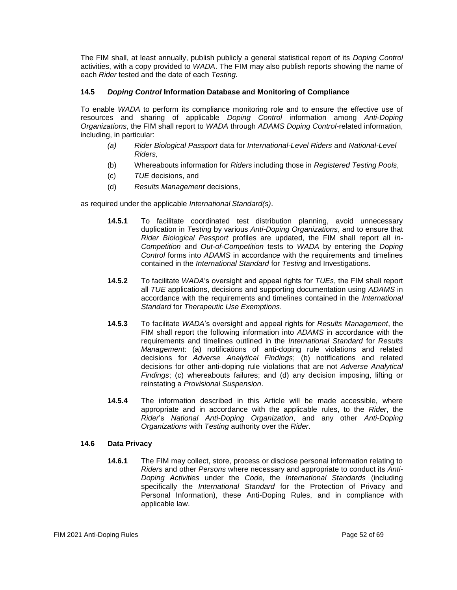The FIM shall, at least annually, publish publicly a general statistical report of its *Doping Control*  activities, with a copy provided to *WADA*. The FIM may also publish reports showing the name of each *Rider* tested and the date of each *Testing*.

## **14.5** *Doping Control* **Information Database and Monitoring of Compliance**

To enable *WADA* to perform its compliance monitoring role and to ensure the effective use of resources and sharing of applicable *Doping Control* information among *Anti-Doping Organizations*, the FIM shall report to *WADA* through *ADAMS Doping Control*-related information, including, in particular:

- *(a) Rider Biological Passport* data for *International-Level Riders* and *National-Level Riders,*
- (b) Whereabouts information for *Riders* including those in *Registered Testing Pools*,
- (c) *TUE* decisions, and
- (d) *Results Management* decisions,

as required under the applicable *International Standard(s)*.

- **14.5.1** To facilitate coordinated test distribution planning, avoid unnecessary duplication in *Testing* by various *Anti-Doping Organizations*, and to ensure that *Rider Biological Passport* profiles are updated, the FIM shall report all *In-Competition* and *Out-of-Competition* tests to *WADA* by entering the *Doping Control* forms into *ADAMS* in accordance with the requirements and timelines contained in the *International Standard* for *Testing* and Investigations.
- **14.5.2** To facilitate *WADA*'s oversight and appeal rights for *TUEs*, the FIM shall report all *TUE* applications, decisions and supporting documentation using *ADAMS* in accordance with the requirements and timelines contained in the *International Standard* for *Therapeutic Use Exemptions*.
- **14.5.3** To facilitate *WADA*'s oversight and appeal rights for *Results Management*, the FIM shall report the following information into *ADAMS* in accordance with the requirements and timelines outlined in the *International Standard* for *Results Management*: (a) notifications of anti-doping rule violations and related decisions for *Adverse Analytical Findings*; (b) notifications and related decisions for other anti-doping rule violations that are not *Adverse Analytical Findings*; (c) whereabouts failures; and (d) any decision imposing, lifting or reinstating a *Provisional Suspension*.
- **14.5.4** The information described in this Article will be made accessible, where appropriate and in accordance with the applicable rules, to the *Rider*, the *Rider*'s *National Anti-Doping Organization*, and any other *Anti-Doping Organizations* with *Testing* authority over the *Rider*.

## **14.6 Data Privacy**

**14.6.1** The FIM may collect, store, process or disclose personal information relating to *Riders* and other *Persons* where necessary and appropriate to conduct its *Anti-Doping Activities* under the *Code*, the *International Standards* (including specifically the *International Standard* for the Protection of Privacy and Personal Information), these Anti-Doping Rules, and in compliance with applicable law.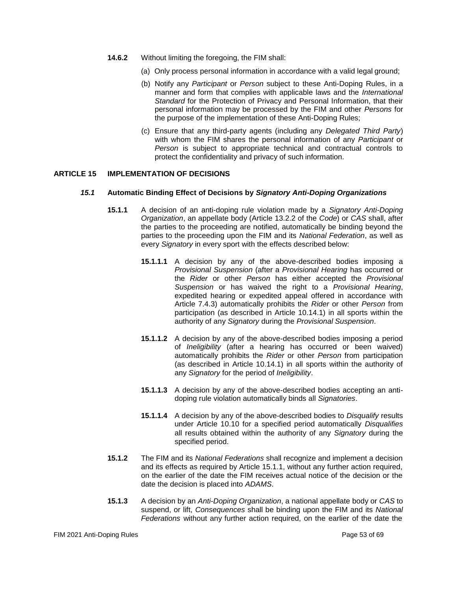- **14.6.2** Without limiting the foregoing, the FIM shall:
	- (a) Only process personal information in accordance with a valid legal ground;
	- (b) Notify any *Participant* or *Person* subject to these Anti-Doping Rules, in a manner and form that complies with applicable laws and the *International Standard* for the Protection of Privacy and Personal Information, that their personal information may be processed by the FIM and other *Persons* for the purpose of the implementation of these Anti-Doping Rules;
	- (c) Ensure that any third-party agents (including any *Delegated Third Party*) with whom the FIM shares the personal information of any *Participant* or *Person* is subject to appropriate technical and contractual controls to protect the confidentiality and privacy of such information.

## <span id="page-52-0"></span>**ARTICLE 15 IMPLEMENTATION OF DECISIONS**

#### *15.1* **Automatic Binding Effect of Decisions by** *Signatory Anti-Doping Organizations*

- **15.1.1** A decision of an anti-doping rule violation made by a *Signatory Anti-Doping Organization*, an appellate body (Article 13.2.2 of the *Code*) or *CAS* shall, after the parties to the proceeding are notified, automatically be binding beyond the parties to the proceeding upon the FIM and its *National Federation*, as well as every *Signatory* in every sport with the effects described below:
	- **15.1.1.1** A decision by any of the above-described bodies imposing a *Provisional Suspension* (after a *Provisional Hearing* has occurred or the *Rider* or other *Person* has either accepted the *Provisional Suspension* or has waived the right to a *Provisional Hearing*, expedited hearing or expedited appeal offered in accordance with Article 7.4.3) automatically prohibits the *Rider* or other *Person* from participation (as described in Article 10.14.1) in all sports within the authority of any *Signatory* during the *Provisional Suspension*.
	- **15.1.1.2** A decision by any of the above-described bodies imposing a period of *Ineligibility* (after a hearing has occurred or been waived) automatically prohibits the *Rider* or other *Person* from participation (as described in Article 10.14.1) in all sports within the authority of any *Signatory* for the period of *Ineligibility*.
	- **15.1.1.3** A decision by any of the above-described bodies accepting an antidoping rule violation automatically binds all *Signatories*.
	- **15.1.1.4** A decision by any of the above-described bodies to *Disqualify* results under Article 10.10 for a specified period automatically *Disqualifies*  all results obtained within the authority of any *Signatory* during the specified period.
- **15.1.2** The FIM and its *National Federations* shall recognize and implement a decision and its effects as required by Article 15.1.1, without any further action required, on the earlier of the date the FIM receives actual notice of the decision or the date the decision is placed into *ADAMS*.
- **15.1.3** A decision by an *Anti-Doping Organization*, a national appellate body or *CAS* to suspend, or lift, *Consequences* shall be binding upon the FIM and its *National Federations* without any further action required, on the earlier of the date the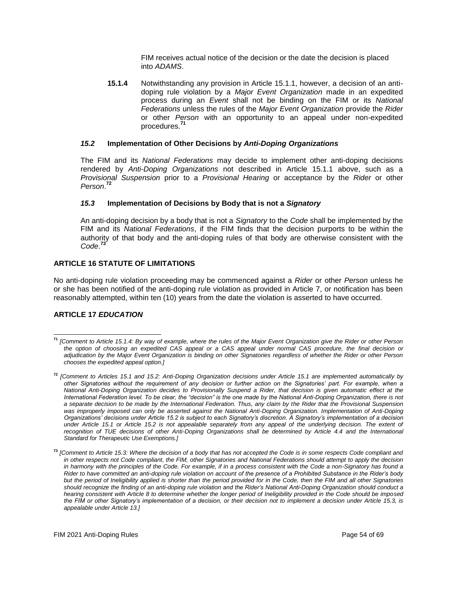FIM receives actual notice of the decision or the date the decision is placed into *ADAMS*.

**15.1.4** Notwithstanding any provision in Article 15.1.1, however, a decision of an antidoping rule violation by a *Major Event Organization* made in an expedited process during an *Event* shall not be binding on the FIM or its *National Federations* unless the rules of the *Major Event Organization* provide the *Rider*  or other *Person* with an opportunity to an appeal under non-expedited procedures.**<sup>71</sup>**

## *15.2* **Implementation of Other Decisions by** *Anti-Doping Organizations*

The FIM and its *National Federations* may decide to implement other anti-doping decisions rendered by *Anti-Doping Organizations* not described in Article 15.1.1 above, such as a *Provisional Suspension* prior to a *Provisional Hearing* or acceptance by the *Rider* or other *Person*. **72**

## *15.3* **Implementation of Decisions by Body that is not a** *Signatory*

An anti-doping decision by a body that is not a *Signatory* to the *Code* shall be implemented by the FIM and its *National Federations*, if the FIM finds that the decision purports to be within the authority of that body and the anti-doping rules of that body are otherwise consistent with the *Code*. **73**

## <span id="page-53-0"></span>**ARTICLE 16 STATUTE OF LIMITATIONS**

No anti-doping rule violation proceeding may be commenced against a *Rider* or other *Person* unless he or she has been notified of the anti-doping rule violation as provided in Article 7, or notification has been reasonably attempted, within ten (10) years from the date the violation is asserted to have occurred.

# <span id="page-53-1"></span>**ARTICLE 17** *EDUCATION*

**<sup>71</sup>** *[Comment to Article 15.1.4: By way of example, where the rules of the Major Event Organization give the Rider or other Person the option of choosing an expedited CAS appeal or a CAS appeal under normal CAS procedure, the final decision or adjudication by the Major Event Organization is binding on other Signatories regardless of whether the Rider or other Person chooses the expedited appeal option.]*

**<sup>72</sup>** *[Comment to Articles 15.1 and 15.2: Anti-Doping Organization decisions under Article 15.1 are implemented automatically by other Signatories without the requirement of any decision or further action on the Signatories' part. For example, when a National Anti-Doping Organization decides to Provisionally Suspend a Rider, that decision is given automatic effect at the International Federation level. To be clear, the "decision" is the one made by the National Anti-Doping Organization, there is not a separate decision to be made by the International Federation. Thus, any claim by the Rider that the Provisional Suspension was improperly imposed can only be asserted against the National Anti-Doping Organization. Implementation of Anti-Doping Organizations' decisions under Article 15.2 is subject to each Signatory's discretion. A Signatory's implementation of a decision under Article 15.1 or Article 15.2 is not appealable separately from any appeal of the underlying decision. The extent of recognition of TUE decisions of other Anti-Doping Organizations shall be determined by Article 4.4 and the International Standard for Therapeutic Use Exemptions.]*

**<sup>73</sup>** *[Comment to Article 15.3: Where the decision of a body that has not accepted the Code is in some respects Code compliant and in other respects not Code compliant, the FIM, other Signatories and National Federations should attempt to apply the decision*  in harmony with the principles of the Code. For example, if in a process consistent with the Code a non-Signatory has found a *Rider to have committed an anti-doping rule violation on account of the presence of a Prohibited Substance in the Rider's body but the period of Ineligibility applied is shorter than the period provided for in the Code, then the FIM and all other Signatories should recognize the finding of an anti-doping rule violation and the Rider's National Anti-Doping Organization should conduct a hearing consistent with Article 8 to determine whether the longer period of Ineligibility provided in the Code should be imposed the FIM or other Signatory's implementation of a decision, or their decision not to implement a decision under Article 15.3, is appealable under Article 13.]*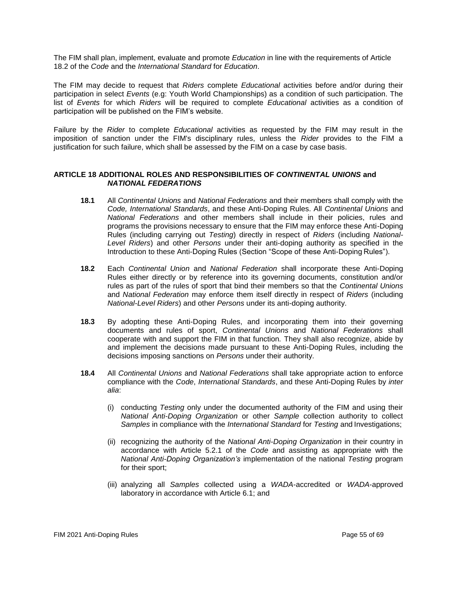The FIM shall plan, implement, evaluate and promote *Education* in line with the requirements of Article 18.2 of the *Code* and the *International Standard* for *Education*.

The FIM may decide to request that *Riders* complete *Educational* activities before and/or during their participation in select *Events* (e.g: Youth World Championships) as a condition of such participation. The list of *Events* for which *Riders* will be required to complete *Educational* activities as a condition of participation will be published on the FIM's website.

Failure by the *Rider* to complete *Educational* activities as requested by the FIM may result in the imposition of sanction under the FIM's disciplinary rules, unless the *Rider* provides to the FIM a justification for such failure, which shall be assessed by the FIM on a case by case basis.

#### <span id="page-54-0"></span>**ARTICLE 18 ADDITIONAL ROLES AND RESPONSIBILITIES OF** *CONTINENTAL UNIONS* **and** *NATIONAL FEDERATIONS*

- **18.1** All *Continental Unions* and *National Federations* and their members shall comply with the *Code, International Standards*, and these Anti-Doping Rules. All *Continental Unions* and *National Federations* and other members shall include in their policies, rules and programs the provisions necessary to ensure that the FIM may enforce these Anti-Doping Rules (including carrying out *Testing*) directly in respect of *Riders* (including *National-Level Riders*) and other *Persons* under their anti-doping authority as specified in the Introduction to these Anti-Doping Rules (Section "Scope of these Anti-Doping Rules").
- **18.2** Each *Continental Union* and *National Federation* shall incorporate these Anti-Doping Rules either directly or by reference into its governing documents, constitution and/or rules as part of the rules of sport that bind their members so that the *Continental Unions*  and *National Federation* may enforce them itself directly in respect of *Riders* (including *National-Level Riders*) and other *Persons* under its anti-doping authority.
- **18.3** By adopting these Anti-Doping Rules, and incorporating them into their governing documents and rules of sport, *Continental Unions* and *National Federations* shall cooperate with and support the FIM in that function*.* They shall also recognize, abide by and implement the decisions made pursuant to these Anti-Doping Rules, including the decisions imposing sanctions on *Persons* under their authority.
- **18.4** All *Continental Unions* and *National Federations* shall take appropriate action to enforce compliance with the *Code*, *International Standards*, and these Anti-Doping Rules by *inter alia*:
	- (i) conducting *Testing* only under the documented authority of the FIM and using their *National Anti-Doping Organization* or other *Sample* collection authority to collect *Samples* in compliance with the *International Standard* for *Testing* and Investigations;
	- (ii) recognizing the authority of the *National Anti-Doping Organization* in their country in accordance with Article 5.2.1 of the *Code* and assisting as appropriate with the *National Anti-Doping Organization's* implementation of the national *Testing* program for their sport;
	- (iii) analyzing all *Samples* collected using a *WADA*-accredited or *WADA*-approved laboratory in accordance with Article 6.1; and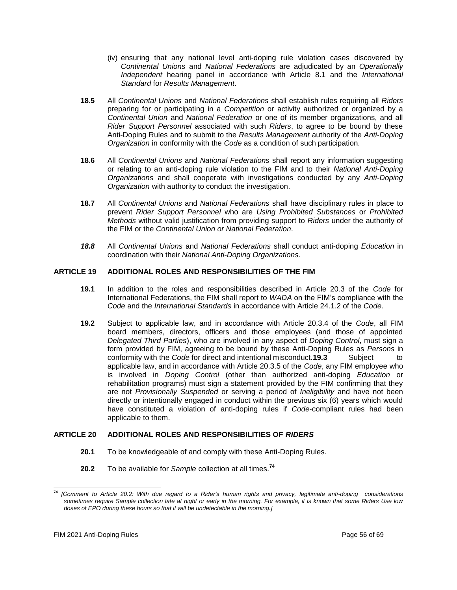- (iv) ensuring that any national level anti-doping rule violation cases discovered by *Continental Unions* and *National Federations* are adjudicated by an *Operationally Independent* hearing panel in accordance with Article 8.1 and the *International Standard* for *Results Management*.
- **18.5** All *Continental Unions* and *National Federations* shall establish rules requiring all *Riders*  preparing for or participating in a *Competition* or activity authorized or organized by a *Continental Union* and *National Federation* or one of its member organizations, and all *Rider Support Personnel* associated with such *Riders*, to agree to be bound by these Anti-Doping Rules and to submit to the *Results Management* authority of the *Anti-Doping Organization* in conformity with the *Code* as a condition of such participation.
- **18.6** All *Continental Unions* and *National Federations* shall report any information suggesting or relating to an anti-doping rule violation to the FIM and to their *National Anti-Doping Organizations* and shall cooperate with investigations conducted by any *Anti-Doping Organization* with authority to conduct the investigation.
- **18.7** All *Continental Unions* and *National Federations* shall have disciplinary rules in place to prevent *Rider Support Personnel* who are *Using Prohibited Substances* or *Prohibited Methods* without valid justification from providing support to *Riders* under the authority of the FIM or the *Continental Union or National Federation*.
- *18.8* All *Continental Unions* and *National Federations* shall conduct anti-doping *Education* in coordination with their *National Anti-Doping Organizations.*

## <span id="page-55-0"></span>**ARTICLE 19 ADDITIONAL ROLES AND RESPONSIBILITIES OF THE FIM**

- **19.1** In addition to the roles and responsibilities described in Article 20.3 of the *Code* for International Federations, the FIM shall report to *WADA* on the FIM's compliance with the *Code* and the *International Standards* in accordance with Article 24.1.2 of the *Code*.
- **19.2** Subject to applicable law, and in accordance with Article 20.3.4 of the *Code*, all FIM board members, directors, officers and those employees (and those of appointed *Delegated Third Parties*), who are involved in any aspect of *Doping Control*, must sign a form provided by FIM, agreeing to be bound by these Anti-Doping Rules as *Persons* in conformity with the *Code* for direct and intentional misconduct.**19.3** Subject to applicable law, and in accordance with Article 20.3.5 of the *Code*, any FIM employee who is involved in *Doping Control* (other than authorized anti-doping *Education* or rehabilitation programs) must sign a statement provided by the FIM confirming that they are not *Provisionally Suspended* or serving a period of *Ineligibility* and have not been directly or intentionally engaged in conduct within the previous six (6) years which would have constituted a violation of anti-doping rules if *Code*-compliant rules had been applicable to them.

# <span id="page-55-1"></span>**ARTICLE 20 ADDITIONAL ROLES AND RESPONSIBILITIES OF** *RIDERS*

- **20.1** To be knowledgeable of and comply with these Anti-Doping Rules.
- **20.2** To be available for *Sample* collection at all times.**<sup>74</sup>**

**<sup>74</sup>** *[Comment to Article 20.2: With due regard to a Rider's human rights and privacy, legitimate anti-doping considerations sometimes require Sample collection late at night or early in the morning. For example, it is known that some Riders Use low doses of EPO during these hours so that it will be undetectable in the morning.]*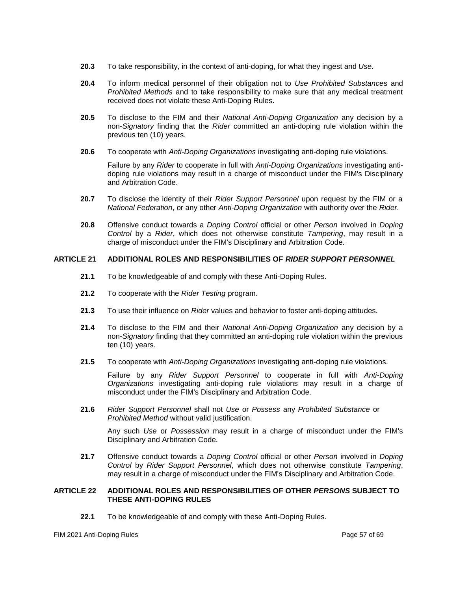- **20.3** To take responsibility, in the context of anti-doping, for what they ingest and *Use*.
- **20.4** To inform medical personnel of their obligation not to *Use Prohibited Substance*s and *Prohibited Methods* and to take responsibility to make sure that any medical treatment received does not violate these Anti-Doping Rules.
- **20.5** To disclose to the FIM and their *National Anti-Doping Organization* any decision by a non-*Signatory* finding that the *Rider* committed an anti-doping rule violation within the previous ten (10) years.
- **20.6** To cooperate with *Anti-Doping Organizations* investigating anti-doping rule violations.

Failure by any *Rider* to cooperate in full with *Anti-Doping Organizations* investigating antidoping rule violations may result in a charge of misconduct under the FIM's Disciplinary and Arbitration Code.

- **20.7** To disclose the identity of their *Rider Support Personnel* upon request by the FIM or a *National Federation*, or any other *Anti-Doping Organization* with authority over the *Rider*.
- **20.8** Offensive conduct towards a *Doping Control* official or other *Person* involved in *Doping Control* by a *Rider*, which does not otherwise constitute *Tampering*, may result in a charge of misconduct under the FIM's Disciplinary and Arbitration Code.

# <span id="page-56-0"></span>**ARTICLE 21 ADDITIONAL ROLES AND RESPONSIBILITIES OF** *RIDER SUPPORT PERSONNEL*

- **21.1** To be knowledgeable of and comply with these Anti-Doping Rules.
- **21.2** To cooperate with the *Rider Testing* program.
- **21.3** To use their influence on *Rider* values and behavior to foster anti-doping attitudes.
- **21.4** To disclose to the FIM and their *National Anti-Doping Organization* any decision by a non-*Signatory* finding that they committed an anti-doping rule violation within the previous ten (10) years.
- **21.5** To cooperate with *Anti-Doping Organizations* investigating anti-doping rule violations.

Failure by any *Rider Support Personnel* to cooperate in full with *Anti-Doping Organizations* investigating anti-doping rule violations may result in a charge of misconduct under the FIM's Disciplinary and Arbitration Code.

**21.6** *Rider Support Personnel* shall not *Use* or *Possess* any *Prohibited Substance* or *Prohibited Method* without valid justification.

Any such *Use* or *Possession* may result in a charge of misconduct under the FIM's Disciplinary and Arbitration Code.

**21.7** Offensive conduct towards a *Doping Control* official or other *Person* involved in *Doping Control* by *Rider Support Personnel*, which does not otherwise constitute *Tampering*, may result in a charge of misconduct under the FIM's Disciplinary and Arbitration Code.

## <span id="page-56-1"></span>**ARTICLE 22 ADDITIONAL ROLES AND RESPONSIBILITIES OF OTHER** *PERSONS* **SUBJECT TO THESE ANTI-DOPING RULES**

**22.1** To be knowledgeable of and comply with these Anti-Doping Rules.

FIM 2021 Anti-Doping Rules Page 57 of 69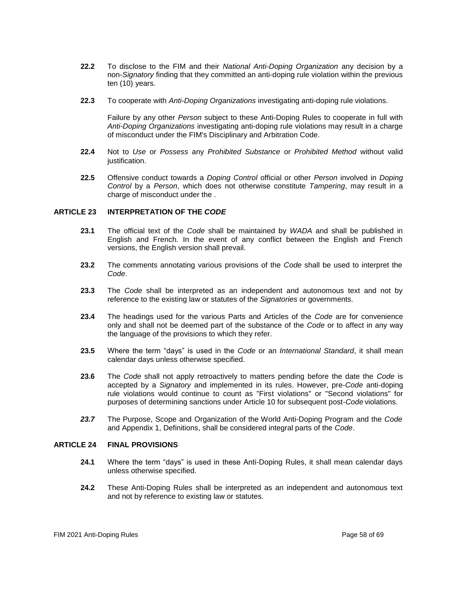- **22.2** To disclose to the FIM and their *National Anti-Doping Organization* any decision by a non-*Signatory* finding that they committed an anti-doping rule violation within the previous ten (10) years.
- **22.3** To cooperate with *Anti-Doping Organizations* investigating anti-doping rule violations.

Failure by any other *Person* subject to these Anti-Doping Rules to cooperate in full with *Anti-Doping Organizations* investigating anti-doping rule violations may result in a charge of misconduct under the FIM's Disciplinary and Arbitration Code.

- **22.4** Not to *Use* or *Possess* any *Prohibited Substance* or *Prohibited Method* without valid justification.
- **22.5** Offensive conduct towards a *Doping Control* official or other *Person* involved in *Doping Control* by a *Person*, which does not otherwise constitute *Tampering*, may result in a charge of misconduct under the .

#### <span id="page-57-0"></span>**ARTICLE 23 INTERPRETATION OF THE** *CODE*

- **23.1** The official text of the *Code* shall be maintained by *WADA* and shall be published in English and French. In the event of any conflict between the English and French versions, the English version shall prevail.
- **23.2** The comments annotating various provisions of the *Code* shall be used to interpret the *Code*.
- **23.3** The *Code* shall be interpreted as an independent and autonomous text and not by reference to the existing law or statutes of the *Signatories* or governments.
- **23.4** The headings used for the various Parts and Articles of the *Code* are for convenience only and shall not be deemed part of the substance of the *Code* or to affect in any way the language of the provisions to which they refer.
- **23.5** Where the term "days" is used in the *Code* or an *International Standard*, it shall mean calendar days unless otherwise specified.
- **23.6** The *Code* shall not apply retroactively to matters pending before the date the *Code* is accepted by a *Signatory* and implemented in its rules. However, pre-*Code* anti-doping rule violations would continue to count as "First violations" or "Second violations" for purposes of determining sanctions under Article 10 for subsequent post-*Code* violations.
- *23.7* The Purpose, Scope and Organization of the World Anti-Doping Program and the *Code* and Appendix 1, Definitions, shall be considered integral parts of the *Code*.

#### <span id="page-57-1"></span>**ARTICLE 24 FINAL PROVISIONS**

- **24.1** Where the term "days" is used in these Anti-Doping Rules, it shall mean calendar days unless otherwise specified.
- **24.2** These Anti-Doping Rules shall be interpreted as an independent and autonomous text and not by reference to existing law or statutes.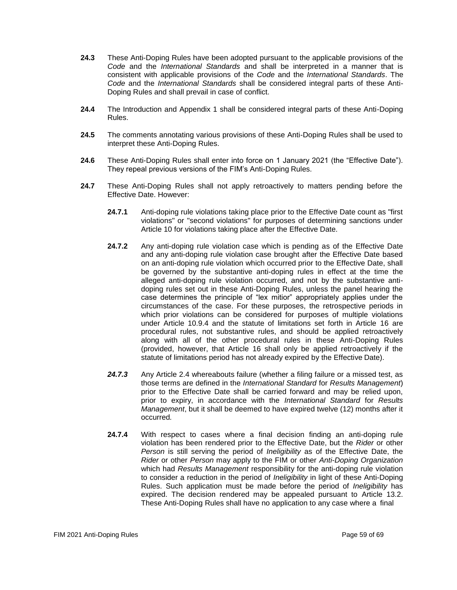- **24.3** These Anti-Doping Rules have been adopted pursuant to the applicable provisions of the *Code* and the *International Standards* and shall be interpreted in a manner that is consistent with applicable provisions of the *Code* and the *International Standards*. The *Code* and the *International Standards* shall be considered integral parts of these Anti-Doping Rules and shall prevail in case of conflict.
- **24.4** The Introduction and Appendix 1 shall be considered integral parts of these Anti-Doping Rules.
- **24.5** The comments annotating various provisions of these Anti-Doping Rules shall be used to interpret these Anti-Doping Rules.
- **24.6** These Anti-Doping Rules shall enter into force on 1 January 2021 (the "Effective Date"). They repeal previous versions of the FIM's Anti-Doping Rules.
- **24.7** These Anti-Doping Rules shall not apply retroactively to matters pending before the Effective Date. However:
	- **24.7.1** Anti-doping rule violations taking place prior to the Effective Date count as "first violations" or "second violations" for purposes of determining sanctions under Article 10 for violations taking place after the Effective Date.
	- **24.7.2** Any anti-doping rule violation case which is pending as of the Effective Date and any anti-doping rule violation case brought after the Effective Date based on an anti-doping rule violation which occurred prior to the Effective Date, shall be governed by the substantive anti-doping rules in effect at the time the alleged anti-doping rule violation occurred, and not by the substantive antidoping rules set out in these Anti-Doping Rules, unless the panel hearing the case determines the principle of "lex mitior" appropriately applies under the circumstances of the case. For these purposes, the retrospective periods in which prior violations can be considered for purposes of multiple violations under Article 10.9.4 and the statute of limitations set forth in Article 16 are procedural rules, not substantive rules, and should be applied retroactively along with all of the other procedural rules in these Anti-Doping Rules (provided, however, that Article 16 shall only be applied retroactively if the statute of limitations period has not already expired by the Effective Date).
	- *24.7.3* Any Article 2.4 whereabouts failure (whether a filing failure or a missed test, as those terms are defined in the *International Standard* for *Results Management*) prior to the Effective Date shall be carried forward and may be relied upon, prior to expiry, in accordance with the *International Standard* for *Results Management*, but it shall be deemed to have expired twelve (12) months after it occurred*.*
	- **24.7.4** With respect to cases where a final decision finding an anti-doping rule violation has been rendered prior to the Effective Date, but the *Rider* or other *Person* is still serving the period of *Ineligibility* as of the Effective Date, the *Rider* or other *Person* may apply to the FIM or other *Anti-Doping Organization*  which had *Results Management* responsibility for the anti-doping rule violation to consider a reduction in the period of *Ineligibility* in light of these Anti-Doping Rules. Such application must be made before the period of *Ineligibility* has expired. The decision rendered may be appealed pursuant to Article 13.2. These Anti-Doping Rules shall have no application to any case where a final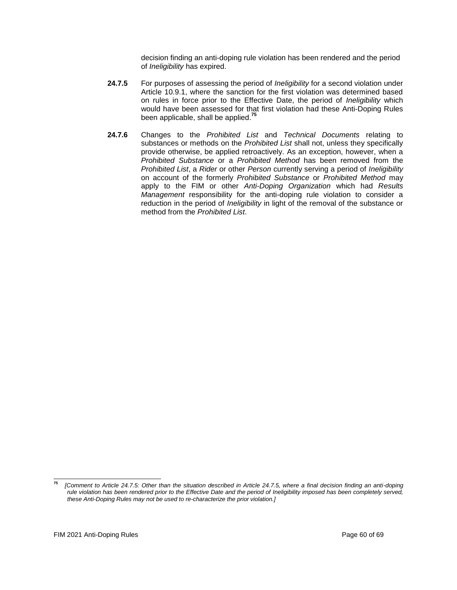decision finding an anti-doping rule violation has been rendered and the period of *Ineligibility* has expired.

- **24.7.5** For purposes of assessing the period of *Ineligibility* for a second violation under Article 10.9.1, where the sanction for the first violation was determined based on rules in force prior to the Effective Date, the period of *Ineligibility* which would have been assessed for that first violation had these Anti-Doping Rules been applicable, shall be applied.**<sup>75</sup>**
- **24.7.6** Changes to the *Prohibited List* and *Technical Documents* relating to substances or methods on the *Prohibited List* shall not, unless they specifically provide otherwise, be applied retroactively. As an exception, however, when a *Prohibited Substance* or a *Prohibited Method* has been removed from the *Prohibited List*, a *Rider* or other *Person* currently serving a period of *Ineligibility*  on account of the formerly *Prohibited Substance* or *Prohibited Method* may apply to the FIM or other *Anti-Doping Organization* which had *Results Management* responsibility for the anti-doping rule violation to consider a reduction in the period of *Ineligibility* in light of the removal of the substance or method from the *Prohibited List*.

**<sup>75</sup>** *[Comment to Article 24.7.5: Other than the situation described in Article 24.7.5, where a final decision finding an anti-doping rule violation has been rendered prior to the Effective Date and the period of Ineligibility imposed has been completely served, these Anti-Doping Rules may not be used to re-characterize the prior violation.]*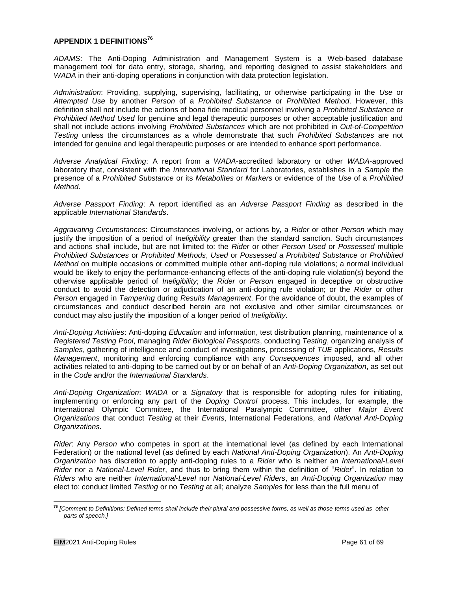# <span id="page-60-0"></span>**APPENDIX 1 DEFINITIONS<sup>76</sup>**

*ADAMS*: The Anti-Doping Administration and Management System is a Web-based database management tool for data entry, storage, sharing, and reporting designed to assist stakeholders and *WADA* in their anti-doping operations in conjunction with data protection legislation.

*Administration*: Providing, supplying, supervising, facilitating, or otherwise participating in the *Use* or *Attempted Use* by another *Person* of a *Prohibited Substance* or *Prohibited Method*. However, this definition shall not include the actions of bona fide medical personnel involving a *Prohibited Substance* or *Prohibited Method Used* for genuine and legal therapeutic purposes or other acceptable justification and shall not include actions involving *Prohibited Substances* which are not prohibited in *Out-of-Competition Testing* unless the circumstances as a whole demonstrate that such *Prohibited Substances* are not intended for genuine and legal therapeutic purposes or are intended to enhance sport performance.

*Adverse Analytical Finding*: A report from a *WADA*-accredited laboratory or other *WADA*-approved laboratory that, consistent with the *International Standard* for Laboratories, establishes in a *Sample* the presence of a *Prohibited Substance* or its *Metabolites* or *Markers* or evidence of the *Use* of a *Prohibited Method*.

*Adverse Passport Finding*: A report identified as an *Adverse Passport Finding* as described in the applicable *International Standards*.

*Aggravating Circumstances*: Circumstances involving, or actions by, a *Rider* or other *Person* which may justify the imposition of a period of *Ineligibility* greater than the standard sanction. Such circumstances and actions shall include, but are not limited to: the *Rider* or other *Person Used* or *Possessed* multiple *Prohibited Substances* or *Prohibited Methods*, *Used* or *Possessed* a *Prohibited Substance* or *Prohibited Method* on multiple occasions or committed multiple other anti-doping rule violations; a normal individual would be likely to enjoy the performance-enhancing effects of the anti-doping rule violation(s) beyond the otherwise applicable period of *Ineligibility*; the *Rider* or *Person* engaged in deceptive or obstructive conduct to avoid the detection or adjudication of an anti-doping rule violation; or the *Rider* or other *Person* engaged in *Tampering* during *Results Management*. For the avoidance of doubt, the examples of circumstances and conduct described herein are not exclusive and other similar circumstances or conduct may also justify the imposition of a longer period of *Ineligibility*.

*Anti-Doping Activities*: Anti-doping *Education* and information, test distribution planning, maintenance of a *Registered Testing Pool*, managing *Rider Biological Passports*, conducting *Testing*, organizing analysis of *Samples*, gathering of intelligence and conduct of investigations, processing of *TUE* applications, *Results Management*, monitoring and enforcing compliance with any *Consequences* imposed, and all other activities related to anti-doping to be carried out by or on behalf of an *Anti-Doping Organization*, as set out in the *Code* and/or the *International Standards*.

*Anti-Doping Organization*: *WADA* or a *Signatory* that is responsible for adopting rules for initiating, implementing or enforcing any part of the *Doping Control* process. This includes, for example, the International Olympic Committee, the International Paralympic Committee, other *Major Event Organizations* that conduct *Testing* at their *Events*, International Federations, and *National Anti-Doping Organizations.*

*Rider*: Any *Person* who competes in sport at the international level (as defined by each International Federation) or the national level (as defined by each *National Anti-Doping Organization*). An *Anti-Doping Organization* has discretion to apply anti-doping rules to a *Rider* who is neither an *International-Level Rider* nor a *National-Level Rider*, and thus to bring them within the definition of "*Rider*". In relation to *Riders* who are neither *International*-*Level* nor *National-Level Riders*, an *Anti-Doping Organization* may elect to: conduct limited *Testing* or no *Testing* at all; analyze *Samples* for less than the full menu of

**<sup>76</sup>** *[Comment to Definitions: Defined terms shall include their plural and possessive forms, as well as those terms used as other parts of speech.]*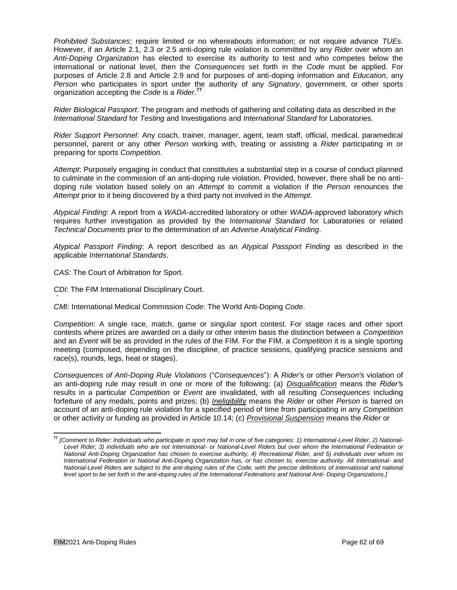*Prohibited Substances*; require limited or no whereabouts information; or not require advance *TUEs*. However, if an Article 2.1, 2.3 or 2.5 anti-doping rule violation is committed by any *Rider* over whom an *Anti-Doping Organization* has elected to exercise its authority to test and who competes below the international or national level, then the *Consequences* set forth in the *Code* must be applied. For purposes of Article 2.8 and Article 2.9 and for purposes of anti-doping information and *Education*, any *Person* who participates in sport under the authority of any *Signatory*, government, or other sports organization accepting the *Code* is a *Rider*. **77**

*Rider Biological Passport*: The program and methods of gathering and collating data as described in the *International Standard* for *Testing* and Investigations and *International Standard* for Laboratories.

*Rider Support Personnel*: Any coach, trainer, manager, agent, team staff, official, medical, paramedical personnel, parent or any other *Person* working with, treating or assisting a *Rider* participating in or preparing for sports *Competition*.

*Attempt*: Purposely engaging in conduct that constitutes a substantial step in a course of conduct planned to culminate in the commission of an anti-doping rule violation. Provided, however, there shall be no antidoping rule violation based solely on an *Attempt* to commit a violation if the *Person* renounces the *Attempt* prior to it being discovered by a third party not involved in the *Attempt*.

*Atypical Finding*: A report from a *WADA*-accredited laboratory or other *WADA*-approved laboratory which requires further investigation as provided by the *International Standard* for Laboratories or related *Technical Documents* prior to the determination of an *Adverse Analytical Finding*.

*Atypical Passport Finding*: A report described as an *Atypical Passport Finding* as described in the applicable *International Standards*.

*CAS*: The Court of Arbitration for Sport.

*¨*

*CDI*: The FIM International Disciplinary Court.

*CMI:* International Medical Commission *Code*: The World Anti-Doping *Code*.

*Competition*: A single race, match, game or singular sport contest. For stage races and other sport contests where prizes are awarded on a daily or other interim basis the distinction between a *Competition*  and an *Event* will be as provided in the rules of the FIM. For the FIM, a *Competition* it is a single sporting meeting (composed, depending on the discipline, of practice sessions, qualifying practice sessions and race(s), rounds, legs, heat or stages).

*Consequences of Anti-Doping Rule Violations* ("*Consequences*"): A *Rider'*s or other *Person's* violation of an anti-doping rule may result in one or more of the following: (a) *Disqualification* means the *Rider'*s results in a particular *Competition* or *Event* are invalidated, with all resulting *Consequences* including forfeiture of any medals, points and prizes; (b) *Ineligibility* means the *Rider* or other *Person* is barred on account of an anti-doping rule violation for a specified period of time from participating in any *Competition*  or other activity or funding as provided in Article 10.14; (c) *Provisional Suspension* means the *Rider* or

**<sup>77</sup>** *[Comment to Rider: Individuals who participate in sport may fall in one of five categories: 1) International-Level Rider, 2) National-Level Rider, 3) individuals who are not International- or National-Level Riders but over whom the International Federation or National Anti-Doping Organization has chosen to exercise authority, 4) Recreational Rider, and 5) individuals over whom no International Federation or National Anti-Doping Organization has, or has chosen to, exercise authority. All International- and National-Level Riders are subject to the anti-doping rules of the Code, with the precise definitions of international and national level sport to be set forth in the anti-doping rules of the International Federations and National Anti- Doping Organizations.]*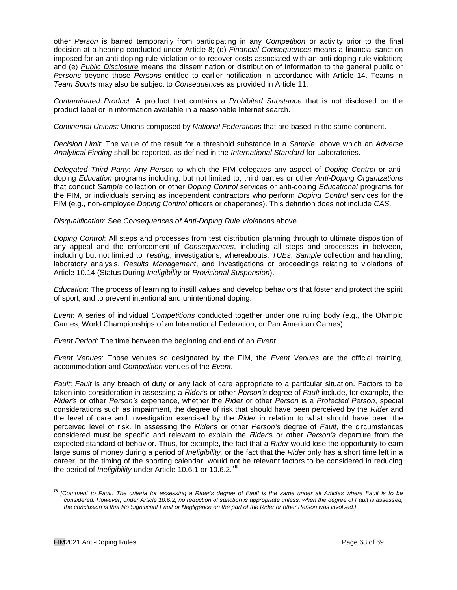other *Person* is barred temporarily from participating in any *Competition* or activity prior to the final decision at a hearing conducted under Article 8; (d) *Financial Consequences* means a financial sanction imposed for an anti-doping rule violation or to recover costs associated with an anti-doping rule violation; and (e) *Public Disclosure* means the dissemination or distribution of information to the general public or *Persons* beyond those *Persons* entitled to earlier notification in accordance with Article 14. Teams in *Team Sports* may also be subject to *Consequences* as provided in Article 11.

*Contaminated Product*: A product that contains a *Prohibited Substance* that is not disclosed on the product label or in information available in a reasonable Internet search.

*Continental Unions:* Unions composed by *National Federation*s that are based in the same continent.

*Decision Limit*: The value of the result for a threshold substance in a *Sample*, above which an *Adverse Analytical Finding* shall be reported, as defined in the *International Standard* for Laboratories.

*Delegated Third Party*: Any *Person* to which the FIM delegates any aspect of *Doping Control* or antidoping *Education* programs including, but not limited to, third parties or other *Anti-Doping Organizations*  that conduct *Sample* collection or other *Doping Control* services or anti-doping *Educational* programs for the FIM, or individuals serving as independent contractors who perform *Doping Control* services for the FIM (e.g., non-employee *Doping Control* officers or chaperones). This definition does not include *CAS*.

*Disqualification*: See *Consequences of Anti-Doping Rule Violations* above.

*Doping Control*: All steps and processes from test distribution planning through to ultimate disposition of any appeal and the enforcement of *Consequences*, including all steps and processes in between, including but not limited to *Testing*, investigations, whereabouts, *TUEs*, *Sample* collection and handling, laboratory analysis, *Results Management*, and investigations or proceedings relating to violations of Article 10.14 (Status During *Ineligibility* or *Provisional Suspension*).

*Education*: The process of learning to instill values and develop behaviors that foster and protect the spirit of sport, and to prevent intentional and unintentional doping.

*Event*: A series of individual *Competitions* conducted together under one ruling body (e.g., the Olympic Games, World Championships of an International Federation, or Pan American Games).

*Event Period*: The time between the beginning and end of an *Event*.

*Event Venues*: Those venues so designated by the FIM, the *Event Venues* are the official training, accommodation and *Competition* venues of the *Event*.

*Fault. Fault* is any breach of duty or any lack of care appropriate to a particular situation. Factors to be taken into consideration in assessing a *Rider'*s or other *Person's* degree of *Fault* include, for example, the *Rider'*s or other *Person's* experience, whether the *Rider* or other *Person* is a *Protected Person*, special considerations such as impairment, the degree of risk that should have been perceived by the *Rider* and the level of care and investigation exercised by the *Rider* in relation to what should have been the perceived level of risk. In assessing the *Rider'*s or other *Person's* degree of *Fault*, the circumstances considered must be specific and relevant to explain the *Rider'*s or other *Person's* departure from the expected standard of behavior. Thus, for example, the fact that a *Rider* would lose the opportunity to earn large sums of money during a period of *Ineligibility,* or the fact that the *Rider* only has a short time left in a career, or the timing of the sporting calendar, would not be relevant factors to be considered in reducing the period of *Ineligibility* under Article 10.6.1 or 10.6.2.**<sup>78</sup>**

**<sup>78</sup>** *[Comment to Fault: The criteria for assessing a Rider's degree of Fault is the same under all Articles where Fault is to be considered. However, under Article 10.6.2, no reduction of sanction is appropriate unless, when the degree of Fault is assessed, the conclusion is that No Significant Fault or Negligence on the part of the Rider or other Person was involved.]*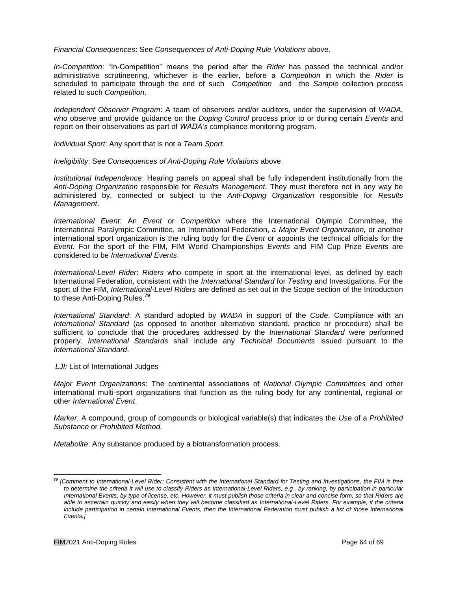*Financial Consequences*: See *Consequences of Anti-Doping Rule Violations* above.

*In-Competition*: "In-Competition" means the period after the *Rider* has passed the technical and/or administrative scrutineering, whichever is the earlier, before a *Competition* in which the *Rider* is scheduled to participate through the end of such *Competition* and the *Sample* collection process related to such *Competition*.

*Independent Observer Program*: A team of observers and/or auditors, under the supervision of *WADA*, who observe and provide guidance on the *Doping Control* process prior to or during certain *Events* and report on their observations as part of *WADA's* compliance monitoring program.

*Individual Sport*: Any sport that is not a *Team Sport.*

*Ineligibility*: See *Consequences of Anti-Doping Rule Violations* above.

*Institutional Independence*: Hearing panels on appeal shall be fully independent institutionally from the *Anti-Doping Organization* responsible for *Results Management*. They must therefore not in any way be administered by, connected or subject to the *Anti-Doping Organization* responsible for *Results Management*.

*International Event*: An *Event* or *Competition* where the International Olympic Committee, the International Paralympic Committee, an International Federation, a *Major Event Organization,* or another international sport organization is the ruling body for the *Event* or appoints the technical officials for the *Event.* For the sport of the FIM, FIM World Championships *Events* and FIM Cup Prize *Events* are considered to be *International Events*.

*International-Level Rider*: *Riders* who compete in sport at the international level, as defined by each International Federation, consistent with the *International Standard* for *Testing* and Investigations. For the sport of the FIM, *International-Level Riders* are defined as set out in the Scope section of the Introduction to these Anti-Doping Rules.**<sup>79</sup>**

*International Standard*: A standard adopted by *WADA* in support of the *Code*. Compliance with an *International Standard* (as opposed to another alternative standard, practice or procedure) shall be sufficient to conclude that the procedures addressed by the *International Standard* were performed properly. *International Standards* shall include any *Technical Documents* issued pursuant to the *International Standard*.

#### **LJI:** List of International Judges

*Major Event Organizations*: The continental associations of *National Olympic Committees* and other international multi-sport organizations that function as the ruling body for any continental, regional or other *International Event*.

*Marker*: A compound, group of compounds or biological variable(s) that indicates the *Use* of a *Prohibited Substance* or *Prohibited Method.*

*Metabolite*: Any substance produced by a biotransformation process.

**<sup>79</sup>** *[Comment to International-Level Rider: Consistent with the International Standard for Testing and Investigations, the FIM is free to determine the criteria it will use to classify Riders as International-Level Riders, e.g., by ranking, by participation in particular International Events, by type of license, etc. However, it must publish those criteria in clear and concise form, so that Riders are able to ascertain quickly and easily when they will become classified as International-Level Riders. For example, if the criteria*  include participation in certain International Events, then the International Federation must publish a list of those International *Events.]*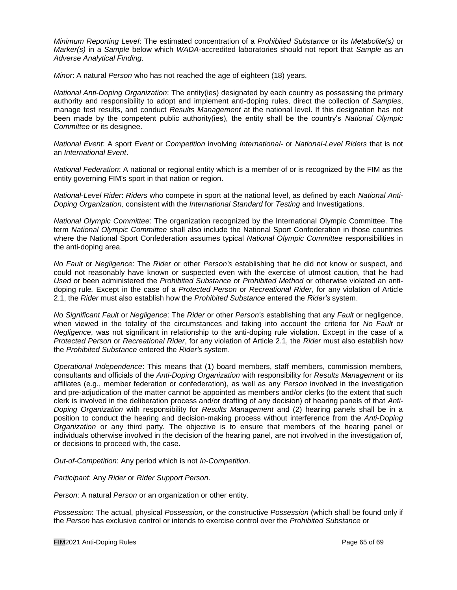*Minimum Reporting Level*: The estimated concentration of a *Prohibited Substance* or its *Metabolite(s)* or *Marker(s)* in a *Sample* below which *WADA*-accredited laboratories should not report that *Sample* as an *Adverse Analytical Finding*.

*Minor*: A natural *Person* who has not reached the age of eighteen (18) years.

*National Anti-Doping Organization*: The entity(ies) designated by each country as possessing the primary authority and responsibility to adopt and implement anti-doping rules, direct the collection of *Samples*, manage test results, and conduct *Results Management* at the national level. If this designation has not been made by the competent public authority(ies), the entity shall be the country's *National Olympic Committee* or its designee.

*National Event*: A sport *Event* or *Competition* involving *International-* or *National-Level Riders* that is not an *International Event*.

*National Federation*: A national or regional entity which is a member of or is recognized by the FIM as the entity governing FIM's sport in that nation or region.

*National-Level Rider*: *Riders* who compete in sport at the national level, as defined by each *National Anti-Doping Organization,* consistent with the *International Standard* for *Testing* and Investigations.

*National Olympic Committee*: The organization recognized by the International Olympic Committee. The term *National Olympic Committee* shall also include the National Sport Confederation in those countries where the National Sport Confederation assumes typical *National Olympic Committee* responsibilities in the anti-doping area.

*No Fault* or *Negligence*: The *Rider* or other *Person's* establishing that he did not know or suspect, and could not reasonably have known or suspected even with the exercise of utmost caution, that he had *Used* or been administered the *Prohibited Substance* or *Prohibited Method* or otherwise violated an antidoping rule*.* Except in the case of a *Protected Person* or *Recreational Rider*, for any violation of Article 2.1, the *Rider* must also establish how the *Prohibited Substance* entered the *Rider's* system.

*No Significant Fault* or *Negligence*: The *Rider* or other *Person's* establishing that any *Fault* or negligence, when viewed in the totality of the circumstances and taking into account the criteria for *No Fault* or *Negligence*, was not significant in relationship to the anti-doping rule violation. Except in the case of a *Protected Person* or *Recreational Rider*, for any violation of Article 2.1, the *Rider* must also establish how the *Prohibited Substance* entered the *Rider'*s system.

*Operational Independence*: This means that (1) board members, staff members, commission members, consultants and officials of the *Anti-Doping Organization* with responsibility for *Results Management* or its affiliates (e.g., member federation or confederation), as well as any *Person* involved in the investigation and pre-adjudication of the matter cannot be appointed as members and/or clerks (to the extent that such clerk is involved in the deliberation process and/or drafting of any decision) of hearing panels of that *Anti-Doping Organization* with responsibility for *Results Management* and (2) hearing panels shall be in a position to conduct the hearing and decision-making process without interference from the *Anti-Doping Organization* or any third party. The objective is to ensure that members of the hearing panel or individuals otherwise involved in the decision of the hearing panel, are not involved in the investigation of, or decisions to proceed with, the case.

*Out-of-Competition*: Any period which is not *In-Competition*.

*Participant*: Any *Rider* or *Rider Support Person*.

*Person*: A natural *Person* or an organization or other entity.

*Possession*: The actual, physical *Possession*, or the constructive *Possession* (which shall be found only if the *Person* has exclusive control or intends to exercise control over the *Prohibited Substance* or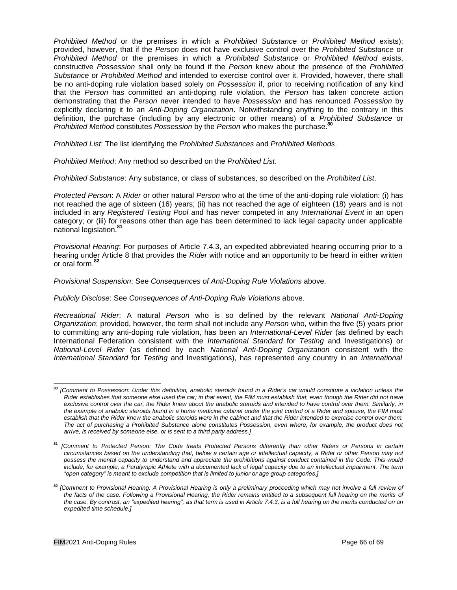*Prohibited Method* or the premises in which a *Prohibited Substance* or *Prohibited Method* exists); provided, however, that if the *Person* does not have exclusive control over the *Prohibited Substance* or *Prohibited Method* or the premises in which a *Prohibited Substance* or *Prohibited Method* exists, constructive *Possession* shall only be found if the *Person* knew about the presence of the *Prohibited Substance* or *Prohibited Method* and intended to exercise control over it. Provided, however, there shall be no anti-doping rule violation based solely on *Possession* if, prior to receiving notification of any kind that the *Person* has committed an anti-doping rule violation, the *Person* has taken concrete action demonstrating that the *Person* never intended to have *Possession* and has renounced *Possession* by explicitly declaring it to an *Anti-Doping Organization*. Notwithstanding anything to the contrary in this definition, the purchase (including by any electronic or other means) of a *Prohibited Substance* or *Prohibited Method* constitutes *Possession* by the *Person* who makes the purchase.**<sup>80</sup>**

*Prohibited List*: The list identifying the *Prohibited Substances* and *Prohibited Methods*.

*Prohibited Method*: Any method so described on the *Prohibited List*.

*Prohibited Substance*: Any substance, or class of substances, so described on the *Prohibited List*.

*Protected Person*: A *Rider* or other natural *Person* who at the time of the anti-doping rule violation: (i) has not reached the age of sixteen (16) years; (ii) has not reached the age of eighteen (18) years and is not included in any *Registered Testing Pool* and has never competed in any *International Event* in an open category; or (iii) for reasons other than age has been determined to lack legal capacity under applicable national legislation.**<sup>81</sup>**

*Provisional Hearing*: For purposes of Article 7.4.3, an expedited abbreviated hearing occurring prior to a hearing under Article 8 that provides the *Rider* with notice and an opportunity to be heard in either written or oral form.**<sup>82</sup>**

#### *Provisional Suspension*: See *Consequences of Anti-Doping Rule Violations* above.

#### *Publicly Disclose*: See *Consequences of Anti-Doping Rule Violations* above.

*Recreational Rider*: A natural *Person* who is so defined by the relevant *National Anti-Doping Organization*; provided, however, the term shall not include any *Person* who, within the five (5) years prior to committing any anti-doping rule violation, has been an *International-Level Rider* (as defined by each International Federation consistent with the *International Standard* for *Testing* and Investigations) or *National-Level Rider* (as defined by each *National Anti-Doping Organization* consistent with the *International Standard* for *Testing* and Investigations), has represented any country in an *International*

**<sup>80</sup>** *[Comment to Possession: Under this definition, anabolic steroids found in a Rider's car would constitute a violation unless the Rider establishes that someone else used the car; in that event, the FIM must establish that, even though the Rider did not have exclusive control over the car, the Rider knew about the anabolic steroids and intended to have control over them. Similarly, in the example of anabolic steroids found in a home medicine cabinet under the joint control of a Rider and spouse, the FIM must establish that the Rider knew the anabolic steroids were in the cabinet and that the Rider intended to exercise control over them. The act of purchasing a Prohibited Substance alone constitutes Possession, even where, for example, the product does not arrive, is received by someone else, or is sent to a third party address.]*

**<sup>81</sup>** *[Comment to Protected Person: The Code treats Protected Persons differently than other Riders or Persons in certain circumstances based on the understanding that, below a certain age or intellectual capacity, a Rider or other Person may not possess the mental capacity to understand and appreciate the prohibitions against conduct contained in the Code. This would include, for example, a Paralympic Athlete with a documented lack of legal capacity due to an intellectual impairment. The term "open category" is meant to exclude competition that is limited to junior or age group categories.]*

**<sup>82</sup>** *[Comment to Provisional Hearing: A Provisional Hearing is only a preliminary proceeding which may not involve a full review of the facts of the case. Following a Provisional Hearing, the Rider remains entitled to a subsequent full hearing on the merits of*  the case. By contrast, an "expedited hearing", as that term is used in Article 7.4.3, is a full hearing on the merits conducted on an *expedited time schedule.]*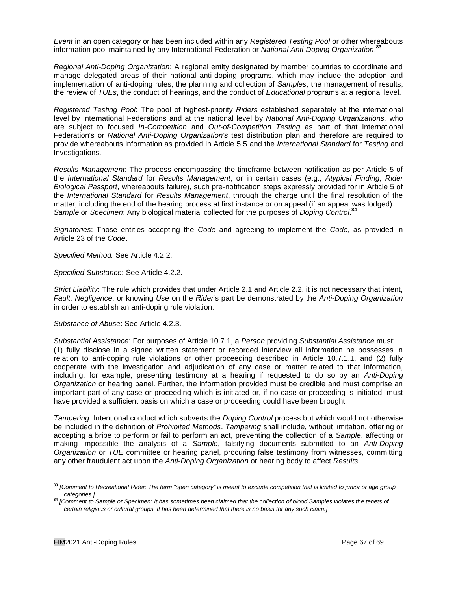*Event* in an open category or has been included within any *Registered Testing Pool* or other whereabouts information pool maintained by any International Federation or *National Anti-Doping Organization*. **83**

*Regional Anti-Doping Organization*: A regional entity designated by member countries to coordinate and manage delegated areas of their national anti-doping programs, which may include the adoption and implementation of anti-doping rules, the planning and collection of *Samples*, the management of results, the review of *TUEs*, the conduct of hearings, and the conduct of *Educational* programs at a regional level.

*Registered Testing Pool*: The pool of highest-priority *Riders* established separately at the international level by International Federations and at the national level by *National Anti-Doping Organizations,* who are subject to focused *In-Competition* and *Out-of-Competition Testing* as part of that International Federation's or *National Anti-Doping Organization's* test distribution plan and therefore are required to provide whereabouts information as provided in Article 5.5 and the *International Standard* for *Testing* and Investigations.

*Results Management*: The process encompassing the timeframe between notification as per Article 5 of the *International Standard* for *Results Management*, or in certain cases (e.g., *Atypical Finding*, *Rider Biological Passport*, whereabouts failure), such pre-notification steps expressly provided for in Article 5 of the *International Standard* for *Results Management*, through the charge until the final resolution of the matter, including the end of the hearing process at first instance or on appeal (if an appeal was lodged). *Sample* or *Specimen*: Any biological material collected for the purposes of *Doping Control*. **84**

*Signatories*: Those entities accepting the *Code* and agreeing to implement the *Code*, as provided in Article 23 of the *Code*.

*Specified Method:* See Article 4.2.2.

*Specified Substance*: See Article 4.2.2.

*Strict Liability*: The rule which provides that under Article 2.1 and Article 2.2, it is not necessary that intent, *Fault*, *Negligence*, or knowing *Use* on the *Rider'*s part be demonstrated by the *Anti-Doping Organization*  in order to establish an anti-doping rule violation.

*Substance of Abuse*: See Article 4.2.3.

*Substantial Assistance*: For purposes of Article 10.7.1, a *Person* providing *Substantial Assistance* must: (1) fully disclose in a signed written statement or recorded interview all information he possesses in relation to anti-doping rule violations or other proceeding described in Article 10.7.1.1, and (2) fully cooperate with the investigation and adjudication of any case or matter related to that information, including, for example, presenting testimony at a hearing if requested to do so by an *Anti-Doping Organization* or hearing panel. Further, the information provided must be credible and must comprise an important part of any case or proceeding which is initiated or, if no case or proceeding is initiated, must have provided a sufficient basis on which a case or proceeding could have been brought.

*Tampering*: Intentional conduct which subverts the *Doping Control* process but which would not otherwise be included in the definition of *Prohibited Methods*. *Tampering* shall include, without limitation, offering or accepting a bribe to perform or fail to perform an act, preventing the collection of a *Sample*, affecting or making impossible the analysis of a *Sample*, falsifying documents submitted to an *Anti-Doping Organization* or *TUE* committee or hearing panel, procuring false testimony from witnesses, committing any other fraudulent act upon the *Anti-Doping Organization* or hearing body to affect *Results*

**<sup>83</sup>** *[Comment to Recreational Rider: The term "open category" is meant to exclude competition that is limited to junior or age group categories.]*

**<sup>84</sup>** *[Comment to Sample or Specimen: It has sometimes been claimed that the collection of blood Samples violates the tenets of certain religious or cultural groups. It has been determined that there is no basis for any such claim.]*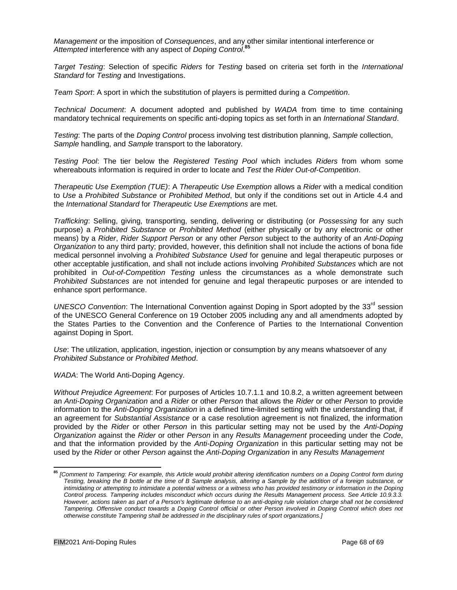*Management* or the imposition of *Consequences*, and any other similar intentional interference or *Attempted* interference with any aspect of *Doping Control*. **85**

*Target Testing*: Selection of specific *Riders* for *Testing* based on criteria set forth in the *International Standard* for *Testing* and Investigations.

*Team Sport*: A sport in which the substitution of players is permitted during a *Competition*.

*Technical Document*: A document adopted and published by *WADA* from time to time containing mandatory technical requirements on specific anti-doping topics as set forth in an *International Standard*.

*Testing*: The parts of the *Doping Control* process involving test distribution planning, *Sample* collection, *Sample* handling, and *Sample* transport to the laboratory.

*Testing Pool*: The tier below the *Registered Testing Pool* which includes *Riders* from whom some whereabouts information is required in order to locate and *Test* the *Rider Out-of-Competition*.

*Therapeutic Use Exemption (TUE)*: A *Therapeutic Use Exemption* allows a *Rider* with a medical condition to *Use* a *Prohibited Substance* or *Prohibited Method*, but only if the conditions set out in Article 4.4 and the *International Standard* for *Therapeutic Use Exemptions* are met.

*Trafficking*: Selling, giving, transporting, sending, delivering or distributing (or *Possessing* for any such purpose) a *Prohibited Substance* or *Prohibited Method* (either physically or by any electronic or other means) by a *Rider*, *Rider Support Person* or any other *Person* subject to the authority of an *Anti-Doping Organization* to any third party; provided, however, this definition shall not include the actions of bona fide medical personnel involving a *Prohibited Substance Used* for genuine and legal therapeutic purposes or other acceptable justification, and shall not include actions involving *Prohibited Substances* which are not prohibited in *Out-of-Competition Testing* unless the circumstances as a whole demonstrate such *Prohibited Substances* are not intended for genuine and legal therapeutic purposes or are intended to enhance sport performance.

*UNESCO Convention*: The International Convention against Doping in Sport adopted by the 33<sup>rd</sup> session of the UNESCO General Conference on 19 October 2005 including any and all amendments adopted by the States Parties to the Convention and the Conference of Parties to the International Convention against Doping in Sport.

*Use*: The utilization, application, ingestion, injection or consumption by any means whatsoever of any *Prohibited Substance* or *Prohibited Method*.

*WADA*: The World Anti-Doping Agency.

*Without Prejudice Agreement*: For purposes of Articles 10.7.1.1 and 10.8.2, a written agreement between an *Anti-Doping Organization* and a *Rider* or other *Person* that allows the *Rider* or other *Person* to provide information to the *Anti-Doping Organization* in a defined time-limited setting with the understanding that, if an agreement for *Substantial Assistance* or a case resolution agreement is not finalized, the information provided by the *Rider* or other *Person* in this particular setting may not be used by the *Anti-Doping Organization* against the *Rider* or other *Person* in any *Results Management* proceeding under the *Code*, and that the information provided by the *Anti-Doping Organization* in this particular setting may not be used by the *Rider* or other *Person* against the *Anti-Doping Organization* in any *Results Management*

**<sup>85</sup>** *[Comment to Tampering: For example, this Article would prohibit altering identification numbers on a Doping Control form during Testing, breaking the B bottle at the time of B Sample analysis, altering a Sample by the addition of a foreign substance, or* intimidating or attempting to intimidate a potential witness or a witness who has provided testimony or information in the Doping *Control process. Tampering includes misconduct which occurs during the Results Management process. See Article 10.9.3.3. However, actions taken as part of a Person's legitimate defense to an anti-doping rule violation charge shall not be considered Tampering. Offensive conduct towards a Doping Control official or other Person involved in Doping Control which does not otherwise constitute Tampering shall be addressed in the disciplinary rules of sport organizations.]*